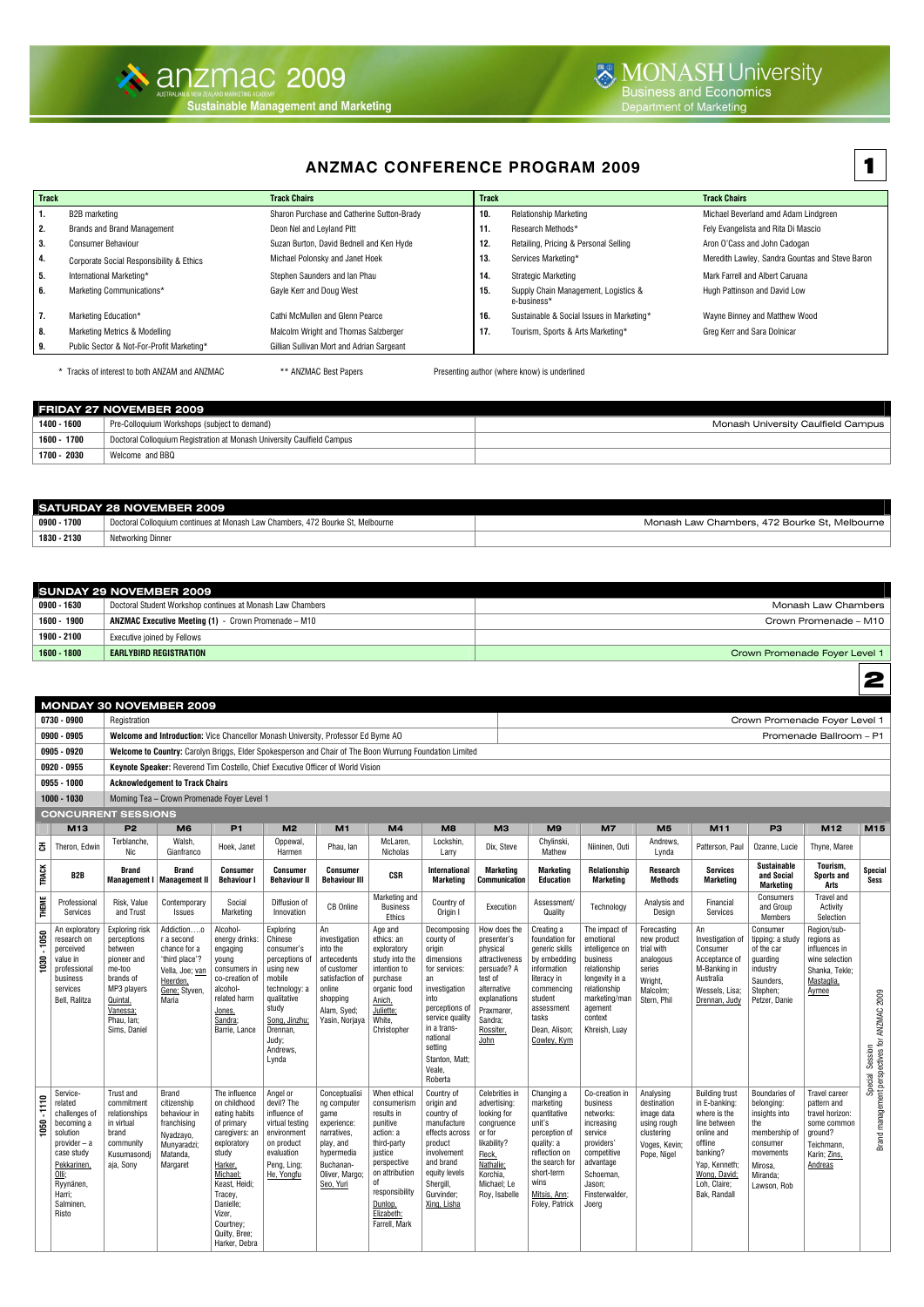## **ANZMAC CONFERENCE PROGRAM 2009**

| <b>Track</b> |                                           | <b>Track Chairs</b>                        | <b>Track</b> |                                                     | <b>Track Chairs</b>                             |
|--------------|-------------------------------------------|--------------------------------------------|--------------|-----------------------------------------------------|-------------------------------------------------|
| 1.           | B2B marketing                             | Sharon Purchase and Catherine Sutton-Brady | 10.          | <b>Relationship Marketing</b>                       | Michael Beverland amd Adam Lindgreen            |
| 2.           | <b>Brands and Brand Management</b>        | Deon Nel and Leyland Pitt                  | 11.          | Research Methods*                                   | Fely Evangelista and Rita Di Mascio             |
| 3.           | <b>Consumer Behaviour</b>                 | Suzan Burton, David Bednell and Ken Hyde   | 12.          | Retailing, Pricing & Personal Selling               | Aron O'Cass and John Cadogan                    |
| 4.           | Corporate Social Responsibility & Ethics  | Michael Polonsky and Janet Hoek            | 13.          | Services Marketing*                                 | Meredith Lawley, Sandra Gountas and Steve Baron |
| 5.           | International Marketing*                  | Stephen Saunders and Ian Phau              | 14.          | <b>Strategic Marketing</b>                          | Mark Farrell and Albert Caruana                 |
| 6.           | Marketing Communications*                 | Gayle Kerr and Doug West                   | 15.          | Supply Chain Management, Logistics &<br>e-business* | Hugh Pattinson and David Low                    |
| 7.           | Marketing Education*                      | Cathi McMullen and Glenn Pearce            | 16.          | Sustainable & Social Issues in Marketing*           | Wayne Binney and Matthew Wood                   |
| 8.           | <b>Marketing Metrics &amp; Modelling</b>  | Malcolm Wright and Thomas Salzberger       | 17.          | Tourism, Sports & Arts Marketing*                   | Greg Kerr and Sara Dolnicar                     |
| 9.           | Public Sector & Not-For-Profit Marketing* | Gillian Sullivan Mort and Adrian Sargeant  |              |                                                     |                                                 |

\* Tracks of interest to both ANZAM and ANZMAC \*\* ANZMAC Best Papers Presenting author (where know) is underlined

|             | <b>FRIDAY 27 NOVEMBER 2009</b>                                         |                                    |
|-------------|------------------------------------------------------------------------|------------------------------------|
| 1400 - 1600 | Pre-Colloquium Workshops (subject to demand)                           | Monash University Caulfield Campus |
| 1600 - 1700 | Doctoral Colloquium Registration at Monash University Caulfield Campus |                                    |
| 1700 - 2030 | Welcome and BBQ                                                        |                                    |

|             | <b>SATURDAY 28 NOVEMBER 2009</b>                                               |                                               |
|-------------|--------------------------------------------------------------------------------|-----------------------------------------------|
| 0900 - 1700 | Doctoral Colloguium continues at Monash Law Chambers, 472 Bourke St. Melbourne | Monash Law Chambers, 472 Bourke St, Melbourne |
| 1830 - 2130 | Networking Dinner                                                              |                                               |

|               | <b>SUNDAY 29 NOVEMBER 2009</b>                              |                               |
|---------------|-------------------------------------------------------------|-------------------------------|
| 0900 - 1630   | Doctoral Student Workshop continues at Monash Law Chambers  | Monash Law Chambers           |
| 1600 - 1900   | <b>ANZMAC Executive Meeting (1)</b> - Crown Promenade – M10 | Crown Promenade - M10         |
| 1900 - 2100   | Executive joined by Fellows                                 |                               |
| $1600 - 1800$ | <b>EARLYBIRD REGISTRATION</b>                               | Crown Promenade Foyer Level 1 |

|                 |                                                                                                                                                                          |                                                                                                                                                     | <b>MONDAY 30 NOVEMBER 2009</b>                                                                                      |                                                                                                                                                                                                                                 |                                                                                                                                                                                 |                                                                                                                                           |                                                                                                                                                                                                 |                                                                                                                                                                                                                    |                                                                                                                                                                  |                                                                                                                                                                              |                                                                                                                                                                     |                                                                                                       |                                                                                                                                                                              |                                                                                                                                            |                                                                                                                           |                                                                  |
|-----------------|--------------------------------------------------------------------------------------------------------------------------------------------------------------------------|-----------------------------------------------------------------------------------------------------------------------------------------------------|---------------------------------------------------------------------------------------------------------------------|---------------------------------------------------------------------------------------------------------------------------------------------------------------------------------------------------------------------------------|---------------------------------------------------------------------------------------------------------------------------------------------------------------------------------|-------------------------------------------------------------------------------------------------------------------------------------------|-------------------------------------------------------------------------------------------------------------------------------------------------------------------------------------------------|--------------------------------------------------------------------------------------------------------------------------------------------------------------------------------------------------------------------|------------------------------------------------------------------------------------------------------------------------------------------------------------------|------------------------------------------------------------------------------------------------------------------------------------------------------------------------------|---------------------------------------------------------------------------------------------------------------------------------------------------------------------|-------------------------------------------------------------------------------------------------------|------------------------------------------------------------------------------------------------------------------------------------------------------------------------------|--------------------------------------------------------------------------------------------------------------------------------------------|---------------------------------------------------------------------------------------------------------------------------|------------------------------------------------------------------|
|                 | 0730 - 0900                                                                                                                                                              | Registration                                                                                                                                        |                                                                                                                     |                                                                                                                                                                                                                                 |                                                                                                                                                                                 |                                                                                                                                           |                                                                                                                                                                                                 |                                                                                                                                                                                                                    |                                                                                                                                                                  |                                                                                                                                                                              |                                                                                                                                                                     |                                                                                                       |                                                                                                                                                                              | Crown Promenade Foyer Level 1                                                                                                              |                                                                                                                           |                                                                  |
|                 | 0900 - 0905                                                                                                                                                              |                                                                                                                                                     | Welcome and Introduction: Vice Chancellor Monash University, Professor Ed Byrne AO                                  |                                                                                                                                                                                                                                 |                                                                                                                                                                                 |                                                                                                                                           |                                                                                                                                                                                                 |                                                                                                                                                                                                                    |                                                                                                                                                                  |                                                                                                                                                                              |                                                                                                                                                                     |                                                                                                       |                                                                                                                                                                              |                                                                                                                                            | Promenade Ballroom - P1                                                                                                   |                                                                  |
|                 | 0905 - 0920                                                                                                                                                              |                                                                                                                                                     | Welcome to Country: Carolyn Briggs, Elder Spokesperson and Chair of The Boon Wurrung Foundation Limited             |                                                                                                                                                                                                                                 |                                                                                                                                                                                 |                                                                                                                                           |                                                                                                                                                                                                 |                                                                                                                                                                                                                    |                                                                                                                                                                  |                                                                                                                                                                              |                                                                                                                                                                     |                                                                                                       |                                                                                                                                                                              |                                                                                                                                            |                                                                                                                           |                                                                  |
|                 | 0920 - 0955                                                                                                                                                              |                                                                                                                                                     | Keynote Speaker: Reverend Tim Costello, Chief Executive Officer of World Vision                                     |                                                                                                                                                                                                                                 |                                                                                                                                                                                 |                                                                                                                                           |                                                                                                                                                                                                 |                                                                                                                                                                                                                    |                                                                                                                                                                  |                                                                                                                                                                              |                                                                                                                                                                     |                                                                                                       |                                                                                                                                                                              |                                                                                                                                            |                                                                                                                           |                                                                  |
|                 | 0955 - 1000                                                                                                                                                              |                                                                                                                                                     | <b>Acknowledgement to Track Chairs</b>                                                                              |                                                                                                                                                                                                                                 |                                                                                                                                                                                 |                                                                                                                                           |                                                                                                                                                                                                 |                                                                                                                                                                                                                    |                                                                                                                                                                  |                                                                                                                                                                              |                                                                                                                                                                     |                                                                                                       |                                                                                                                                                                              |                                                                                                                                            |                                                                                                                           |                                                                  |
|                 | 1000 - 1030                                                                                                                                                              |                                                                                                                                                     | Morning Tea - Crown Promenade Foyer Level 1                                                                         |                                                                                                                                                                                                                                 |                                                                                                                                                                                 |                                                                                                                                           |                                                                                                                                                                                                 |                                                                                                                                                                                                                    |                                                                                                                                                                  |                                                                                                                                                                              |                                                                                                                                                                     |                                                                                                       |                                                                                                                                                                              |                                                                                                                                            |                                                                                                                           |                                                                  |
|                 | <b>CONCURRENT SESSIONS</b>                                                                                                                                               |                                                                                                                                                     |                                                                                                                     |                                                                                                                                                                                                                                 |                                                                                                                                                                                 |                                                                                                                                           |                                                                                                                                                                                                 |                                                                                                                                                                                                                    |                                                                                                                                                                  |                                                                                                                                                                              |                                                                                                                                                                     |                                                                                                       |                                                                                                                                                                              |                                                                                                                                            |                                                                                                                           |                                                                  |
|                 | M13                                                                                                                                                                      | P <sub>2</sub>                                                                                                                                      | M <sub>6</sub>                                                                                                      | <b>P1</b>                                                                                                                                                                                                                       | M <sub>2</sub>                                                                                                                                                                  | M1                                                                                                                                        | M <sub>4</sub>                                                                                                                                                                                  | M <sub>8</sub>                                                                                                                                                                                                     | M <sub>3</sub>                                                                                                                                                   | M9                                                                                                                                                                           | <b>M7</b>                                                                                                                                                           | M <sub>5</sub>                                                                                        | M11                                                                                                                                                                          | P <sub>3</sub>                                                                                                                             | M <sub>12</sub>                                                                                                           | M15                                                              |
| 공               | Theron, Edwin                                                                                                                                                            | Terblanche.<br>Nic                                                                                                                                  | Walsh.<br>Gianfranco                                                                                                | Hoek, Janet                                                                                                                                                                                                                     | Oppewal,<br>Harmen                                                                                                                                                              | Phau, lan                                                                                                                                 | McLaren,<br>Nicholas                                                                                                                                                                            | Lockshin,<br>Larry                                                                                                                                                                                                 | Dix, Steve                                                                                                                                                       | Chylinski,<br>Mathew                                                                                                                                                         | Niininen, Outi                                                                                                                                                      | Andrews.<br>Lynda                                                                                     | Patterson, Paul                                                                                                                                                              | Ozanne, Lucie                                                                                                                              | Thyne, Maree                                                                                                              |                                                                  |
| <b>TRACK</b>    | B <sub>2</sub> B                                                                                                                                                         | <b>Brand</b>                                                                                                                                        | <b>Brand</b><br>Management I   Management II                                                                        | <b>Consumer</b><br><b>Behaviour I</b>                                                                                                                                                                                           | <b>Consumer</b><br><b>Behaviour II</b>                                                                                                                                          | <b>Consumer</b><br><b>Behaviour III</b>                                                                                                   | <b>CSR</b>                                                                                                                                                                                      | <b>International</b><br>Marketing                                                                                                                                                                                  | <b>Marketing</b><br><b>Communication</b>                                                                                                                         | <b>Marketing</b><br><b>Education</b>                                                                                                                                         | <b>Relationship</b><br><b>Marketing</b>                                                                                                                             | <b>Research</b><br><b>Methods</b>                                                                     | <b>Services</b><br><b>Marketing</b>                                                                                                                                          | <b>Sustainable</b><br>and Social<br>Marketing                                                                                              | Tourism,<br><b>Sports and</b><br>Arts                                                                                     | <b>Special</b><br><b>Sess</b>                                    |
| <b>THEME</b>    | Professional<br>Services                                                                                                                                                 | Risk, Value<br>and Trust                                                                                                                            | Contemporary<br><b>Issues</b>                                                                                       | Social<br>Marketing                                                                                                                                                                                                             | Diffusion of<br>Innovation                                                                                                                                                      | <b>CB</b> Online                                                                                                                          | Marketing and<br><b>Business</b><br><b>Ethics</b>                                                                                                                                               | Country of<br>Origin I                                                                                                                                                                                             | Execution                                                                                                                                                        | Assessment/<br>Quality                                                                                                                                                       | Technology                                                                                                                                                          | Analysis and<br>Desian                                                                                | Financial<br>Services                                                                                                                                                        | Consumers<br>and Group<br><b>Members</b>                                                                                                   | Travel and<br>Activity<br>Selection                                                                                       |                                                                  |
| $-1050$<br>1030 | An exploratory<br>research on<br>perceived<br>value in<br>professional<br>business<br>services<br>Bell, Ralitza                                                          | Exploring risk<br>perceptions<br>between<br>pioneer and<br>me-too<br>brands of<br>MP3 players<br>Quintal,<br>Vanessa;<br>Phau, Ian;<br>Sims, Daniel | Addictiono<br>r a second<br>chance for a<br>'third place'?<br>Vella, Joe; van<br>Heerden,<br>Gene; Styven,<br>Maria | Alcohol-<br>energy drinks:<br>engaging<br>young<br>consumers in<br>co-creation of<br>alcohol-<br>related harm<br>Jones,<br>Sandra;<br>Barrie, Lance                                                                             | Exploring<br>Chinese<br>consumer's<br>perceptions of<br>using new<br>mobile<br>technology: a<br>qualitative<br>study<br>Song, Jinzhu;<br>Drennan,<br>Judy;<br>Andrews,<br>Lynda | An<br>investigation<br>into the<br>antecedents<br>of customer<br>satisfaction of<br>online<br>shopping<br>Alam, Syed;<br>Yasin, Norjaya   | Age and<br>ethics: an<br>exploratory<br>study into the<br>intention to<br>purchase<br>organic food<br>Anich,<br>Juliette;<br>White,<br>Christopher                                              | Decomposing<br>county of<br>origin<br>dimensions<br>for services:<br>an<br>investigation<br>into<br>perceptions of<br>service quality<br>in a trans-<br>national<br>setting<br>Stanton, Matt;<br>Veale,<br>Roberta | How does the<br>presenter's<br>physical<br>attractiveness<br>persuade? A<br>test of<br>alternative<br>explanations<br>Praxmarer,<br>Sandra;<br>Rossiter,<br>John | Creating a<br>foundation for<br>generic skills<br>by embedding<br>information<br>literacy in<br>commencing<br>student<br>assessment<br>tasks<br>Dean, Alison;<br>Cowley, Kym | The impact of<br>emotional<br>intelligence on<br>business<br>relationship<br>longevity in a<br>relationship<br>marketing/man<br>agement<br>context<br>Khreish, Luay | Forecasting<br>new product<br>trial with<br>analogous<br>series<br>Wright.<br>Malcolm:<br>Stern, Phil | An<br>Investigation of<br>Consumer<br>Acceptance of<br>M-Banking in<br>Australia<br>Wessels, Lisa:<br>Drennan, Judy                                                          | Consumer<br>tipping: a study<br>of the car<br>quarding<br>industry<br>Saunders.<br>Stephen:<br>Petzer, Danie                               | Region/sub-<br>regions as<br>influences in<br>wine selection<br>Shanka, Tekle:<br>Mastaglia,<br>Aymee                     | Special Session<br>Brand management perspectives for ANZMAC 2009 |
| $-1110$<br>1050 | Service-<br>related<br>challenges of<br>becoming a<br>solution<br>provider - a<br>case study<br>Pekkarinen.<br><u>Olli;</u><br>Ryynänen,<br>Harri:<br>Salminen,<br>Risto | Trust and<br>commitment<br>relationships<br>in virtual<br>brand<br>community<br>Kusumasondi<br>aja, Sony                                            | <b>Brand</b><br>citizenship<br>behaviour in<br>franchising<br>Nyadzayo,<br>Munvaradzi:<br>Matanda.<br>Margaret      | The influence<br>on childhood<br>eating habits<br>of primary<br>caregivers: an<br>exploratory<br>study<br>Harker,<br>Michael;<br>Keast, Heidi;<br>Tracey,<br>Danielle;<br>Vizer,<br>Courtney;<br>Quilty, Bree;<br>Harker, Debra | Angel or<br>devil? The<br>influence of<br>virtual testing<br>environment<br>on product<br>evaluation<br>Peng, Ling:<br>He, Yongfu                                               | Conceptualisi<br>ng computer<br>qame<br>experience:<br>narratives.<br>play, and<br>hypermedia<br>Buchanan-<br>Oliver, Margo;<br>Seo, Yuri | When ethical<br>consumerism<br>results in<br>punitive<br>action: a<br>third-party<br>iustice<br>perspective<br>on attribution<br>0f<br>responsibility<br>Dunlop,<br>Elizabeth;<br>Farrell, Mark | Country of<br>origin and<br>country of<br>manufacture<br>effects across<br>product<br>involvement<br>and brand<br>equity levels<br>Shergill,<br>Gurvinder:<br>Xing, Lisha                                          | Celebrities in<br>advertising:<br>looking for<br>congruence<br>or for<br>likability?<br>Fleck,<br>Nathalie;<br>Korchia.<br>Michael; Le<br>Rov. Isabelle          | Changing a<br>marketing<br>quantitative<br>unit's<br>perception of<br>quality: a<br>reflection on<br>the search for<br>short-term<br>wins<br>Mitsis, Ann;<br>Foley, Patrick  | Co-creation in<br>business<br>networks:<br>increasing<br>service<br>providers'<br>competitive<br>advantage<br>Schoeman,<br>Jason:<br>Finsterwalder.<br>Joerg        | Analysing<br>destination<br>image data<br>using rough<br>clustering<br>Voges, Kevin;<br>Pope, Nigel   | <b>Building trust</b><br>in E-banking:<br>where is the<br>line between<br>online and<br>offline<br>banking?<br>Yap. Kenneth:<br>Wong, David;<br>Loh, Claire;<br>Bak. Randall | <b>Boundaries of</b><br>belonging:<br>insights into<br>the<br>membership of<br>consumer<br>movements<br>Mirosa,<br>Miranda;<br>Lawson, Rob | <b>Travel career</b><br>pattern and<br>travel horizon:<br>some common<br>ground?<br>Teichmann.<br>Karin; Zins,<br>Andreas |                                                                  |

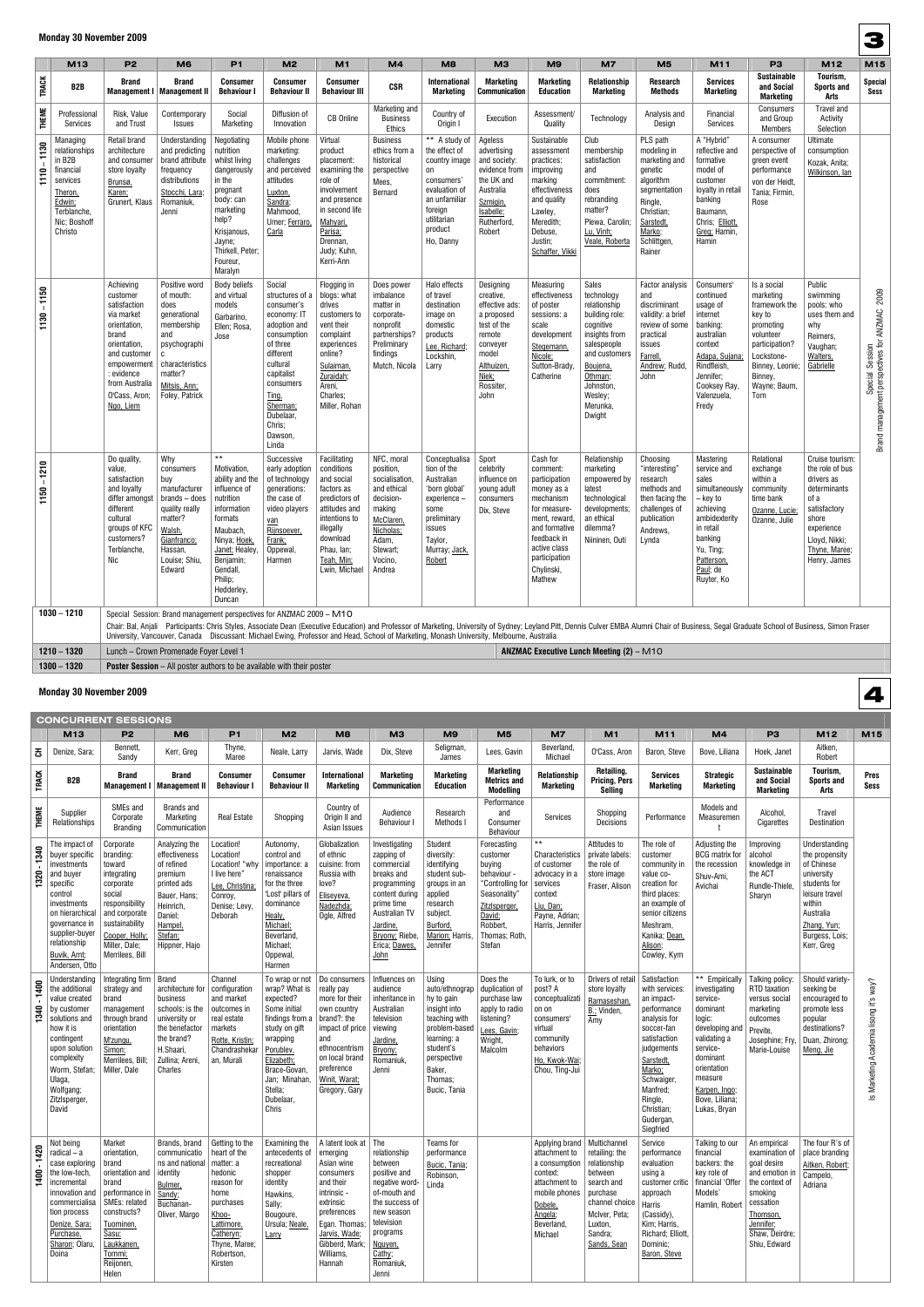### **Monday 30 November 2009**

|                 | M13                                                                                                                           | P <sub>2</sub>                                                                                                                                                                           | M <sub>6</sub>                                                                                                                                               | P <sub>1</sub>                                                                                                                                                                                                  | M <sub>2</sub>                                                                                                                                                                                                        | M1                                                                                                                                                                              | M <sub>4</sub>                                                                                                                                    | M <sub>8</sub>                                                                                                                                          | МЗ                                                                                                                                               | M <sub>9</sub>                                                                                                                                                                             | M7                                                                                                                                                                                       | M <sub>5</sub>                                                                                                                                            | M11                                                                                                                                                                                                                            | P <sub>3</sub>                                                                                                                                                     | M12                                                                                                                                                               | M15                                                              |
|-----------------|-------------------------------------------------------------------------------------------------------------------------------|------------------------------------------------------------------------------------------------------------------------------------------------------------------------------------------|--------------------------------------------------------------------------------------------------------------------------------------------------------------|-----------------------------------------------------------------------------------------------------------------------------------------------------------------------------------------------------------------|-----------------------------------------------------------------------------------------------------------------------------------------------------------------------------------------------------------------------|---------------------------------------------------------------------------------------------------------------------------------------------------------------------------------|---------------------------------------------------------------------------------------------------------------------------------------------------|---------------------------------------------------------------------------------------------------------------------------------------------------------|--------------------------------------------------------------------------------------------------------------------------------------------------|--------------------------------------------------------------------------------------------------------------------------------------------------------------------------------------------|------------------------------------------------------------------------------------------------------------------------------------------------------------------------------------------|-----------------------------------------------------------------------------------------------------------------------------------------------------------|--------------------------------------------------------------------------------------------------------------------------------------------------------------------------------------------------------------------------------|--------------------------------------------------------------------------------------------------------------------------------------------------------------------|-------------------------------------------------------------------------------------------------------------------------------------------------------------------|------------------------------------------------------------------|
| <b>TRACK</b>    | B2B                                                                                                                           | <b>Brand</b>                                                                                                                                                                             | <b>Brand</b><br>Management I   Management II                                                                                                                 | <b>Consumer</b><br><b>Behaviour I</b>                                                                                                                                                                           | <b>Consumer</b><br><b>Behaviour II</b>                                                                                                                                                                                | Consumer<br><b>Behaviour III</b>                                                                                                                                                | <b>CSR</b>                                                                                                                                        | <b>International</b><br><b>Marketing</b>                                                                                                                | <b>Marketing</b><br><b>Communication</b>                                                                                                         | <b>Marketing</b><br><b>Education</b>                                                                                                                                                       | Relationship<br><b>Marketing</b>                                                                                                                                                         | Research<br><b>Methods</b>                                                                                                                                | <b>Services</b><br><b>Marketing</b>                                                                                                                                                                                            | <b>Sustainable</b><br>and Social<br><b>Marketing</b>                                                                                                               | Tourism,<br><b>Sports and</b><br>Arts                                                                                                                             | <b>Special</b><br>Sess                                           |
| <b>THEME</b>    | Professional<br>Services                                                                                                      | Risk, Value<br>and Trust                                                                                                                                                                 | Contemporary<br><b>Issues</b>                                                                                                                                | Social<br>Marketing                                                                                                                                                                                             | Diffusion of<br>Innovation                                                                                                                                                                                            | <b>CB Online</b>                                                                                                                                                                | Marketing and<br><b>Business</b><br>Ethics                                                                                                        | Country of<br>Origin I                                                                                                                                  | Execution                                                                                                                                        | Assessment/<br>Quality                                                                                                                                                                     | Technology                                                                                                                                                                               | Analysis and<br>Design                                                                                                                                    | Financial<br>Services                                                                                                                                                                                                          | Consumers<br>and Group<br><b>Members</b>                                                                                                                           | Travel and<br>Activity<br>Selection                                                                                                                               |                                                                  |
| $1110 - 1130$   | Managing<br>relationships<br>in $B2B$<br>financial<br>services<br>Theron,<br>Edwin;<br>Terblanche,<br>Nic; Boshoff<br>Christo | <b>Retail brand</b><br>architecture<br>and consumer<br>store loyalty<br>Brunsø,<br>Karen;<br>Grunert, Klaus                                                                              | Understanding<br>and predicting<br>brand attribute<br>frequency<br>distributions<br>Stocchi, Lara;<br>Romaniuk,<br>Jenni                                     | Negotiating<br>nutrition<br>whilst living<br>dangerously<br>in the<br>pregnant<br>body: can<br>marketing<br>help?<br>Krisjanous,<br>Jayne;<br>Thirkell, Peter;<br>Foureur,<br>Maralyn                           | Mobile phone<br>marketing:<br>challenges<br>and perceived<br>attitudes<br>Luxton,<br>Sandra;<br>Mahmood,<br>Umer; Ferraro,<br>Carla                                                                                   | Virtual<br>product<br>placement:<br>examining the<br>role of<br>involvement<br>and presence<br>in second life<br>Mahyari,<br>Parisa;<br>Drennan,<br>Judy; Kuhn,<br>Kerri-Ann    | <b>Business</b><br>ethics from a<br>historical<br>perspective<br>Mees,<br>Bernard                                                                 | ** A study of<br>the effect of<br>country image<br>on<br>consumers'<br>evaluation of<br>an unfamiliar<br>foreign<br>utilitarian<br>product<br>Ho, Danny | Ageless<br>advertising<br>and society:<br>evidence from<br>the UK and<br>Australia<br>Szmigin,<br>Isabelle;<br>Rutherford,<br>Robert             | Sustainable<br>assessment<br>practices:<br>improving<br>marking<br>effectiveness<br>and quality<br>Lawley,<br>Meredith;<br>Debuse,<br>Justin;<br>Schaffer, Vikki                           | Club<br>membership<br>satisfaction<br>and<br>commitment:<br>does<br>rebranding<br>matter?<br>Plewa, Carolin;<br>Lu, Vinh;<br>Veale, Roberta                                              | PLS path<br>modeling in<br>marketing and<br>genetic<br>algorithm<br>segmentation<br>Ringle,<br>Christian;<br>Sarstedt,<br>Marko;<br>Schlittgen,<br>Rainer | A "Hybrid"<br>reflective and<br>formative<br>model of<br>customer<br>loyalty in retail<br>banking<br>Baumann,<br>Chris; Elliott,<br>Greg; Hamin,<br>Hamin                                                                      | A consumer<br>perspective of<br>green event<br>performance<br>von der Heidt,<br>Tania; Firmin,<br>Rose                                                             | Ultimate<br>consumption<br>Kozak, Anita;<br>Wilkinson, lan                                                                                                        |                                                                  |
| $1130 - 1150$   |                                                                                                                               | Achieving<br>customer<br>satisfaction<br>via market<br>orientation,<br>brand<br>orientation,<br>and customer<br>empowermen<br>: evidence<br>from Australia<br>O'Cass, Aron;<br>Ngo, Liem | Positive word<br>of mouth:<br>does<br>generational<br>membership<br>and<br>psychographi<br>C<br>characteristics<br>matter?<br>Mitsis, Ann;<br>Foley, Patrick | <b>Body beliefs</b><br>and virtual<br>models<br>Garbarino,<br>Ellen; Rosa,<br>Jose                                                                                                                              | Social<br>structures of a<br>consumer's<br>economy: IT<br>adoption and<br>consumption<br>of three<br>different<br>cultural<br>capitalist<br>consumers<br>Ting,<br>Sherman;<br>Dubelaar,<br>Chris;<br>Dawson,<br>Linda | Flogging in<br>blogs: what<br>drives<br>customers to<br>vent their<br>complaint<br>experiences<br>online?<br>Sulaiman,<br>Zuraidah;<br>Areni,<br>Charles;<br>Miller, Rohan      | Does power<br>imbalance<br>matter in<br>corporate-<br>nonprofit<br>partnerships?<br>Preliminary<br>findings<br>Mutch, Nicola                      | Halo effects<br>of travel<br>destination<br>image on<br>domestic<br>products<br>Lee, Richard;<br>Lockshin,<br>Larry                                     | Designing<br>creative,<br>effective ads:<br>a proposed<br>test of the<br>remote<br>conveyer<br>model<br>Althuizen,<br>Niek;<br>Rossiter,<br>John | Measuring<br>effectiveness<br>of poster<br>sessions: a<br>scale<br>development<br>Stegemann,<br>Nicole;<br>Sutton-Brady.<br>Catherine                                                      | Sales<br>technology<br>relationship<br>building role:<br>cognitive<br>insights from<br>salespeople<br>and customers<br>Boujena,<br>Othman;<br>Johnston,<br>Wesley;<br>Merunka,<br>Dwight | Factor analysis<br>and<br>discriminant<br>validity: a brief<br>review of some<br>practical<br>issues<br>Farrell.<br>Andrew; Rudd,<br>John                 | Consumers'<br>continued<br>usage of<br>internet<br>banking:<br>australian<br>context<br>Adapa, Sujana;<br>Rindfleish<br>Jennifer;<br>Cooksey Ray,<br>Valenzuela,<br>Fredy                                                      | Is a social<br>marketing<br>framework the<br>key to<br>promoting<br>volunteer<br>participation?<br>Lockstone-<br>Binney, Leonie;<br>Binney,<br>Wayne; Baum,<br>Tom | Public<br>swimming<br>pools: who<br>uses them and<br>why<br>Reimers,<br>Vaughan;<br>Walters,<br>Gabrielle                                                         | Special Session<br>Brand management perspectives for ANZMAC 2009 |
| $-1210$<br>1150 |                                                                                                                               | Do quality,<br>value,<br>satisfaction<br>and loyalty<br>differ amongst<br>different<br>cultural<br>groups of KFC<br>customers?<br>Terblanche,<br>Nic                                     | Why<br>consumers<br>buy<br>manufacturer<br>brands - does<br>quality really<br>matter?<br>Walsh,<br>Gianfranco;<br>Hassan,<br>Louise; Shiu,<br>Edward         | $\star\star$<br>Motivation,<br>ability and the<br>influence of<br>nutrition<br>information<br>formats<br>Maubach,<br>Ninya; Hoek,<br>Janet; Healey,<br>Benjamin;<br>Gendall,<br>Philip;<br>Hedderley,<br>Duncan | Successive<br>early adoption<br>of technology<br>generations:<br>the case of<br>video players<br><u>van</u><br>Riinsoever.<br>Frank;<br>Oppewal,<br>Harmen                                                            | Facilitating<br>conditions<br>and social<br>factors as<br>predictors of<br>attitudes and<br>intentions to<br>illegally<br>download<br>Phau, Ian;<br>Teah, Min;<br>Lwin, Michael | NFC, moral<br>position,<br>socialisation<br>and ethical<br>decision-<br>making<br>McClaren<br>Nicholas;<br>Adam,<br>Stewart;<br>Vocino,<br>Andrea | Conceptualisa<br>tion of the<br>Australian<br>'born global'<br>experience -<br>some<br>preliminary<br>issues<br>Taylor,<br>Murray; Jack,<br>Robert      | Sport<br>celebrity<br>influence on<br>young adult<br>consumers<br>Dix, Steve                                                                     | Cash for<br>comment:<br>participation<br>money as a<br>mechanism<br>for measure-<br>ment, reward,<br>and formative<br>feedback in<br>active class<br>participation<br>Chylinski,<br>Mathew | Relationship<br>marketing<br>empowered by<br>latest<br>technological<br>developments;<br>an ethical<br>dilemma?<br>Niininen, Outi                                                        | Choosing<br>"interesting"<br>research<br>methods and<br>then facing the<br>challenges of<br>publication<br>Andrews,<br>Lynda                              | Mastering<br>service and<br>sales<br>simultaneously<br>– key to<br>achieving<br>ambidexterity<br>in retail<br>banking<br>Yu, Ting;<br>Patterson,<br>Paul; de<br>Ruyter, Ko                                                     | Relational<br>exchange<br>within a<br>community<br>time bank<br>Ozanne, Lucie;<br>Ozanne, Julie                                                                    | Cruise tourism:<br>the role of bus<br>drivers as<br>determinants<br>of a<br>satisfactory<br>shore<br>experience<br>Lloyd, Nikki;<br>Thyne, Maree;<br>Henry, James |                                                                  |
|                 | $1030 - 1210$                                                                                                                 |                                                                                                                                                                                          | Special Session: Brand management perspectives for ANZMAC 2009 - M10                                                                                         |                                                                                                                                                                                                                 |                                                                                                                                                                                                                       |                                                                                                                                                                                 |                                                                                                                                                   |                                                                                                                                                         |                                                                                                                                                  |                                                                                                                                                                                            |                                                                                                                                                                                          |                                                                                                                                                           | Chair: Bal, Anjali Participants: Chris Styles, Associate Dean (Executive Education) and Professor of Marketing, University of Sydney; Leyland Pitt, Dennis Culver EMBA Alumni Chair of Business, Segal Graduate School of Busi |                                                                                                                                                                    |                                                                                                                                                                   |                                                                  |
|                 |                                                                                                                               |                                                                                                                                                                                          | University, Vancouver, Canada Discussant: Michael Ewing, Professor and Head, School of Marketing, Monash University, Melbourne, Australia                    |                                                                                                                                                                                                                 |                                                                                                                                                                                                                       |                                                                                                                                                                                 |                                                                                                                                                   |                                                                                                                                                         |                                                                                                                                                  |                                                                                                                                                                                            |                                                                                                                                                                                          |                                                                                                                                                           |                                                                                                                                                                                                                                |                                                                                                                                                                    |                                                                                                                                                                   |                                                                  |
|                 | $1210 - 1320$                                                                                                                 |                                                                                                                                                                                          | Lunch - Crown Promenade Fover Level 1                                                                                                                        |                                                                                                                                                                                                                 |                                                                                                                                                                                                                       |                                                                                                                                                                                 |                                                                                                                                                   |                                                                                                                                                         |                                                                                                                                                  |                                                                                                                                                                                            | ANZMAC Executive Lunch Meeting (2) - M10                                                                                                                                                 |                                                                                                                                                           |                                                                                                                                                                                                                                |                                                                                                                                                                    |                                                                                                                                                                   |                                                                  |
|                 | $1300 - 1320$                                                                                                                 |                                                                                                                                                                                          | <b>Poster Session</b> - All poster authors to be available with their poster                                                                                 |                                                                                                                                                                                                                 |                                                                                                                                                                                                                       |                                                                                                                                                                                 |                                                                                                                                                   |                                                                                                                                                         |                                                                                                                                                  |                                                                                                                                                                                            |                                                                                                                                                                                          |                                                                                                                                                           |                                                                                                                                                                                                                                |                                                                                                                                                                    |                                                                                                                                                                   |                                                                  |

### **Monday 30 November 2009**

|         | <b>CONCURRENT SESSIONS</b>                                                                                                                                                                                                   |                                                                                                                                                                                   |                                                                                                                                                             |                                                                                                                                                                         |                                                                                                                                                                                                           |                                                                                                                                                                                           |                                                                                                                                                                                       |                                                                                                                                                                         |                                                                                                                                                        |                                                                                                                                               |                                                                                                                                                             |                                                                                                                                                                                                                            |                                                                                                                                                                                                          |                                                                                                                                                                      |                                                                                                                                                                     |                                        |
|---------|------------------------------------------------------------------------------------------------------------------------------------------------------------------------------------------------------------------------------|-----------------------------------------------------------------------------------------------------------------------------------------------------------------------------------|-------------------------------------------------------------------------------------------------------------------------------------------------------------|-------------------------------------------------------------------------------------------------------------------------------------------------------------------------|-----------------------------------------------------------------------------------------------------------------------------------------------------------------------------------------------------------|-------------------------------------------------------------------------------------------------------------------------------------------------------------------------------------------|---------------------------------------------------------------------------------------------------------------------------------------------------------------------------------------|-------------------------------------------------------------------------------------------------------------------------------------------------------------------------|--------------------------------------------------------------------------------------------------------------------------------------------------------|-----------------------------------------------------------------------------------------------------------------------------------------------|-------------------------------------------------------------------------------------------------------------------------------------------------------------|----------------------------------------------------------------------------------------------------------------------------------------------------------------------------------------------------------------------------|----------------------------------------------------------------------------------------------------------------------------------------------------------------------------------------------------------|----------------------------------------------------------------------------------------------------------------------------------------------------------------------|---------------------------------------------------------------------------------------------------------------------------------------------------------------------|----------------------------------------|
|         | M13                                                                                                                                                                                                                          | P <sub>2</sub>                                                                                                                                                                    | M <sub>6</sub>                                                                                                                                              | <b>P1</b>                                                                                                                                                               | M <sub>2</sub>                                                                                                                                                                                            | M <sub>8</sub>                                                                                                                                                                            | M3                                                                                                                                                                                    | M <sub>9</sub>                                                                                                                                                          | M <sub>5</sub>                                                                                                                                         | <b>M7</b>                                                                                                                                     | M1                                                                                                                                                          | M11                                                                                                                                                                                                                        | M4                                                                                                                                                                                                       | P <sub>3</sub>                                                                                                                                                       | M12                                                                                                                                                                 | M15                                    |
|         | 공<br>Denize, Sara:                                                                                                                                                                                                           | Bennett,<br>Sandy                                                                                                                                                                 | Kerr, Greg                                                                                                                                                  | Thyne,<br>Maree                                                                                                                                                         | Neale, Larry                                                                                                                                                                                              | Jarvis, Wade                                                                                                                                                                              | Dix. Steve                                                                                                                                                                            | Seligman,<br>James                                                                                                                                                      | Lees. Gavin                                                                                                                                            | Beverland,<br>Michael                                                                                                                         | O'Cass, Aron                                                                                                                                                | Baron, Steve                                                                                                                                                                                                               | Bove. Liliana                                                                                                                                                                                            | Hoek. Janet                                                                                                                                                          | Aitken,<br>Robert                                                                                                                                                   |                                        |
|         | <b>TRACK</b><br>B <sub>2B</sub>                                                                                                                                                                                              | <b>Brand</b>                                                                                                                                                                      | <b>Brand</b><br>Management I   Management II                                                                                                                | <b>Consumer</b><br><b>Behaviour I</b>                                                                                                                                   | <b>Consumer</b><br><b>Behaviour II</b>                                                                                                                                                                    | <b>International</b><br><b>Marketing</b>                                                                                                                                                  | <b>Marketing</b><br><b>Communication</b>                                                                                                                                              | Marketing<br><b>Education</b>                                                                                                                                           | <b>Marketing</b><br><b>Metrics and</b><br>Modelling                                                                                                    | Relationship<br>Marketing                                                                                                                     | Retailing,<br>Pricing, Pers<br>Selling                                                                                                                      | <b>Services</b><br><b>Marketing</b>                                                                                                                                                                                        | <b>Strategic</b><br><b>Marketing</b>                                                                                                                                                                     | <b>Sustainable</b><br>and Social<br><b>Marketing</b>                                                                                                                 | Tourism.<br><b>Sports and</b><br>Arts                                                                                                                               | Pres<br><b>Sess</b>                    |
|         | <b>THEME</b><br>Supplier<br>Relationships                                                                                                                                                                                    | SME <sub>s</sub> and<br>Corporate<br><b>Branding</b>                                                                                                                              | <b>Brands and</b><br>Marketing<br>Communication                                                                                                             | <b>Real Estate</b>                                                                                                                                                      | Shopping                                                                                                                                                                                                  | Country of<br>Origin II and<br>Asian Issues                                                                                                                                               | Audience<br><b>Behaviour I</b>                                                                                                                                                        | Research<br>Methods I                                                                                                                                                   | Performance<br>and<br>Consumer<br>Behaviour                                                                                                            | <b>Services</b>                                                                                                                               | Shopping<br>Decisions                                                                                                                                       | Performance                                                                                                                                                                                                                | Models and<br>Measuremen<br>$\ddagger$                                                                                                                                                                   | Alcohol,<br>Cigarettes                                                                                                                                               | Travel<br><b>Destination</b>                                                                                                                                        |                                        |
|         | The impact of<br>$-1340$<br>buyer specific<br>investments<br>1320<br>and buyer<br>specific<br>control<br>investments<br>on hierarchical<br>governance in<br>supplier-buyer<br>relationship<br>Buvik, Arnt;<br>Andersen, Otto | Corporate<br>branding:<br>toward<br>integrating<br>corporate<br>social<br>responsibility<br>and corporate<br>sustainability<br>Cooper, Holly;<br>Miller. Dale:<br>Merrilees. Bill | Analyzing the<br>effectiveness<br>of refined<br>premium<br>printed ads<br>Bauer, Hans:<br>Heinrich.<br>Daniel;<br>Hampel,<br>Stefan;<br>Hippner, Hajo       | Location!<br>Location!<br>Location! "why<br>I live here"<br>Lee, Christina;<br>Conroy,<br>Denise; Levy,<br>Deborah                                                      | Autonomy,<br>control and<br>importance: a<br>renaissance<br>for the three<br>'Lost' pillars of<br>dominance<br>Healy.<br>Michael;<br>Beverland,<br>Michael:<br>Oppewal,<br>Harmen                         | Globalization<br>of ethnic<br>cuisine: from<br>Russia with<br>love?<br>Eliseyeva,<br>Nadezhda;<br>Ogle, Alfred                                                                            | Investigating<br>zapping of<br>commercial<br>breaks and<br>programming<br>content during<br>prime time<br>Australian TV<br>Jardine,<br>Bryony; Riebe,<br>Erica; Dawes,<br>John        | Student<br>diversity:<br>identifying<br>student sub-<br>groups in an<br>applied<br>research<br>subject.<br>Burford,<br>Marion; Harris,<br>Jennifer                      | Forecasting<br>customer<br>buying<br>behaviour -<br>"Controlling for<br>Seasonality"<br>Zitzlsperger,<br>David;<br>Robbert,<br>Thomas; Roth,<br>Stefan | $\star\star$<br>Characteristics<br>of customer<br>advocacy in a<br>services<br>context<br>Liu, Dan;<br>Payne, Adrian;<br>Harris, Jennifer     | Attitudes to<br>private labels:<br>the role of<br>store image<br>Fraser, Alison                                                                             | The role of<br>customer<br>community in<br>value co-<br>creation for<br>third places:<br>an example of<br>senior citizens<br>Meshram,<br>Kanika; Dean,<br>Alison;<br>Cowley, Kym                                           | Adjusting the<br><b>BCG</b> matrix for<br>the recession<br>Shuv-Ami.<br>Avichai                                                                                                                          | Improving<br>alcohol<br>knowledge in<br>the ACT<br>Rundle-Thiele,<br>Sharyn                                                                                          | Understanding<br>the propensity<br>of Chinese<br>university<br>students for<br>leisure travel<br>within<br>Australia<br>Zhang, Yun;<br>Burgess, Lois;<br>Kerr, Greg |                                        |
| $-1400$ | Understanding<br>the additional<br>value created<br>1340<br>by customer<br>solutions and<br>how it is<br>contingent<br>upon solution<br>complexity<br>Worm, Stefan;<br>Ulaga,<br>Wolfgang;<br>ZitzIsperger,<br>David         | Integrating firm<br>strategy and<br>brand<br>management<br>through brand<br>orientation<br>M'zungu,<br>Simon:<br>Merrilees, Bill;<br>Miller, Dale                                 | <b>Brand</b><br>architecture for<br>business<br>schools: is the<br>university or<br>the benefactor<br>the brand?<br>H.Shaari,<br>Zullina; Areni,<br>Charles | Channel<br>configuration<br>and market<br>outcomes in<br>real estate<br>markets<br>Rotte, Kristin;<br>Chandrashekar<br>an, Murali                                       | To wrap or not<br>wrap? What is<br>expected?<br>Some initial<br>findings from a<br>study on gift<br>wrapping<br>Porublev,<br>Elizabeth;<br>Brace-Govan,<br>Jan: Minahan.<br>Stella:<br>Dubelaar,<br>Chris | Do consumers<br>really pay<br>more for their<br>own country<br>brand?: the<br>impact of price<br>and<br>ethnocentrism<br>on local brand<br>preference<br>Winit, Warat;<br>Gregory, Gary   | Influences on<br>audience<br>inheritance in<br>Australian<br>television<br>viewing<br>Jardine,<br>Bryony;<br>Romaniuk,<br>Jenni                                                       | Using<br>auto/ethnograp<br>hy to gain<br>insight into<br>teaching with<br>problem-based<br>learning: a<br>student's<br>perspective<br>Baker,<br>Thomas:<br>Bucic, Tania | Does the<br>duplication of<br>purchase law<br>apply to radio<br>listening?<br>Lees, Gavin;<br>Wright,<br>Malcolm                                       | To lurk, or to<br>post? A<br>conceptualizati<br>on on<br>consumers'<br>virtual<br>community<br>behaviors<br>Ho, Kwok-Wai;<br>Chou, Ting-Jui   | Drivers of retail<br>store loyalty<br>Ramaseshan.<br>B.; Vinden,<br>Amy                                                                                     | Satisfaction<br>with services:<br>an impact-<br>performance<br>analysis for<br>soccer-fan<br>satisfaction<br>judgements<br>Sarstedt,<br>Marko;<br>Schwaiger,<br>Manfred;<br>Ringle,<br>Christian:<br>Gudergan<br>Siegfried | ** Empirically<br>investigating<br>service-<br>dominant<br>logic:<br>developing and<br>validating a<br>service-<br>dominant<br>orientation<br>measure<br>Karpen, Ingo;<br>Bove, Liliana;<br>Lukas, Bryan | Talking policy:<br><b>RTD</b> taxation<br>versus social<br>marketing<br>outcomes<br>Previte.<br>Josephine; Fry,<br>Marie-Louise                                      | Should variety-<br>seeking be<br>encouraged to<br>promote less<br>popular<br>destinations?<br>Duan, Zhirong;<br>Meng, Jie                                           | Is Marketing Academia lisong it's way? |
| 1400    | Not being<br>$-1420$<br>radical - a<br>case exploring<br>the low-tech,<br>incremental<br>innovation and<br>commercialisa<br>tion process<br>Denize, Sara;<br>Purchase,<br>Sharon; Olaru,<br>Doina                            | Market<br>orientation.<br>brand<br>orientation and<br>brand<br>performance in<br>SMEs: related<br>constructs?<br>Tuominen,<br>Sasu:<br>Laukkanen,<br>Tommi;<br>Reijonen,<br>Helen | Brands, brand<br>communicatio<br>ns and national<br>identity<br>Bulmer,<br>Sandy;<br>Buchanan-<br>Oliver, Margo                                             | Getting to the<br>heart of the<br>matter: a<br>hedonic<br>reason for<br>home<br>purchases<br>Khoo-<br>Lattimore,<br>Catheryn;<br>Thyne, Maree;<br>Robertson,<br>Kirsten | Examining the<br>antecedents of<br>recreational<br>shopper<br>identity<br>Hawkins,<br>Sally;<br>Bougoure,<br>Ursula; Neale,<br>Larry                                                                      | A latent look at<br>emerging<br>Asian wine<br>consumers<br>and their<br>intrinsic -<br>extrinsic<br>preferences<br>Egan, Thomas<br>Jarvis, Wade;<br>Gibberd, Mark;<br>Williams,<br>Hannah | The<br>relationship<br>between<br>positive and<br>negative word-<br>of-mouth and<br>the success of<br>new season<br>television<br>programs<br>Nguyen,<br>Cathy:<br>Romaniuk,<br>Jenni | Teams for<br>performance<br>Bucic, Tania;<br>Robinson,<br>Linda                                                                                                         |                                                                                                                                                        | Applying brand<br>attachment to<br>a consumption<br>context:<br>attachment to<br>mobile phones<br>Dobele,<br>Angela;<br>Beverland,<br>Michael | Multichannel<br>retailing: the<br>relationship<br>between<br>search and<br>purchase<br>channel choice<br>McIver, Peta;<br>Luxton.<br>Sandra;<br>Sands, Sean | Service<br>performance<br>evaluation<br>using a<br>customer critic<br>approach<br>Harris<br>(Cassidy),<br>Kim; Harris,<br>Richard; Elliott,<br>Dominic;<br>Baron, Steve                                                    | Talking to our<br>financial<br>backers: the<br>key role of<br>financial 'Offer<br>Models'<br>Hamlin, Robert                                                                                              | An empirical<br>examination of<br>goal desire<br>and emotion in<br>the context of<br>smokina<br>cessation<br>Thomson,<br>Jennifer;<br>Shaw, Deirdre;<br>Shiu, Edward | The four R's of<br>place branding<br>Aitken. Robert:<br>Campelo,<br>Adriana                                                                                         |                                        |

3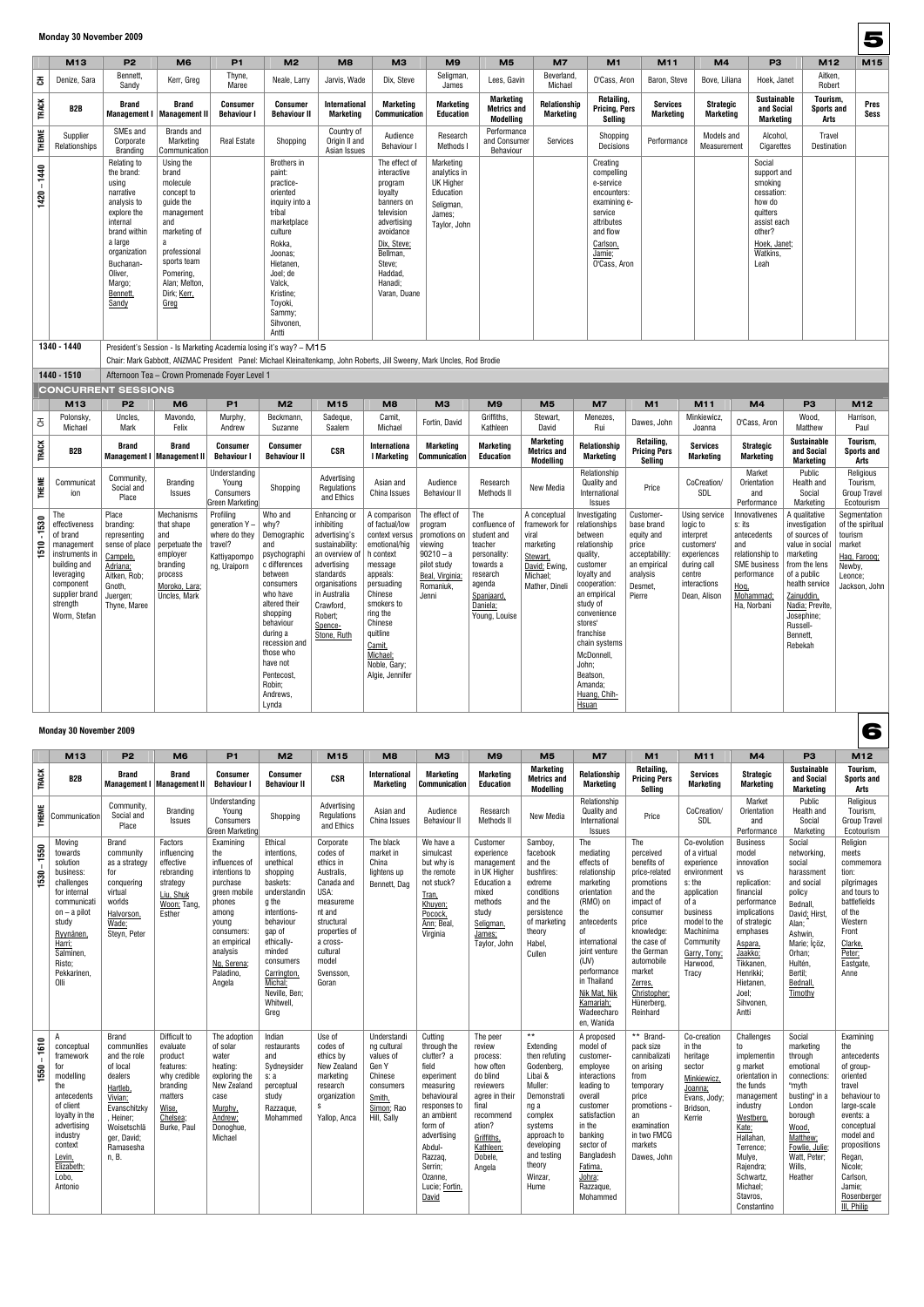|                                                                                                         | M13                                                                                                                                                       | <b>P2</b>                                                                                                                                                                                   | M <sub>6</sub>                                                                                                                                                                          | P <sub>1</sub>                                                                                                 | M <sub>2</sub>                                                                                                                                                                                                                           | M8                                                                                                                                                                                                            | M <sub>3</sub>                                                                                                                                                                                            | M <sub>9</sub>                                                                                                                                             | M <sub>5</sub>                                                                                                                | M <sub>7</sub>                                                                                                 | M <sub>1</sub>                                                                                                                                                                                                                                                                     | M11                                                                                                               | M <sub>4</sub>                                                                                                               | P <sub>3</sub>                                                                                                                             | M12                                                                                                                                                                                                                 | M15                                                                                                         |
|---------------------------------------------------------------------------------------------------------|-----------------------------------------------------------------------------------------------------------------------------------------------------------|---------------------------------------------------------------------------------------------------------------------------------------------------------------------------------------------|-----------------------------------------------------------------------------------------------------------------------------------------------------------------------------------------|----------------------------------------------------------------------------------------------------------------|------------------------------------------------------------------------------------------------------------------------------------------------------------------------------------------------------------------------------------------|---------------------------------------------------------------------------------------------------------------------------------------------------------------------------------------------------------------|-----------------------------------------------------------------------------------------------------------------------------------------------------------------------------------------------------------|------------------------------------------------------------------------------------------------------------------------------------------------------------|-------------------------------------------------------------------------------------------------------------------------------|----------------------------------------------------------------------------------------------------------------|------------------------------------------------------------------------------------------------------------------------------------------------------------------------------------------------------------------------------------------------------------------------------------|-------------------------------------------------------------------------------------------------------------------|------------------------------------------------------------------------------------------------------------------------------|--------------------------------------------------------------------------------------------------------------------------------------------|---------------------------------------------------------------------------------------------------------------------------------------------------------------------------------------------------------------------|-------------------------------------------------------------------------------------------------------------|
| 공                                                                                                       | Denize, Sara                                                                                                                                              | Bennett,<br>Sandy                                                                                                                                                                           | Kerr, Greg                                                                                                                                                                              | Thyne,<br>Maree                                                                                                | Neale, Larry                                                                                                                                                                                                                             | Jarvis, Wade                                                                                                                                                                                                  | Dix, Steve                                                                                                                                                                                                | Seligman<br>James                                                                                                                                          | Lees, Gavin                                                                                                                   | Beverland<br>Michael                                                                                           | O'Cass, Aron                                                                                                                                                                                                                                                                       | Baron, Steve                                                                                                      | Bove, Liliana                                                                                                                | Hoek, Janet                                                                                                                                | Aitken,<br>Robert                                                                                                                                                                                                   |                                                                                                             |
| <b>TRACK</b>                                                                                            | B <sub>2</sub> B                                                                                                                                          | <b>Brand</b><br><b>Management I</b>                                                                                                                                                         | <b>Brand</b><br>  Management II                                                                                                                                                         | <b>Consumer</b><br><b>Behaviour I</b>                                                                          | <b>Consumer</b><br><b>Behaviour II</b>                                                                                                                                                                                                   | <b>International</b><br>Marketing                                                                                                                                                                             | Marketing<br><b>Communication</b>                                                                                                                                                                         | <b>Marketing</b><br><b>Education</b>                                                                                                                       | <b>Marketing</b><br><b>Metrics and</b><br>Modelling                                                                           | Relationship<br><b>Marketing</b>                                                                               | Retailing,<br><b>Pricing, Pers</b><br>Selling                                                                                                                                                                                                                                      | <b>Services</b><br><b>Marketing</b>                                                                               | <b>Strategic</b><br><b>Marketing</b>                                                                                         | <b>Sustainable</b><br>and Social<br><b>Marketing</b>                                                                                       | Tourism,<br><b>Sports and</b><br>Arts                                                                                                                                                                               | Pres<br>Sess                                                                                                |
| <b>THEME</b>                                                                                            | Supplier<br>Relationships                                                                                                                                 | SMEs and<br>Corporate<br><b>Branding</b>                                                                                                                                                    | Brands and<br>Marketing<br>Communication                                                                                                                                                | <b>Real Estate</b>                                                                                             | Shopping                                                                                                                                                                                                                                 | Country of<br>Origin II and<br>Asian Issues                                                                                                                                                                   | Audience<br>Behaviour I                                                                                                                                                                                   | Research<br>Methods I                                                                                                                                      | Performance<br>and Consumer<br>Behaviour                                                                                      | Services                                                                                                       | Shopping<br>Decisions                                                                                                                                                                                                                                                              | Performance                                                                                                       | Models and<br>Measurement                                                                                                    | Alcohol,<br>Cigarettes                                                                                                                     | Travel<br>Destination                                                                                                                                                                                               |                                                                                                             |
| $1420 - 1440$                                                                                           |                                                                                                                                                           | Relating to<br>the brand:<br>using<br>narrative<br>analysis to<br>explore the<br>internal<br>brand within<br>a large<br>organization<br>Buchanan-<br>Oliver,<br>Margo;<br>Bennett,<br>Sandy | Using the<br>brand<br>molecule<br>concept to<br>guide the<br>management<br>and<br>marketing of<br>a<br>professional<br>sports team<br>Pomering,<br>Alan; Melton,<br>Dirk; Kerr,<br>Greg |                                                                                                                | Brothers in<br>paint:<br>practice-<br>oriented<br>inquiry into a<br>tribal<br>marketplace<br>culture<br>Rokka,<br>Joonas;<br>Hietanen,<br>Joel; de<br>Valck,<br>Kristine;<br>Toyoki,<br>Sammy;<br>Sihvonen,                              |                                                                                                                                                                                                               | The effect of<br>interactive<br>program<br>loyalty<br>banners on<br>television<br>advertising<br>avoidance<br>Dix, Steve;<br>Bellman,<br>Steve;<br>Haddad,<br>Hanadi;<br>Varan, Duane                     | Marketing<br>analytics in<br><b>UK Higher</b><br>Education<br>Seligman,<br>James;<br>Taylor, John                                                          |                                                                                                                               |                                                                                                                | Creating<br>compelling<br>e-service<br>encounters:<br>examining e-<br>service<br>attributes<br>and flow<br>Carlson,<br>Jamie;<br>O'Cass, Aron                                                                                                                                      |                                                                                                                   |                                                                                                                              | Social<br>support and<br>smoking<br>cessation:<br>how do<br>quitters<br>assist each<br>other?<br>Hoek, Janet;<br>Watkins,<br>Leah          |                                                                                                                                                                                                                     |                                                                                                             |
|                                                                                                         | 1340 - 1440                                                                                                                                               |                                                                                                                                                                                             | President's Session - Is Marketing Academia losing it's way? - M15                                                                                                                      |                                                                                                                | Antti                                                                                                                                                                                                                                    |                                                                                                                                                                                                               |                                                                                                                                                                                                           |                                                                                                                                                            |                                                                                                                               |                                                                                                                |                                                                                                                                                                                                                                                                                    |                                                                                                                   |                                                                                                                              |                                                                                                                                            |                                                                                                                                                                                                                     |                                                                                                             |
|                                                                                                         |                                                                                                                                                           |                                                                                                                                                                                             | Chair: Mark Gabbott, ANZMAC President Panel: Michael Kleinaltenkamp, John Roberts, Jill Sweeny, Mark Uncles, Rod Brodie                                                                 |                                                                                                                |                                                                                                                                                                                                                                          |                                                                                                                                                                                                               |                                                                                                                                                                                                           |                                                                                                                                                            |                                                                                                                               |                                                                                                                |                                                                                                                                                                                                                                                                                    |                                                                                                                   |                                                                                                                              |                                                                                                                                            |                                                                                                                                                                                                                     |                                                                                                             |
|                                                                                                         | 1440 - 1510                                                                                                                                               |                                                                                                                                                                                             | Afternoon Tea - Crown Promenade Foyer Level 1                                                                                                                                           |                                                                                                                |                                                                                                                                                                                                                                          |                                                                                                                                                                                                               |                                                                                                                                                                                                           |                                                                                                                                                            |                                                                                                                               |                                                                                                                |                                                                                                                                                                                                                                                                                    |                                                                                                                   |                                                                                                                              |                                                                                                                                            |                                                                                                                                                                                                                     |                                                                                                             |
|                                                                                                         |                                                                                                                                                           |                                                                                                                                                                                             |                                                                                                                                                                                         |                                                                                                                |                                                                                                                                                                                                                                          |                                                                                                                                                                                                               |                                                                                                                                                                                                           |                                                                                                                                                            |                                                                                                                               |                                                                                                                |                                                                                                                                                                                                                                                                                    |                                                                                                                   |                                                                                                                              |                                                                                                                                            |                                                                                                                                                                                                                     |                                                                                                             |
|                                                                                                         |                                                                                                                                                           | <b>CONCURRENT SESSIONS</b>                                                                                                                                                                  |                                                                                                                                                                                         | P <sub>1</sub>                                                                                                 |                                                                                                                                                                                                                                          |                                                                                                                                                                                                               |                                                                                                                                                                                                           |                                                                                                                                                            |                                                                                                                               |                                                                                                                | M <sub>7</sub>                                                                                                                                                                                                                                                                     |                                                                                                                   |                                                                                                                              |                                                                                                                                            |                                                                                                                                                                                                                     |                                                                                                             |
|                                                                                                         | M13<br>Polonsky                                                                                                                                           | P <sub>2</sub><br>Uncles,                                                                                                                                                                   | M <sub>6</sub><br>Mavondo,                                                                                                                                                              | Murphy,                                                                                                        | M <sub>2</sub><br>Beckmann,                                                                                                                                                                                                              | M15<br>Sadeque,                                                                                                                                                                                               | M <sub>8</sub><br>Camit,                                                                                                                                                                                  | M <sub>3</sub>                                                                                                                                             | M <sub>9</sub><br>Griffiths,                                                                                                  | M <sub>5</sub><br>Stewart,                                                                                     | Menezes,                                                                                                                                                                                                                                                                           | M1                                                                                                                | M11<br>Minkiewicz,                                                                                                           | M <sub>4</sub>                                                                                                                             | P <sub>3</sub><br>Wood,                                                                                                                                                                                             | M12<br>Harrison,                                                                                            |
| $\mathfrak{S}% _{T}=\mathfrak{S}_{T}\!\left( a,b\right) ,\ \mathfrak{S}_{T}=C_{T}\!\left( a,b\right) ,$ | Michael                                                                                                                                                   | Mark                                                                                                                                                                                        | Felix                                                                                                                                                                                   | Andrew                                                                                                         | Suzanne                                                                                                                                                                                                                                  | Saalem                                                                                                                                                                                                        | Michael                                                                                                                                                                                                   | Fortin, David                                                                                                                                              | Kathleen                                                                                                                      | David                                                                                                          | Rui                                                                                                                                                                                                                                                                                | Dawes, John                                                                                                       | Joanna                                                                                                                       | O'Cass, Aron                                                                                                                               | Matthew                                                                                                                                                                                                             | Paul                                                                                                        |
| <b>TRACK</b>                                                                                            | B <sub>2</sub> B                                                                                                                                          | <b>Brand</b>                                                                                                                                                                                | Brand<br><b>Management I   Management II</b>                                                                                                                                            | <b>Consumer</b><br><b>Behaviour I</b>                                                                          | Consumer<br><b>Behaviour II</b>                                                                                                                                                                                                          | <b>CSR</b>                                                                                                                                                                                                    | <b>Internationa</b><br>I Marketing                                                                                                                                                                        | Marketing<br><b>Communication</b>                                                                                                                          | <b>Marketing</b><br>Education                                                                                                 | <b>Marketing</b><br><b>Metrics and</b><br>Modelling                                                            | Relationship<br>Marketing                                                                                                                                                                                                                                                          | Retailing,<br><b>Pricing Pers</b><br>Selling                                                                      | <b>Services</b><br><b>Marketing</b>                                                                                          | <b>Strategic</b><br>Marketing                                                                                                              | <b>Sustainable</b><br>and Social<br><b>Marketing</b>                                                                                                                                                                | Tourism,<br><b>Sports and</b><br>Arts                                                                       |
| <b>THEME</b>                                                                                            | Communicat<br>ion                                                                                                                                         | Community,<br>Social and<br>Place                                                                                                                                                           | <b>Branding</b><br>Issues                                                                                                                                                               | Understanding<br>Young<br>Consumers<br>Green Marketing                                                         | Shopping                                                                                                                                                                                                                                 | Advertising<br>Regulations<br>and Ethics                                                                                                                                                                      | Asian and<br>China Issues                                                                                                                                                                                 | Audience<br><b>Behaviour II</b>                                                                                                                            | Research<br>Methods II                                                                                                        | New Media                                                                                                      | Relationship<br>Quality and<br>International<br>Issues                                                                                                                                                                                                                             | Price                                                                                                             | CoCreation/<br>SDL                                                                                                           | Market<br>Orientation<br>and<br>Performance                                                                                                | Public<br>Health and<br>Social<br>Marketing                                                                                                                                                                         | Religious<br>Tourism,<br><b>Group Travel</b><br>Ecotourism                                                  |
| 1530<br>1510                                                                                            | The<br>effectiveness<br>of brand<br>management<br>instruments in<br>building and<br>leveraging<br>component<br>supplier brand<br>strength<br>Worm, Stefan | Place<br>branding:<br>representing<br>sense of place<br>Campelo,<br>Adriana;<br>Aitken, Rob;<br>Gnoth,<br>Juergen;<br>Thyne, Maree                                                          | Mechanisms<br>that shape<br>and<br>perpetuate the<br>employer<br>branding<br>process<br>Moroko, Lara;<br>Uncles, Mark                                                                   | Profiling<br>generation $Y -$<br>where do they $\vert$ Demographic<br>travel?<br>Kattiyapornpo<br>ng, Uraiporn | Who and<br>why?<br>and<br>psychographi<br>c differences<br>between<br>consumers<br>who have<br>altered their<br>shopping<br>behaviour<br>during a<br>recession and<br>those who<br>have not<br>Pentecost,<br>Robin;<br>Andrews,<br>Lynda | Enhancing or<br>inhibiting<br>advertising's<br>sustainability:<br>an overview of $ $ h context<br>advertising<br>standards<br>organisations<br>in Australia<br>Crawford,<br>Robert;<br>Spence-<br>Stone, Ruth | A comparison<br>of factual/low<br>emotional/hig<br>message<br>appeals:<br>persuading<br>Chinese<br>smokers to<br>ring the<br>Chinese<br>quitline<br>Camit,<br>Michael;<br>Noble, Gary;<br>Algie, Jennifer | The effect of<br>program<br>context versus   promotions on   student and<br>viewing<br>$90210 - a$<br>pilot study<br>Beal, Virginia;<br>Romaniuk,<br>Jenni | The<br>confluence of<br>teacher<br>personality:<br>towards a<br>research<br>agenda<br>Spanjaard,<br>Daniela;<br>Young, Louise | A conceptual<br>framework for<br>viral<br>marketing<br>Stewart,<br>David: Ewing,<br>Michael;<br>Mather, Dineli | Investigating<br>relationships<br>between<br>relationship<br>quality,<br>customer<br>loyalty and<br>cooperation:<br>an empirical<br>study of<br>convenience<br>stores'<br>franchise<br>chain systems<br>McDonnell,<br>John;<br>Beatson,<br>Amanda;<br>Huang, Chih-<br><u>Hsuan</u> | Customer-<br>base brand<br>equity and<br>price<br>acceptability:<br>an empirical<br>analysis<br>Desmet,<br>Pierre | Using service<br>logic to<br>interpret<br>customers'<br>experiences<br>during call<br>centre<br>interactions<br>Dean, Alison | Innovativenes<br>s: its<br>antecedents<br>and<br>relationship to<br><b>SME</b> business<br>performance<br>Hog,<br>Mohammad:<br>Ha, Norbani | A qualitative<br>investigation<br>of sources of<br>value in social<br>marketing<br>from the lens<br>of a public<br>health service<br>Zainuddin,<br>Nadia: Previte,<br>Josephine;<br>Russell-<br>Bennett,<br>Rebekah | Segmentation<br>of the spiritual<br>tourism<br>market<br>Hag, Faroog;<br>Newby,<br>Leonce;<br>Jackson, John |

#### **Monday 30 November 2009**

|              | M13                                                                                                                                                                                     | P <sub>2</sub>                                                                                                                                                             | M <sub>6</sub>                                                                                                              | <b>P1</b>                                                                                                                                                                                 | M <sub>2</sub>                                                                                                                                                                                                                  | M15                                                                                                                                                                                 | M <sub>8</sub>                                                                                                  | M <sub>3</sub>                                                                                                                                                                                                        | M <sub>9</sub>                                                                                                                                                         | M <sub>5</sub>                                                                                                                                                                                       | M <sub>7</sub>                                                                                                                                                                                                                                      | M1                                                                                                                                                                                                                                  | M11                                                                                                                                                                                   | M <sub>4</sub>                                                                                                                                                                                                                         | P <sub>3</sub>                                                                                                                                                                                | M12                                                                                                                                                                                                                                |
|--------------|-----------------------------------------------------------------------------------------------------------------------------------------------------------------------------------------|----------------------------------------------------------------------------------------------------------------------------------------------------------------------------|-----------------------------------------------------------------------------------------------------------------------------|-------------------------------------------------------------------------------------------------------------------------------------------------------------------------------------------|---------------------------------------------------------------------------------------------------------------------------------------------------------------------------------------------------------------------------------|-------------------------------------------------------------------------------------------------------------------------------------------------------------------------------------|-----------------------------------------------------------------------------------------------------------------|-----------------------------------------------------------------------------------------------------------------------------------------------------------------------------------------------------------------------|------------------------------------------------------------------------------------------------------------------------------------------------------------------------|------------------------------------------------------------------------------------------------------------------------------------------------------------------------------------------------------|-----------------------------------------------------------------------------------------------------------------------------------------------------------------------------------------------------------------------------------------------------|-------------------------------------------------------------------------------------------------------------------------------------------------------------------------------------------------------------------------------------|---------------------------------------------------------------------------------------------------------------------------------------------------------------------------------------|----------------------------------------------------------------------------------------------------------------------------------------------------------------------------------------------------------------------------------------|-----------------------------------------------------------------------------------------------------------------------------------------------------------------------------------------------|------------------------------------------------------------------------------------------------------------------------------------------------------------------------------------------------------------------------------------|
| <b>TRACK</b> | B <sub>2</sub> B                                                                                                                                                                        | <b>Brand</b>                                                                                                                                                               | <b>Brand</b><br><b>Management I   Management II</b>                                                                         | <b>Consumer</b><br><b>Behaviour I</b>                                                                                                                                                     | <b>Consumer</b><br><b>Behaviour II</b>                                                                                                                                                                                          | <b>CSR</b>                                                                                                                                                                          | <b>International</b><br><b>Marketing</b>                                                                        | Marketing<br><b>Communication</b>                                                                                                                                                                                     | <b>Marketing</b><br><b>Education</b>                                                                                                                                   | <b>Marketing</b><br><b>Metrics and</b><br><b>Modelling</b>                                                                                                                                           | Relationship<br><b>Marketing</b>                                                                                                                                                                                                                    | Retailing,<br><b>Pricing Pers</b><br>Sellina                                                                                                                                                                                        | <b>Services</b><br><b>Marketing</b>                                                                                                                                                   | <b>Strategic</b><br><b>Marketing</b>                                                                                                                                                                                                   | <b>Sustainable</b><br>and Social<br><b>Marketing</b>                                                                                                                                          | Tourism,<br>Sports and<br>Arts                                                                                                                                                                                                     |
| <b>THEME</b> | Communication                                                                                                                                                                           | Community.<br>Social and<br>Place                                                                                                                                          | <b>Branding</b><br><b>Issues</b>                                                                                            | Understanding<br>Young<br><b>Consumers</b><br>Green Marketing                                                                                                                             | Shopping                                                                                                                                                                                                                        | Advertising<br>Regulations<br>and Ethics                                                                                                                                            | Asian and<br>China Issues                                                                                       | Audience<br><b>Behaviour II</b>                                                                                                                                                                                       | Research<br><b>Methods II</b>                                                                                                                                          | New Media                                                                                                                                                                                            | Relationship<br>Quality and<br>International<br><b>Issues</b>                                                                                                                                                                                       | Price                                                                                                                                                                                                                               | CoCreation/<br>SDL                                                                                                                                                                    | Market<br>Orientation<br>and<br>Performance                                                                                                                                                                                            | Public<br>Health and<br>Social<br>Marketing                                                                                                                                                   | Religious<br>Tourism,<br><b>Group Travel</b><br>Ecotourism                                                                                                                                                                         |
| 1550<br>1530 | Moving<br>towards<br>solution<br>business:<br>challenges<br>for internal<br>communicati<br>$on - a$ pilot<br>study<br>Ryynänen,<br>Harri:<br>Salminen,<br>Risto;<br>Pekkarinen,<br>Olli | <b>Brand</b><br>community<br>as a strategy<br>for<br>conquering<br>virtual<br>worlds<br>Halvorson,<br>Wade;<br>Steyn, Peter                                                | Factors<br>influencing<br>effective<br>rebranding<br>strategy<br>Liu, Shuk<br>Woon: Tang,<br>Esther                         | Examining<br>the<br>influences of<br>intentions to<br>purchase<br>green mobile<br>phones<br>among<br>young<br>consumers:<br>an empirical<br>analysis<br>Ng. Serena<br>Paladino,<br>Angela | Ethical<br>intentions.<br>unethical<br>shopping<br>baskets:<br>understandin<br>g the<br>intentions-<br>behaviour<br>gap of<br>ethically-<br>minded<br>consumers<br>Carrington,<br>Michal;<br>Neville, Ben;<br>Whitwell,<br>Greg | Corporate<br>codes of<br>ethics in<br>Australis,<br>Canada and<br>USA:<br>measureme<br>nt and<br>structural<br>properties of<br>a cross-<br>cultural<br>model<br>Svensson.<br>Goran | The black<br>market in<br>China<br>lightens up<br>Bennett, Dag                                                  | We have a<br>simulcast<br>but why is<br>the remote<br>not stuck?<br>Tran,<br>Khuyen;<br>Pocock,<br>Ann; Beal,<br>Virginia                                                                                             | Customer<br>experience<br>management<br>in UK Higher<br>Education a<br>mixed<br>methods<br>study<br>Seligman,<br>James;<br>Taylor, John                                | Samboy,<br>facebook<br>and the<br>bushfires:<br>extreme<br>conditions<br>and the<br>persistence<br>of marketing<br>theory<br>Habel,<br>Cullen                                                        | The<br>mediating<br>effects of<br>relationship<br>marketing<br>orientation<br>(RMO) on<br>the<br>antecedents<br>0f<br>international<br>joint venture<br>(UV)<br>performance<br>in Thailand<br>Nik Mat, Nik<br>Kamariah:<br>Wadeecharo<br>en, Wanida | The<br>perceived<br>benefits of<br>price-related<br>promotions<br>and the<br>impact of<br>consumer<br>price<br>knowledge:<br>the case of<br>the German<br>automobile<br>market<br>Zerres,<br>Christopher;<br>Hünerberg,<br>Reinhard | Co-evolution<br>of a virtual<br>experience<br>environment<br>s: the<br>application<br>of a<br>business<br>model to the<br>Machinima<br>Community<br>Garry, Tony;<br>Harwood,<br>Tracy | <b>Business</b><br>model<br>innovation<br><b>VS</b><br>replication:<br>financial<br>performance<br>implications<br>of strategic<br>emphases<br>Aspara,<br>Jaakko;<br>Tikkanen<br>Henrikki:<br>Hietanen.<br>Joel;<br>Sihvonen,<br>Antti | Social<br>networking,<br>social<br>harassment<br>and social<br>policy<br>Bednall,<br>David; Hirst,<br>Alan;<br>Ashwin.<br>Marie; İçöz,<br>Orhan;<br>Hultén,<br>Bertil;<br>Bednall.<br>Timothy | Religion<br>meets<br>commemora<br>tion:<br>pilgrimages<br>and tours to<br>battlefields<br>of the<br>Western<br>Front<br>Clarke,<br>Peter:<br>Eastgate,<br>Anne                                                                     |
| 1610<br>1550 | A<br>conceptual<br>framework<br>for<br>modelling<br>the<br>antecedents<br>of client<br>loyalty in the<br>advertising<br>industry<br>context<br>Levin.<br>Elizabeth;<br>Lobo,<br>Antonio | <b>Brand</b><br>communities<br>and the role<br>of local<br>dealers<br>Hartleb,<br>Vivian;<br>Evanschitzky<br>, Heiner;<br>Woisetschlä<br>ger, David;<br>Ramasesha<br>n, B. | Difficult to<br>evaluate<br>product<br>features:<br>why credible<br>branding<br>matters<br>Wise,<br>Chelsea:<br>Burke, Paul | The adoption<br>of solar<br>water<br>heating:<br>exploring the<br>New Zealand<br>case<br>Murphy,<br>Andrew;<br>Donoghue,<br>Michael                                                       | Indian<br>restaurants<br>and<br>Sydneysider<br>s: a<br>perceptual<br>study<br>Razzaque,<br>Mohammed                                                                                                                             | Use of<br>codes of<br>ethics by<br>New Zealand<br>marketing<br>research<br>organization<br>S<br>Yallop, Anca                                                                        | Understandi<br>ng cultural<br>values of<br>Gen Y<br>Chinese<br>consumers<br>Smith,<br>Simon; Rao<br>Hill, Sally | Cutting<br>through the<br>clutter? a<br>field<br>experiment<br>measuring<br>behavioural<br>responses to<br>an ambient<br>form of<br>advertising<br>Abdul-<br>Razzag,<br>Serrin;<br>Ozanne,<br>Lucie; Fortin,<br>David | The peer<br>review<br>process:<br>how often<br>do blind<br>reviewers<br>agree in their<br>final<br>recommend<br>ation?<br>Griffiths,<br>Kathleen;<br>Dobele.<br>Angela | $\star\star$<br>Extending<br>then refuting<br>Godenberg,<br>Libai &<br>Muller:<br>Demonstrati<br>ng a<br>complex<br>systems<br>approach to<br>developing<br>and testing<br>theory<br>Winzar,<br>Hume | A proposed<br>model of<br>customer-<br>employee<br>interactions<br>leading to<br>overall<br>customer<br>satisfaction<br>in the<br>banking<br>sector of<br>Bangladesh<br>Fatima,<br>Johra;<br>Razzaque,<br>Mohammed                                  | ** Brand-<br>pack size<br>cannibalizati<br>on arising<br>from<br>temporary<br>price<br>promotions ·<br>an<br>examination<br>in two FMCG<br>markets<br>Dawes, John                                                                   | Co-creation<br>in the<br>heritage<br>sector<br>Minkiewicz<br>Joanna;<br>Evans, Jody:<br>Bridson,<br>Kerrie                                                                            | Challenges<br>to<br>implementin<br>g market<br>orientation in<br>the funds<br>management<br>industry<br>Westberg.<br>Kate:<br>Hallahan,<br>Terrence;<br>Mulye,<br>Rajendra;<br>Schwartz,<br>Michael;<br>Stavros,<br>Constantino        | Social<br>marketing<br>through<br>emotional<br>connections:<br>"myth<br>busting" in a<br>London<br>borough<br>Wood,<br>Matthew:<br>Fowlie, Julie;<br>Watt. Peter:<br>Wills,<br>Heather        | Examining<br>the<br>antecedents<br>of group-<br>oriented<br>travel<br>behaviour to<br>large-scale<br>events: a<br>conceptual<br>model and<br>propositions<br>Regan,<br>Nicole;<br>Carlson,<br>Jamie:<br>Rosenberger<br>III, Philip |

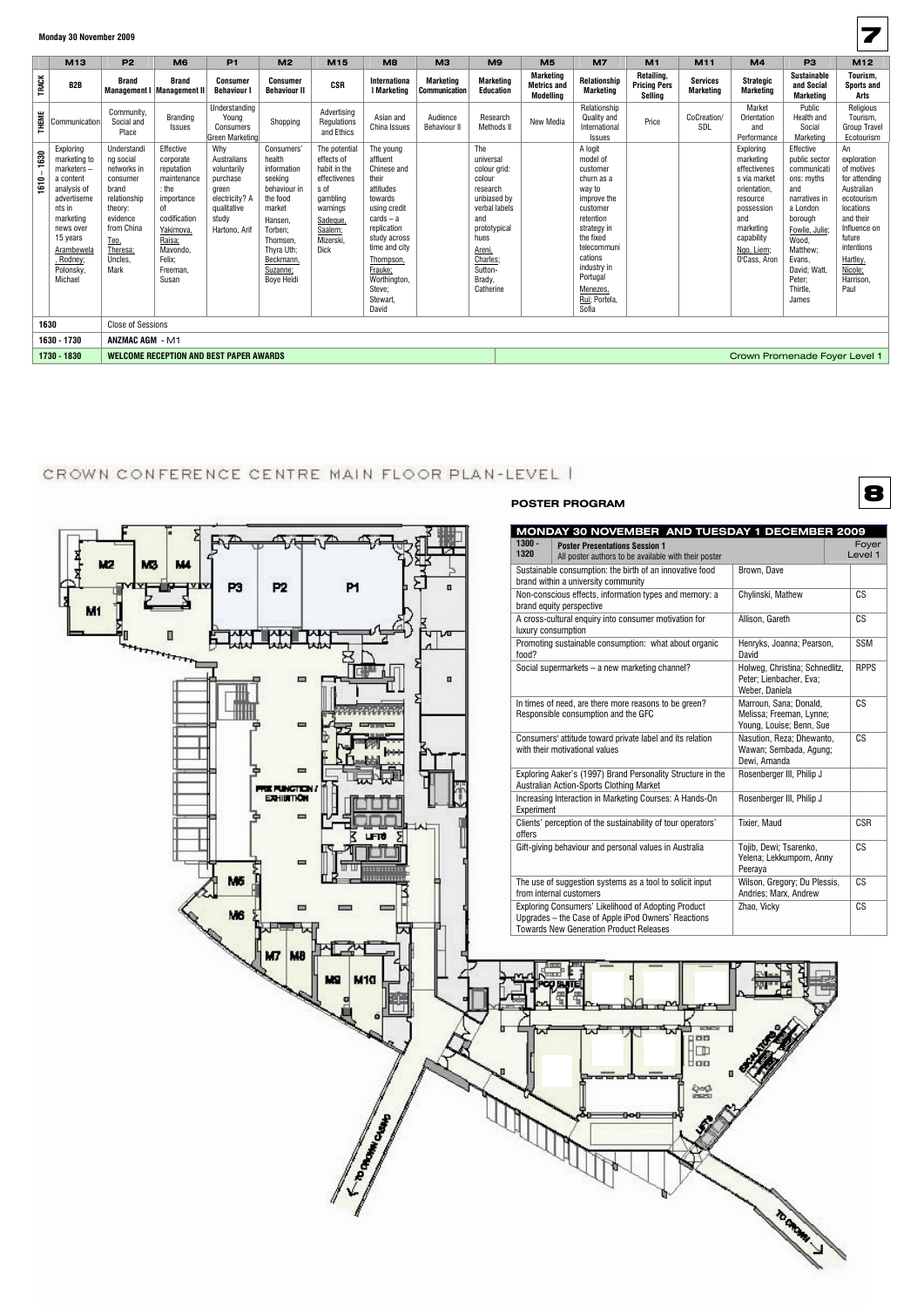|              | M <sub>13</sub>                                                                                                                                                                       | <b>P2</b>                                                                                                                                                | M <sub>6</sub>                                                                                                                                                       | P <sub>1</sub>                                                                                                    | M <sub>2</sub>                                                                                                                                                                     | M15                                                                                                                                            | M <sub>8</sub>                                                                                                                                                                                                              | МЗ                                | M <sub>9</sub>                                                                                                                                                                | M <sub>5</sub>                               | M <sub>7</sub>                                                                                                                                                                                                         | M <sub>1</sub>                               | M <sub>11</sub>                     | M4                                                                                                                                                               | P <sub>3</sub>                                                                                                                                                                                         | M12                                                                                                                                                                                        |
|--------------|---------------------------------------------------------------------------------------------------------------------------------------------------------------------------------------|----------------------------------------------------------------------------------------------------------------------------------------------------------|----------------------------------------------------------------------------------------------------------------------------------------------------------------------|-------------------------------------------------------------------------------------------------------------------|------------------------------------------------------------------------------------------------------------------------------------------------------------------------------------|------------------------------------------------------------------------------------------------------------------------------------------------|-----------------------------------------------------------------------------------------------------------------------------------------------------------------------------------------------------------------------------|-----------------------------------|-------------------------------------------------------------------------------------------------------------------------------------------------------------------------------|----------------------------------------------|------------------------------------------------------------------------------------------------------------------------------------------------------------------------------------------------------------------------|----------------------------------------------|-------------------------------------|------------------------------------------------------------------------------------------------------------------------------------------------------------------|--------------------------------------------------------------------------------------------------------------------------------------------------------------------------------------------------------|--------------------------------------------------------------------------------------------------------------------------------------------------------------------------------------------|
| <b>TRACK</b> | B <sub>2</sub> B                                                                                                                                                                      | <b>Brand</b>                                                                                                                                             | <b>Brand</b><br>Management I   Management II                                                                                                                         | <b>Consumer</b><br><b>Behaviour</b>                                                                               | <b>Consumer</b><br><b>Behaviour II</b>                                                                                                                                             | <b>CSR</b>                                                                                                                                     | <b>Internationa</b><br>I Marketing                                                                                                                                                                                          | Marketing<br><b>Communication</b> | <b>Marketing</b><br><b>Education</b>                                                                                                                                          | Marketing<br><b>Metrics and</b><br>Modellina | Relationship<br>Marketing                                                                                                                                                                                              | Retailing,<br><b>Pricing Pers</b><br>Sellina | <b>Services</b><br><b>Marketing</b> | <b>Strategic</b><br><b>Marketing</b>                                                                                                                             | <b>Sustainable</b><br>and Social<br>Marketing                                                                                                                                                          | Tourism,<br><b>Sports and</b><br>Arts                                                                                                                                                      |
| <b>THEME</b> | Communication                                                                                                                                                                         | Community,<br>Social and<br>Place                                                                                                                        | <b>Branding</b><br>Issues                                                                                                                                            | Understanding<br>Young<br>Consumers<br>Green Marketing                                                            | Shopping                                                                                                                                                                           | Advertising<br>Regulations<br>and Ethics                                                                                                       | Asian and<br>China Issues                                                                                                                                                                                                   | Audience<br><b>Behaviour II</b>   | Research<br>Methods II                                                                                                                                                        | New Media                                    | Relationship<br>Quality and<br>International<br><b>Issues</b>                                                                                                                                                          | Price                                        | CoCreation/<br>SDL                  | Market<br>Orientation<br>and<br>Performance                                                                                                                      | Public<br>Health and<br>Social<br>Marketing                                                                                                                                                            | Religious<br>Tourism,<br><b>Group Travel</b><br>Ecotourism                                                                                                                                 |
| 1630<br>1610 | Exploring<br>marketing to<br>marketers-<br>a content<br>analysis of<br>advertiseme<br>nts in<br>marketing<br>news over<br>15 years<br>Arambewela<br>, Rodney;<br>Polonsky,<br>Michael | Understandi<br>ng social<br>networks in<br>consumer<br>brand<br>relationship<br>theory:<br>evidence<br>from China<br>Teo,<br>Theresa;<br>Uncles.<br>Mark | Effective<br>corporate<br>reputation<br>maintenance<br>$:$ the<br>importance<br>0f<br>codification<br>Yakimova.<br>Raisa;<br>Mavondo,<br>Felix:<br>Freeman.<br>Susan | Why<br>Australians<br>voluntarily<br>purchase<br>green<br>electricity? A<br>qualitative<br>study<br>Hartono, Arif | Consumers'<br>health<br>information<br>seeking<br>behaviour in<br>the food<br>market<br>Hansen.<br>Torben:<br>Thomsen.<br>Thyra Uth;<br>Beckmann,<br>Suzanne;<br><b>Boye Heidi</b> | The potential<br>effects of<br>habit in the<br>effectivenes<br>s of<br>gambling<br>warnings<br>Sadeque,<br>Saalem;<br>Mizerski.<br><b>Dick</b> | The young<br>affluent<br>Chinese and<br>their<br>attitudes<br>towards<br>using credit<br>$cards - a$<br>replication<br>study across<br>time and city<br>Thompson,<br>Frauke;<br>Worthington,<br>Steve;<br>Stewart,<br>David |                                   | The<br>universal<br>colour grid:<br>colour<br>research<br>unbiased by<br>verbal labels<br>and<br>prototypical<br>hues<br>Areni,<br>Charles;<br>Sutton-<br>Brady,<br>Catherine |                                              | A logit<br>model of<br>customer<br>churn as a<br>way to<br>improve the<br>customer<br>retention<br>strategy in<br>the fixed<br>telecommuni<br>cations<br>industry in<br>Portugal<br>Menezes,<br>Rui; Portela,<br>Sofia |                                              |                                     | Exploring<br>marketing<br>effectivenes<br>s via market<br>orientation.<br>resource<br>possession<br>and<br>marketing<br>capability<br>Ngo, Liem;<br>O'Cass, Aron | Effective<br>public sector<br>communicati<br>ons: myths<br>and<br>narratives in<br>a London<br>borough<br>Fowlie, Julie;<br>Wood.<br>Matthew;<br>Evans.<br>David; Watt,<br>Peter;<br>Thirtle,<br>James | An<br>exploration<br>of motives<br>for attending<br>Australian<br>ecotourism<br>locations<br>and their<br>Influence on<br>future<br>intentions<br>Hartley,<br>Nicole;<br>Harrison,<br>Paul |
|              | 1630                                                                                                                                                                                  | <b>Close of Sessions</b>                                                                                                                                 |                                                                                                                                                                      |                                                                                                                   |                                                                                                                                                                                    |                                                                                                                                                |                                                                                                                                                                                                                             |                                   |                                                                                                                                                                               |                                              |                                                                                                                                                                                                                        |                                              |                                     |                                                                                                                                                                  |                                                                                                                                                                                                        |                                                                                                                                                                                            |
|              | 1630 - 1730                                                                                                                                                                           | ANZMAC AGM - M1                                                                                                                                          |                                                                                                                                                                      |                                                                                                                   |                                                                                                                                                                                    |                                                                                                                                                |                                                                                                                                                                                                                             |                                   |                                                                                                                                                                               |                                              |                                                                                                                                                                                                                        |                                              |                                     |                                                                                                                                                                  |                                                                                                                                                                                                        |                                                                                                                                                                                            |
|              | 1730 - 1830                                                                                                                                                                           |                                                                                                                                                          | <b>WELCOME RECEPTION AND BEST PAPER AWARDS</b>                                                                                                                       |                                                                                                                   |                                                                                                                                                                                    |                                                                                                                                                |                                                                                                                                                                                                                             |                                   |                                                                                                                                                                               |                                              |                                                                                                                                                                                                                        |                                              |                                     | Crown Promenade Foyer Level 1                                                                                                                                    |                                                                                                                                                                                                        |                                                                                                                                                                                            |
|              |                                                                                                                                                                                       |                                                                                                                                                          |                                                                                                                                                                      |                                                                                                                   |                                                                                                                                                                                    |                                                                                                                                                |                                                                                                                                                                                                                             |                                   |                                                                                                                                                                               |                                              |                                                                                                                                                                                                                        |                                              |                                     |                                                                                                                                                                  |                                                                                                                                                                                                        |                                                                                                                                                                                            |

# CROWN CONFERENCE CENTRE MAIN FLOOR PLAN-LEVEL |



#### **POSTER PROGRAM**

|                    | MONDAY 30 NOVEMBER AND TUESDAY 1 DECEMBER 2009                                                                                                               |                                                                                |                  |
|--------------------|--------------------------------------------------------------------------------------------------------------------------------------------------------------|--------------------------------------------------------------------------------|------------------|
| $1300 -$<br>1320   | <b>Poster Presentations Session 1</b><br>All poster authors to be available with their poster                                                                |                                                                                | Foyer<br>Level 1 |
|                    | Sustainable consumption: the birth of an innovative food<br>brand within a university community                                                              | Brown, Dave                                                                    |                  |
|                    | Non-conscious effects, information types and memory: a<br>brand equity perspective                                                                           | Chylinski, Mathew                                                              | CS               |
| luxury consumption | A cross-cultural enquiry into consumer motivation for                                                                                                        | Allison, Gareth                                                                | CS               |
| food?              | Promoting sustainable consumption: what about organic                                                                                                        | Henryks, Joanna; Pearson,<br>David                                             | SSM              |
|                    | Social supermarkets - a new marketing channel?                                                                                                               | Holweg, Christina; Schnedlitz,<br>Peter; Lienbacher, Eva;<br>Weber, Daniela    | <b>RPPS</b>      |
|                    | In times of need, are there more reasons to be green?<br>Responsible consumption and the GFC                                                                 | Marroun, Sana; Donald,<br>Melissa; Freeman, Lynne;<br>Young, Louise; Benn, Sue | CS               |
|                    | Consumers' attitude toward private label and its relation<br>with their motivational values                                                                  | Nasution, Reza; Dhewanto,<br>Wawan; Sembada, Agung;<br>Dewi. Amanda            | CS               |
|                    | Exploring Aaker's (1997) Brand Personality Structure in the<br>Australian Action-Sports Clothing Market                                                      | Rosenberger III, Philip J                                                      |                  |
| Experiment         | Increasing Interaction in Marketing Courses: A Hands-On                                                                                                      | Rosenberger III, Philip J                                                      |                  |
| offers             | Clients' perception of the sustainability of tour operators'                                                                                                 | Tixier, Maud                                                                   | <b>CSR</b>       |
|                    | Gift-giving behaviour and personal values in Australia                                                                                                       | Tojib, Dewi; Tsarenko,<br>Yelena; Lekkumporn, Anny<br>Peeraya                  | CS               |
|                    | The use of suggestion systems as a tool to solicit input<br>from internal customers                                                                          | Wilson, Gregory; Du Plessis,<br>Andries; Marx, Andrew                          | CS               |
|                    | Exploring Consumers' Likelihood of Adopting Product<br>Upgrades - the Case of Apple iPod Owners' Reactions<br><b>Towards New Generation Product Releases</b> | Zhao, Vicky                                                                    | CS               |

ð

7

8



**Nomed**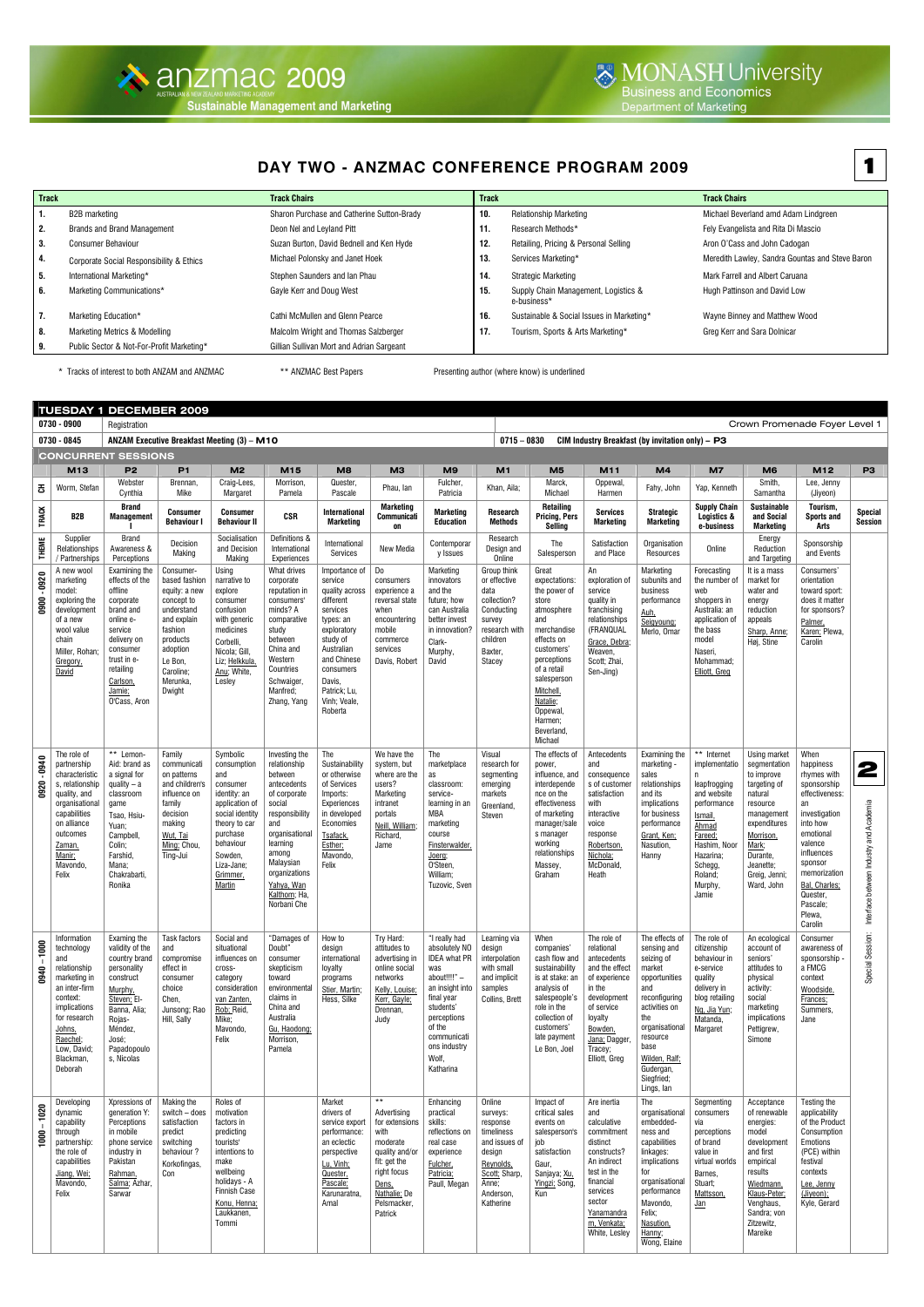## **DAY TWO - ANZMAC CONFERENCE PROGRAM 2009**

| <b>Track</b> |                                           | <b>Track Chairs</b>                        | <b>Track</b> |                                                     | <b>Track Chairs</b>                             |
|--------------|-------------------------------------------|--------------------------------------------|--------------|-----------------------------------------------------|-------------------------------------------------|
| 1.           | B2B marketing                             | Sharon Purchase and Catherine Sutton-Brady | 10.          | <b>Relationship Marketing</b>                       | Michael Beverland amd Adam Lindgreen            |
| 2.           | <b>Brands and Brand Management</b>        | Deon Nel and Leyland Pitt                  | 11.          | Research Methods*                                   | Fely Evangelista and Rita Di Mascio             |
| 3.           | <b>Consumer Behaviour</b>                 | Suzan Burton, David Bednell and Ken Hyde   | 12.          | Retailing, Pricing & Personal Selling               | Aron O'Cass and John Cadogan                    |
| 4.           | Corporate Social Responsibility & Ethics  | Michael Polonsky and Janet Hoek            | 13.          | Services Marketing*                                 | Meredith Lawley, Sandra Gountas and Steve Baron |
| 5.           | International Marketing*                  | Stephen Saunders and Ian Phau              | 14.          | Strategic Marketing                                 | Mark Farrell and Albert Caruana                 |
| 6.           | Marketing Communications*                 | Gayle Kerr and Doug West                   | 15.          | Supply Chain Management, Logistics &<br>e-business* | Hugh Pattinson and David Low                    |
| 7.           | Marketing Education*                      | <b>Cathi McMullen and Glenn Pearce</b>     | 16.          | Sustainable & Social Issues in Marketing*           | Wayne Binney and Matthew Wood                   |
| 8.           | Marketing Metrics & Modelling             | Malcolm Wright and Thomas Salzberger       | 17.          | Tourism, Sports & Arts Marketing*                   | Greg Kerr and Sara Dolnicar                     |
| 9.           | Public Sector & Not-For-Profit Marketing* | Gillian Sullivan Mort and Adrian Sargeant  |              |                                                     |                                                 |

\* Tracks of interest to both ANZAM and ANZMAC **\*\*** ANZMAC Best Papers Presenting author (where know) is underlined

|                 |                                                                                                                                                                                                  | <b>TUESDAY 1 DECEMBER 2009</b>                                                                                                                                                            |                                                                                                                                                                         |                                                                                                                                                                                          |                                                                                                                                                                                                                              |                                                                                                                                                                                                            |                                                                                                                                                                       |                                                                                                                                                                                                          |                                                                                                                                          |                                                                                                                                                                                                                                     |                                                                                                                                                                                           |                                                                                                                                                                                                                        |                                                                                                                                                                                        |                                                                                                                                                                                               |                                                                                                                                                                                                                                     |                                                  |
|-----------------|--------------------------------------------------------------------------------------------------------------------------------------------------------------------------------------------------|-------------------------------------------------------------------------------------------------------------------------------------------------------------------------------------------|-------------------------------------------------------------------------------------------------------------------------------------------------------------------------|------------------------------------------------------------------------------------------------------------------------------------------------------------------------------------------|------------------------------------------------------------------------------------------------------------------------------------------------------------------------------------------------------------------------------|------------------------------------------------------------------------------------------------------------------------------------------------------------------------------------------------------------|-----------------------------------------------------------------------------------------------------------------------------------------------------------------------|----------------------------------------------------------------------------------------------------------------------------------------------------------------------------------------------------------|------------------------------------------------------------------------------------------------------------------------------------------|-------------------------------------------------------------------------------------------------------------------------------------------------------------------------------------------------------------------------------------|-------------------------------------------------------------------------------------------------------------------------------------------------------------------------------------------|------------------------------------------------------------------------------------------------------------------------------------------------------------------------------------------------------------------------|----------------------------------------------------------------------------------------------------------------------------------------------------------------------------------------|-----------------------------------------------------------------------------------------------------------------------------------------------------------------------------------------------|-------------------------------------------------------------------------------------------------------------------------------------------------------------------------------------------------------------------------------------|--------------------------------------------------|
|                 | 0730 - 0900                                                                                                                                                                                      | Registration                                                                                                                                                                              |                                                                                                                                                                         |                                                                                                                                                                                          |                                                                                                                                                                                                                              |                                                                                                                                                                                                            |                                                                                                                                                                       |                                                                                                                                                                                                          |                                                                                                                                          |                                                                                                                                                                                                                                     |                                                                                                                                                                                           |                                                                                                                                                                                                                        |                                                                                                                                                                                        |                                                                                                                                                                                               | Crown Promenade Foyer Level 1                                                                                                                                                                                                       |                                                  |
|                 | 0730 - 0845                                                                                                                                                                                      |                                                                                                                                                                                           | ANZAM Executive Breakfast Meeting (3) - M10                                                                                                                             |                                                                                                                                                                                          |                                                                                                                                                                                                                              |                                                                                                                                                                                                            |                                                                                                                                                                       |                                                                                                                                                                                                          | $0715 - 0830$                                                                                                                            |                                                                                                                                                                                                                                     |                                                                                                                                                                                           | CIM Industry Breakfast (by invitation only) $-$ P3                                                                                                                                                                     |                                                                                                                                                                                        |                                                                                                                                                                                               |                                                                                                                                                                                                                                     |                                                  |
|                 |                                                                                                                                                                                                  | <b>CONCURRENT SESSIONS</b>                                                                                                                                                                |                                                                                                                                                                         |                                                                                                                                                                                          |                                                                                                                                                                                                                              |                                                                                                                                                                                                            |                                                                                                                                                                       |                                                                                                                                                                                                          |                                                                                                                                          |                                                                                                                                                                                                                                     |                                                                                                                                                                                           |                                                                                                                                                                                                                        |                                                                                                                                                                                        |                                                                                                                                                                                               |                                                                                                                                                                                                                                     |                                                  |
|                 | M13                                                                                                                                                                                              | P <sub>2</sub>                                                                                                                                                                            | P <sub>1</sub>                                                                                                                                                          | M <sub>2</sub>                                                                                                                                                                           | M15                                                                                                                                                                                                                          | M8                                                                                                                                                                                                         | M <sub>3</sub>                                                                                                                                                        | M <sub>9</sub>                                                                                                                                                                                           | M1                                                                                                                                       | M <sub>5</sub>                                                                                                                                                                                                                      | M11                                                                                                                                                                                       | M4                                                                                                                                                                                                                     | <b>M7</b>                                                                                                                                                                              | M <sub>6</sub>                                                                                                                                                                                | M12                                                                                                                                                                                                                                 | P <sub>3</sub>                                   |
| 공               | Worm, Stefan                                                                                                                                                                                     | Webster<br>Cynthia                                                                                                                                                                        | Brennan,<br>Mike                                                                                                                                                        | Craig-Lees,<br>Margaret                                                                                                                                                                  | Morrison,<br>Pamela                                                                                                                                                                                                          | Quester,<br>Pascale                                                                                                                                                                                        | Phau, Ian                                                                                                                                                             | Fulcher,<br>Patricia                                                                                                                                                                                     | Khan, Aila;                                                                                                                              | Marck,<br>Michael                                                                                                                                                                                                                   | Oppewal,<br>Harmen                                                                                                                                                                        | Fahy, John                                                                                                                                                                                                             | Yap, Kenneth                                                                                                                                                                           | Smith,<br>Samantha                                                                                                                                                                            | Lee, Jenny<br>(Jiyeon)                                                                                                                                                                                                              |                                                  |
| <b>TRACK</b>    | B2B                                                                                                                                                                                              | <b>Brand</b><br><b>Management</b>                                                                                                                                                         | <b>Consumer</b><br><b>Behaviour I</b>                                                                                                                                   | <b>Consumer</b><br><b>Behaviour II</b>                                                                                                                                                   | <b>CSR</b>                                                                                                                                                                                                                   | International<br>Marketing                                                                                                                                                                                 | Marketing<br><b>Communicati</b><br><b>on</b>                                                                                                                          | <b>Marketing</b><br><b>Education</b>                                                                                                                                                                     | Research<br>Methods                                                                                                                      | <b>Retailing</b><br><b>Pricing, Pers</b><br>Selling                                                                                                                                                                                 | <b>Services</b><br>Marketing                                                                                                                                                              | <b>Strategic</b><br><b>Marketing</b>                                                                                                                                                                                   | <b>Supply Chain</b><br>Logistics &<br>e-business                                                                                                                                       | <b>Sustainable</b><br>and Social<br><b>Marketing</b>                                                                                                                                          | Tourism,<br><b>Sports and</b><br>Arts                                                                                                                                                                                               | <b>Special</b><br><b>Session</b>                 |
| <b>THEME</b>    | Supplier<br>Relationships<br>/ Partnerships                                                                                                                                                      | Brand<br>Awareness &<br>Perceptions                                                                                                                                                       | Decision<br>Making                                                                                                                                                      | Socialisation<br>and Decision<br>Making                                                                                                                                                  | Definitions &<br>International<br>Experiences                                                                                                                                                                                | International<br>Services                                                                                                                                                                                  | New Media                                                                                                                                                             | Contemporar<br>y Issues                                                                                                                                                                                  | Research<br>Design and<br>Online                                                                                                         | The<br>Salesperson                                                                                                                                                                                                                  | Satisfaction<br>and Place                                                                                                                                                                 | Organisation<br>Resources                                                                                                                                                                                              | Online                                                                                                                                                                                 | Energy<br>Reduction<br>and Targeting                                                                                                                                                          | Sponsorship<br>and Events                                                                                                                                                                                                           |                                                  |
| $-0920$<br>0900 | A new wool<br>marketing<br>model:<br>exploring the<br>development<br>of a new<br>wool value<br>chain<br>Miller, Rohan;<br>Gregory,<br>David                                                      | Examining the<br>effects of the<br>offline<br>corporate<br>brand and<br>online e-<br>service<br>delivery on<br>consumer<br>trust in e-<br>retailing<br>Carlson,<br>Jamie;<br>O'Cass, Aron | Consumer-<br>based fashion<br>equity: a new<br>concept to<br>understand<br>and explain<br>fashion<br>products<br>adoption<br>Le Bon,<br>Caroline;<br>Merunka,<br>Dwight | Using<br>narrative to<br>explore<br>consumer<br>confusion<br>with generic<br>medicines<br>Corbelli,<br>Nicola; Gill,<br>Liz; Helkkula,<br>Anu; White,<br>Lesley                          | What drives<br>corporate<br>reputation in<br>consumers'<br>minds? A<br>comparative<br>study<br>between<br>China and<br>Western<br>Countries<br>Schwaiger,<br>Manfred;<br>Zhang, Yang                                         | Importance of<br>service<br>quality across<br>different<br>services<br>types: an<br>exploratory<br>study of<br>Australian<br>and Chinese<br>consumers<br>Davis,<br>Patrick; Lu,<br>Vinh; Veale,<br>Roberta | Do<br>consumers<br>experience a<br>reversal state<br>when<br>encountering<br>mobile<br>commerce<br>services<br>Davis, Robert                                          | Marketing<br>innovators<br>and the<br>future; how<br>can Australia<br>better invest<br>in innovation?<br>Clark-<br>Murphy,<br>David                                                                      | Group think<br>or effective<br>data<br>collection?<br>Conducting<br>survey<br>research with<br>children<br>Baxter,<br>Stacey             | Great<br>expectations:<br>the power of<br>store<br>atmosphere<br>and<br>merchandise<br>effects on<br>customers'<br>perceptions<br>of a retail<br>salesperson<br>Mitchell<br>Natalie;<br>Oppewal<br>Harmen;<br>Beverland,<br>Michael | An<br>exploration of<br>service<br>quality in<br>franchising<br>relationships<br>(FRANQUAL<br>Grace, Debra;<br>Weaven.<br>Scott; Zhai,<br>Sen-Jing)                                       | Marketing<br>subunits and<br>business<br>performance<br>Auh,<br>Seigyoung;<br>Merlo, Omar                                                                                                                              | Forecasting<br>the number of<br>web<br>shoppers in<br>Australia: an<br>application of<br>the bass<br>model<br>Naseri.<br>Mohammad;<br>Elliott, Greg                                    | It is a mass<br>market for<br>water and<br>energy<br>reduction<br>appeals<br>Sharp, Anne;<br>Høj, Stine                                                                                       | Consumers'<br>orientation<br>toward sport:<br>does it matter<br>for sponsors?<br>Palmer,<br>Karen; Plewa,<br>Carolin                                                                                                                |                                                  |
| $-0940$<br>0920 | The role of<br>partnership<br>characteristic<br>s, relationship<br>quality, and<br>organisational<br>capabilities<br>on alliance<br>outcomes<br>Zaman,<br>Manir;<br>Mavondo,<br>Felix            | ** Lemon-<br>Aid: brand as<br>a signal for<br>quality $-$ a<br>classroom<br>game<br>Tsao, Hsiu-<br>Yuan;<br>Campbell,<br>Colin;<br>Farshid,<br>Mana;<br>Chakrabarti,<br>Ronika            | Family<br>communicati<br>on patterns<br>and children's<br>influence on<br>family<br>decision<br>making<br>Wut, Tai<br>Ming; Chou,<br>Ting-Jui                           | Symbolic<br>consumption<br>and<br>consumer<br>identity: an<br>application of<br>social identity<br>theory to car<br>purchase<br>behaviour<br>Sowden,<br>Liza-Jane;<br>Grimmer,<br>Martin | Investing the<br>relationship<br>between<br>antecedents<br>of corporate<br>social<br>responsibility<br>and<br>organisational<br>learning<br>among<br>Malaysian<br>organizations<br>Yahya, Wan<br>Kalthom; Ha,<br>Norbani Che | The<br>Sustainability<br>or otherwise<br>of Services<br>Imports:<br>Experiences<br>in developed<br>Economies<br>Tsafack,<br>Esther;<br>Mavondo,<br>Felix                                                   | We have the<br>system, but<br>where are the<br>users?<br>Marketing<br>intranet<br>portals<br>Neill, William;<br>Richard,<br>Jame                                      | The<br>marketplace<br>as<br>classroom:<br>service-<br>learning in an<br>MBA<br>marketing<br>course<br>Finsterwalder,<br>Joerg;<br>O'Steen,<br>William;<br>Tuzovic, Sven                                  | Visual<br>research for<br>segmenting<br>emerging<br>markets<br>Greenland,<br>Steven                                                      | The effects of<br>power,<br>influence, and<br>interdepende<br>nce on the<br>effectiveness<br>of marketing<br>manager/sale<br>s manager<br>working<br>relationships<br>Massey,<br>Graham                                             | Antecedents<br>and<br>consequence<br>s of customer<br>satisfaction<br>with<br>interactive<br>voice<br>response<br>Robertson,<br>Nichola:<br>McDonald,<br>Heath                            | Examining the<br>marketing -<br>sales<br>relationships<br>and its<br>implications<br>for business<br>performance<br>Grant, Ken;<br>Nasution,<br>Hanny                                                                  | ** Internet<br>implementatio<br>n.<br>leapfrogging<br>and website<br>performance<br>Ismail,<br>Ahmad<br>Fareed;<br>Hashim, Noor<br>Hazarina;<br>Schegg,<br>Roland;<br>Murphy,<br>Jamie | Using market<br>segmentation<br>to improve<br>targeting of<br>natural<br>resource<br>management<br>expenditures<br>Morrison,<br>Mark;<br>Durante,<br>Jeanette;<br>Greig, Jenni;<br>Ward, John | When<br>happiness<br>rhymes with<br>sponsorship<br>effectiveness:<br>an<br>investigation<br>into how<br>emotional<br>valence<br>influences<br>sponsor<br>memorization<br>Bal, Charles;<br>Quester,<br>Pascale;<br>Plewa,<br>Carolin | 2<br>tween Industry and Academia<br>Interface be |
| $-1000$<br>0940 | Information<br>technology<br>and<br>relationship<br>marketing in<br>an inter-firm<br>context:<br>implications<br>for research<br><u>Johns,</u><br>Raechel;<br>Low, David<br>Blackman,<br>Deborah | Examing the<br>validity of the<br>country brand<br>personality<br>construct<br>Murphy,<br>Steven; El-<br>Banna, Alia;<br>Rojas-<br>Méndez,<br>José;<br>Papadopoulo<br>s, Nicolas          | Task factors<br>and<br>compromise<br>effect in<br>consumer<br>choice<br>Chen,<br>Junsong; Rao<br>Hill, Sally                                                            | Social and<br>situational<br>influences on<br>cross-<br>category<br>consideration<br>van Zanten,<br>Rob; Reid,<br>Mike;<br>Mavondo,<br>Felix                                             | "Damages of<br>Doubt"<br>consumer<br>skepticism<br>toward<br>environmental<br>claims in<br>China and<br>Australia<br>Gu. Haodong:<br>Morrison,<br>Pamela                                                                     | How to<br>design<br>international<br>loyalty<br>programs<br>Stier, Martin;<br>Hess, Silke                                                                                                                  | Try Hard:<br>attitudes to<br>advertising in<br>online social<br>networks<br>Kelly. Louise:<br>Kerr, Gayle;<br>Drennan,<br>Judy                                        | "I really had<br>absolutely NO<br><b>IDEA</b> what PR<br>was<br>about!!!!" -<br>an insight into<br>final year<br>students'<br>perceptions<br>of the<br>communicati<br>ons industry<br>Wolf,<br>Katharina | Learning via<br>design<br>interpolation<br>with small<br>and implicit<br>samples<br>Collins, Brett                                       | When<br>companies'<br>cash flow and<br>sustainability<br>is at stake: an<br>analysis of<br>salespeople's<br>role in the<br>collection of<br>customers'<br>late payment<br>Le Bon, Joel                                              | The role of<br>relational<br>antecedents<br>and the effect<br>of experience<br>in the<br>development<br>of service<br>loyalty<br>Bowden,<br>Jana: Dagger,<br>Tracey;<br>Elliott, Greg     | The effects of<br>sensing and<br>seizing of<br>market<br>opportunities<br>and<br>reconfiguring<br>activities on<br>the<br>organisational<br>resource<br>base<br>Wilden, Ralf;<br>Gudergan,<br>Siegfried;<br>Lings, lan | The role of<br>citizenship<br>behaviour in<br>e-service<br>quality<br>delivery in<br>blog retailing<br>Ng, Jia Yun;<br>Matanda,<br>Margaret                                            | An ecological<br>account of<br>seniors'<br>attitudes to<br>physical<br>activity:<br>social<br>marketing<br>implications<br>Pettigrew,<br>Simone                                               | Consumer<br>awareness of<br>sponsorship -<br>a FMCG<br>context<br>Woodside,<br>Frances;<br>Summers,<br>Jane                                                                                                                         | Special Session:                                 |
| $-1020$<br>1000 | Developing<br>dynamic<br>capability<br>through<br>partnership<br>the role of<br>capabilities<br>Jiang, Wei:<br>Mavondo,<br>Felix                                                                 | Xpressions of<br>generation Y:<br>Perceptions<br>in mobile<br>phone service<br>industry in<br>Pakistan<br>Rahman,<br>Salma; Azhar,<br>Sarwar                                              | Making the<br>switch - does<br>satisfaction<br>predict<br>switching<br>behaviour?<br>Korkofingas,<br>Con                                                                | Roles of<br>motivation<br>factors in<br>predicting<br>tourists'<br>intentions to<br>make<br>wellbeing<br>holidays - A<br><b>Finnish Case</b><br>Konu, Henna;<br>Laukkanen,<br>Tommi      |                                                                                                                                                                                                                              | Market<br>drivers of<br>service export<br>performance:<br>an eclectic<br>perspective<br>Lu, Vinh;<br>Quester,<br>Pascale;<br>Karunaratna,<br>Amal                                                          | $\star\star$<br>Advertising<br>for extensions<br>with<br>moderate<br>quality and/or<br>fit: get the<br>right focus<br>Dens,<br>Nathalie: De<br>Pelsmacker,<br>Patrick | Enhancing<br>practical<br>skills:<br>reflections on<br>real case<br>experience<br>Fulcher,<br>Patricia;<br>Paull, Megan                                                                                  | Online<br>surveys:<br>response<br>timeliness<br>and issues of<br>design<br>Reynolds,<br>Scott: Sharp,<br>Anne;<br>Anderson,<br>Katherine | Impact of<br>critical sales<br>events on<br>salesperson's<br>job<br>satisfaction<br>Gaur,<br>Sanjaya; Xu.<br>Yingzi: Song,<br>Kun                                                                                                   | Are inertia<br>and<br>calculative<br>commitment<br>distinct<br>constructs?<br>An indirect<br>test in the<br>financial<br>services<br>sector<br>Yanamandra<br>m, Venkata;<br>White, Lesley | The<br>organisational<br>embedded-<br>ness and<br>capabilities<br>linkages:<br>implications<br>for<br>organisational<br>performance<br>Mavondo,<br>Felix;<br>Nasution,<br>Hanny;<br>Wong, Elaine                       | Segmenting<br>consumers<br>via<br>perceptions<br>of brand<br>value in<br>virtual worlds<br>Barnes,<br>Stuart;<br>Mattsson,<br>Jan                                                      | Acceptance<br>of renewable<br>energies:<br>model<br>development<br>and first<br>empirical<br>results<br>Wiedmann,<br>Klaus-Peter;<br>Venghaus,<br>Sandra; von<br>Zitzewitz,<br>Mareike        | Testing the<br>applicability<br>of the Product<br>Consumption<br>Emotions<br>(PCE) within<br>festival<br>contexts<br>Lee, Jenny<br>(Jiyeon);<br>Kyle, Gerard                                                                        |                                                  |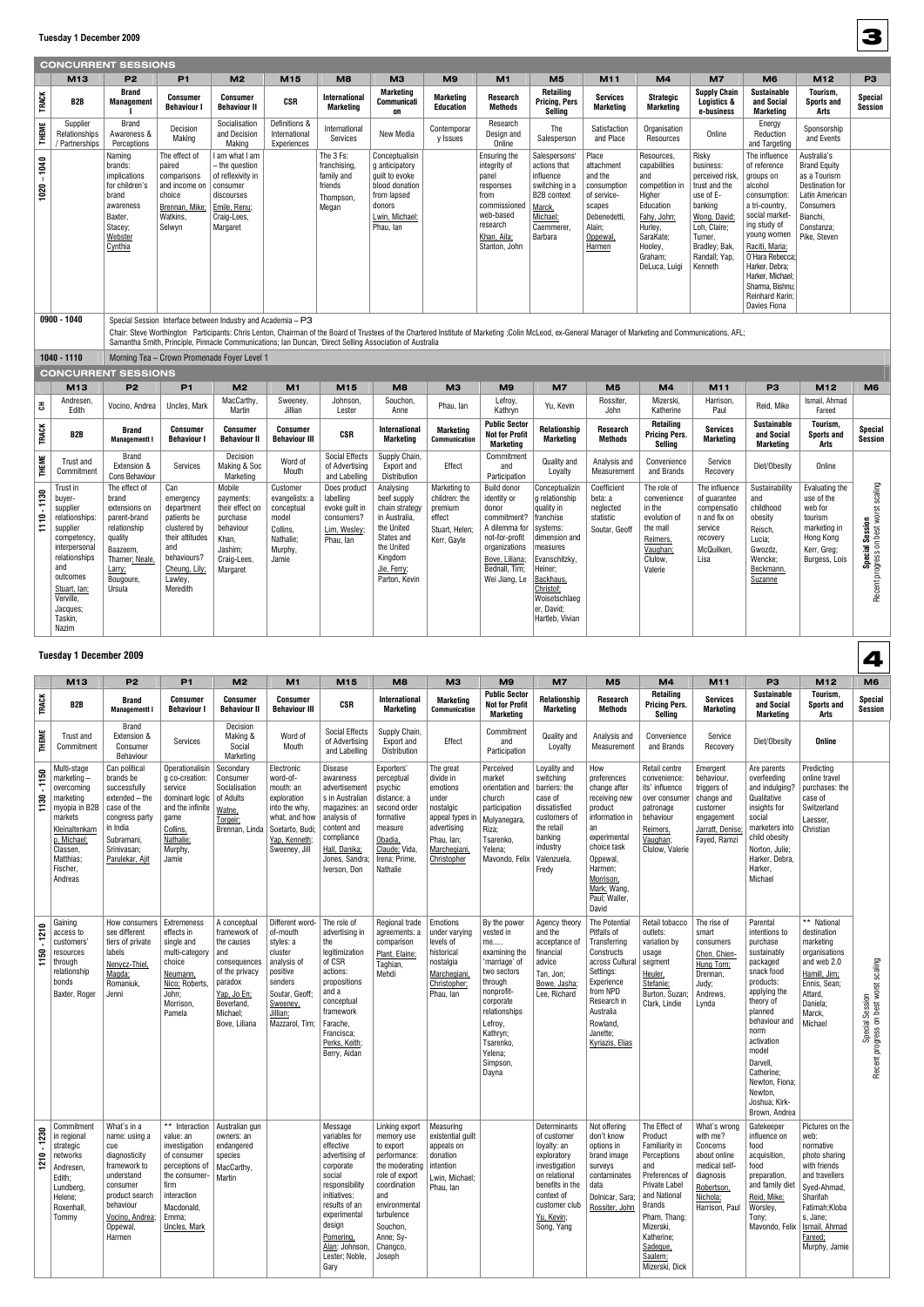|               |                                                                                                                                                                                               | <b>CONCURRENT SESSIONS</b>                                                                                                                        |                                                                                                                                                |                                                                                                                            |                                                                                                |                                                                                       |                                                                                                                                                                                                                                                                                                                    |                                                                                     |                                                                                                                                                                   |                                                                                                                                                                                                              |                                                                                                                        |                                                                                                                                                          |                                                                                                                                                                        |                                                                                                                                                                                                                                                                           |                                                                                                                                                       |                                                                                                  |
|---------------|-----------------------------------------------------------------------------------------------------------------------------------------------------------------------------------------------|---------------------------------------------------------------------------------------------------------------------------------------------------|------------------------------------------------------------------------------------------------------------------------------------------------|----------------------------------------------------------------------------------------------------------------------------|------------------------------------------------------------------------------------------------|---------------------------------------------------------------------------------------|--------------------------------------------------------------------------------------------------------------------------------------------------------------------------------------------------------------------------------------------------------------------------------------------------------------------|-------------------------------------------------------------------------------------|-------------------------------------------------------------------------------------------------------------------------------------------------------------------|--------------------------------------------------------------------------------------------------------------------------------------------------------------------------------------------------------------|------------------------------------------------------------------------------------------------------------------------|----------------------------------------------------------------------------------------------------------------------------------------------------------|------------------------------------------------------------------------------------------------------------------------------------------------------------------------|---------------------------------------------------------------------------------------------------------------------------------------------------------------------------------------------------------------------------------------------------------------------------|-------------------------------------------------------------------------------------------------------------------------------------------------------|--------------------------------------------------------------------------------------------------|
|               | M <sub>13</sub>                                                                                                                                                                               | P <sub>2</sub>                                                                                                                                    | P <sub>1</sub>                                                                                                                                 | M <sub>2</sub>                                                                                                             | M15                                                                                            | M <sub>8</sub>                                                                        | МЗ                                                                                                                                                                                                                                                                                                                 | M <sub>9</sub>                                                                      | M1                                                                                                                                                                | M <sub>5</sub>                                                                                                                                                                                               | M11                                                                                                                    | M4                                                                                                                                                       | <b>M7</b>                                                                                                                                                              | M <sub>6</sub>                                                                                                                                                                                                                                                            | M12                                                                                                                                                   | P <sub>3</sub>                                                                                   |
| <b>TRACK</b>  | B <sub>2</sub> B                                                                                                                                                                              | <b>Brand</b><br><b>Management</b>                                                                                                                 | Consumer<br><b>Behaviour I</b>                                                                                                                 | Consumer<br><b>Behaviour II</b>                                                                                            | <b>CSR</b>                                                                                     | <b>International</b><br><b>Marketing</b>                                              | <b>Marketing</b><br>Communicati<br>on                                                                                                                                                                                                                                                                              | <b>Marketing</b><br><b>Education</b>                                                | <b>Research</b><br>Methods                                                                                                                                        | <b>Retailing</b><br><b>Pricing, Pers</b><br>Sellina                                                                                                                                                          | <b>Services</b><br>Marketing                                                                                           | <b>Strategic</b><br><b>Marketing</b>                                                                                                                     | <b>Supply Chain</b><br>Logistics &<br>e-business                                                                                                                       | <b>Sustainable</b><br>and Social<br><b>Marketing</b>                                                                                                                                                                                                                      | Tourism,<br><b>Sports and</b><br>Arts                                                                                                                 | <b>Special</b><br><b>Session</b>                                                                 |
| <b>THEME</b>  | Supplier<br>Relationships<br>/ Partnerships                                                                                                                                                   | <b>Brand</b><br>Awareness &<br>Perceptions                                                                                                        | Decision<br>Making                                                                                                                             | Socialisation<br>and Decision<br>Making                                                                                    | Definitions &<br>International<br>Experiences                                                  | International<br>Services                                                             | New Media                                                                                                                                                                                                                                                                                                          | Contemporar<br>y Issues                                                             | Research<br>Design and<br>Online                                                                                                                                  | The<br>Salesperson                                                                                                                                                                                           | Satisfaction<br>and Place                                                                                              | Organisation<br>Resources                                                                                                                                | Online                                                                                                                                                                 | Energy<br>Reduction<br>and Targeting                                                                                                                                                                                                                                      | Sponsorship<br>and Events                                                                                                                             |                                                                                                  |
| $1020 - 1040$ |                                                                                                                                                                                               | Naming<br>brands:<br><i>implications</i><br>for children's<br>brand<br>awareness<br>Baxter,<br>Stacey;<br>Webster<br>Cynthia                      | The effect of<br>paired<br>comparisons<br>and income on<br>choice<br>Brennan, Mike:<br>Watkins,<br>Selwyn                                      | I am what I am<br>- the question<br>of reflexivity in<br>consumer<br>discourses<br>Emile, Renu;<br>Craig-Lees,<br>Margaret |                                                                                                | The 3 Fs:<br>franchising,<br>family and<br>friends<br>Thompson,<br>Megan              | Conceptualisin<br>g anticipatory<br>quilt to evoke<br>blood donation<br>from lapsed<br>donors<br>Lwin, Michael;<br>Phau, Ian                                                                                                                                                                                       |                                                                                     | Ensuring the<br>integrity of<br>panel<br>responses<br>from<br>commissioned<br>web-based<br>research<br>Khan, Aila;<br>Stanton, John                               | Salespersons'<br>actions that<br>influence<br>switching in a<br><b>B2B</b> context<br>Marck,<br>Michael;<br>Caemmerer.<br>Barbara                                                                            | Place<br>attachment<br>and the<br>consumption<br>of service-<br>scapes<br>Debenedetti,<br>Alain;<br>Oppewal,<br>Harmen | Resources,<br>capabilities<br>and<br>competition in<br>Higher<br>Education<br>Fahy, John;<br>Hurley,<br>SaraKate;<br>Hooley,<br>Graham;<br>DeLuca, Luigi | Risky<br>business:<br>perceived risk.<br>trust and the<br>use of E-<br>banking<br>Wong, David;<br>Loh, Claire;<br>Turner,<br>Bradley; Bak,<br>Randall; Yap,<br>Kenneth | The influence<br>of reference<br>groups on<br>alcohol<br>consumption:<br>a tri-country,<br>social market-<br>ing study of<br>young women<br>Raciti, Maria;<br>O'Hara Rebecca;<br>Harker, Debra;<br>Harker, Michael;<br>Sharma, Bishnu:<br>Reinhard Karin;<br>Davies Fiona | Australia's<br><b>Brand Equity</b><br>as a Tourism<br><b>Destination for</b><br>Latin American<br>Consumers<br>Bianchi,<br>Constanza;<br>Pike, Steven |                                                                                                  |
|               | $0900 - 1040$                                                                                                                                                                                 |                                                                                                                                                   |                                                                                                                                                | Special Session Interface between Industry and Academia - P3                                                               |                                                                                                |                                                                                       | Chair: Steve Worthington Participants: Chris Lenton, Chairman of the Board of Trustees of the Chartered Institute of Marketing ;Colin McLeod, ex-General Manager of Marketing and Communications, AFL;<br>Samantha Smith, Principle, Pinnacle Communications; Ian Duncan, 'Direct Selling Association of Australia |                                                                                     |                                                                                                                                                                   |                                                                                                                                                                                                              |                                                                                                                        |                                                                                                                                                          |                                                                                                                                                                        |                                                                                                                                                                                                                                                                           |                                                                                                                                                       |                                                                                                  |
|               | 1040 - 1110                                                                                                                                                                                   |                                                                                                                                                   |                                                                                                                                                | Morning Tea - Crown Promenade Foyer Level 1                                                                                |                                                                                                |                                                                                       |                                                                                                                                                                                                                                                                                                                    |                                                                                     |                                                                                                                                                                   |                                                                                                                                                                                                              |                                                                                                                        |                                                                                                                                                          |                                                                                                                                                                        |                                                                                                                                                                                                                                                                           |                                                                                                                                                       |                                                                                                  |
|               | M13                                                                                                                                                                                           | <b>CONCURRENT SESSIONS</b><br>P <sub>2</sub>                                                                                                      | P <sub>1</sub>                                                                                                                                 | M <sub>2</sub>                                                                                                             | M1                                                                                             | M <sub>15</sub>                                                                       | M <sub>8</sub>                                                                                                                                                                                                                                                                                                     | M <sub>3</sub>                                                                      | M <sub>9</sub>                                                                                                                                                    | <b>M7</b>                                                                                                                                                                                                    | M <sub>5</sub>                                                                                                         | M <sub>4</sub>                                                                                                                                           | M11                                                                                                                                                                    | P <sub>3</sub>                                                                                                                                                                                                                                                            | M12                                                                                                                                                   | M <sub>6</sub>                                                                                   |
| 풍             | Andresen<br>Edith                                                                                                                                                                             | Vocino, Andrea                                                                                                                                    | Uncles, Mark                                                                                                                                   | MacCarthy,<br>Martin                                                                                                       | Sweeney,<br>Jillian                                                                            | Johnson,<br>Lester                                                                    | Souchon,<br>Anne                                                                                                                                                                                                                                                                                                   | Phau, Ian                                                                           | Lefroy,<br>Kathryn                                                                                                                                                | Yu, Kevin                                                                                                                                                                                                    | Rossiter,<br>John                                                                                                      | Mizerski,<br>Katherine                                                                                                                                   | Harrison,<br>Paul                                                                                                                                                      | Reid, Mike                                                                                                                                                                                                                                                                | Ismail, Ahmad<br>Fareed                                                                                                                               |                                                                                                  |
| <b>TRACK</b>  | B2B                                                                                                                                                                                           | Brand<br><b>Managementt I</b>                                                                                                                     | Consumer<br><b>Behaviour I</b>                                                                                                                 | <b>Consumer</b><br><b>Behaviour II</b>                                                                                     | Consumer<br><b>Behaviour III</b>                                                               | CSR                                                                                   | <b>International</b><br>Marketing                                                                                                                                                                                                                                                                                  | Marketing<br><b>Communication</b>                                                   | <b>Public Sector</b><br>Not for Profit<br>Marketing                                                                                                               | Relationship<br>Marketing                                                                                                                                                                                    | Research<br><b>Methods</b>                                                                                             | <b>Retailing</b><br><b>Pricing Pers.</b><br>Selling                                                                                                      | <b>Services</b><br><b>Marketing</b>                                                                                                                                    | <b>Sustainable</b><br>and Social<br>Marketing                                                                                                                                                                                                                             | Tourism,<br><b>Sports and</b><br>Arts                                                                                                                 | <b>Special</b><br><b>Session</b>                                                                 |
| <b>THEME</b>  | Trust and<br>Commitment                                                                                                                                                                       | <b>Brand</b><br>Extension &<br><b>Cons Behaviour</b>                                                                                              | Services                                                                                                                                       | Decision<br>Making & Soc<br>Marketing                                                                                      | Word of<br>Mouth                                                                               | <b>Social Effects</b><br>of Advertising<br>and Labelling                              | Supply Chain,<br>Export and<br>Distribution                                                                                                                                                                                                                                                                        | Effect                                                                              | Commitment<br>and<br>Participation                                                                                                                                | Quality and<br>Loyalty                                                                                                                                                                                       | Analysis and<br>Measurement                                                                                            | Convenience<br>and Brands                                                                                                                                | Service<br>Recovery                                                                                                                                                    | Diet/Obesity                                                                                                                                                                                                                                                              | Online                                                                                                                                                |                                                                                                  |
| $1110 - 1130$ | Trust in<br>buyer-<br>supplier<br>relationships:<br>supplier<br>competency,<br>interpersonal<br>relationships<br>and<br>outcomes<br>Stuart, Ian;<br>Verville,<br>Jacques;<br>Taskin,<br>Nazim | The effect of<br>brand<br>extensions on<br>parent-brand<br>relationship<br>quality<br>Baazeem.<br>Thamer; Neale,<br>Larry;<br>Bougoure,<br>Ursula | Can<br>emergency<br>department<br>patients be<br>clustered by<br>their attitudes<br>and<br>behaviours?<br>Cheung, Lily;<br>Lawley,<br>Meredith | Mobile<br>payments:<br>their effect on<br>purchase<br>behaviour<br>Khan,<br>Jashim;<br>Craig-Lees,<br>Margaret             | Customer<br>evangelists: a<br>conceptual<br>model<br>Collins.<br>Nathalie;<br>Murphy,<br>Jamie | Does product<br>labelling<br>evoke guilt in<br>consumers?<br>Lim, Wesley<br>Phau, Ian | Analysing<br>beef supply<br>chain strategy<br>in Australia,<br>the United<br>States and<br>the United<br>Kingdom<br>Jie, Ferry;<br>Parton, Kevin                                                                                                                                                                   | Marketing to<br>children: the<br>premium<br>effect<br>Stuart, Helen;<br>Kerr, Gayle | <b>Build donor</b><br>identity or<br>donor<br>commitment?<br>A dilemma for<br>not-for-profit<br>organizations<br>Bove, Liliana;<br>Bednall, Tim;<br>Wei Jiang, Le | Conceptualizin<br>g relationship<br>quality in<br>franchise<br>systems:<br>dimension and<br>measures<br>Evanschitzky,<br>Heiner;<br>Backhaus,<br>Christof:<br>Woisetschlaeg<br>er, David;<br>Hartleb, Vivian | Coefficient<br>beta: a<br>neglected<br>statistic<br>Soutar, Geoff                                                      | The role of<br>convenience<br>in the<br>evolution of<br>the mall<br>Reimers,<br>Vaughan;<br>Clulow,<br>Valerie                                           | The influence<br>of quarantee<br>compensatio<br>n and fix on<br>service<br>recovery<br>McQuilken,<br>Lisa                                                              | Sustainability<br>and<br>childhood<br>obesity<br>Reisch,<br>Lucia:<br>Gwozdz,<br>Wencke;<br>Beckmann,<br>Suzanne                                                                                                                                                          | Evaluating the<br>use of the<br>web for<br>tourism<br>marketing in<br>Hong Kong<br>Kerr, Greg;<br>Burgess, Lois                                       | ial Session<br>s on best worst scaling<br>$\overline{\mathbf{z}}$<br>Specia<br>Recent progress o |

### **Tuesday 1 December 2009**

| M13                                                                                                                                                                                  |                 | P <sub>2</sub>                                                                                                                                                  | P <sub>1</sub>                                                                                                                                                        | M <sub>2</sub>                                                                                                                                           | M <sub>1</sub>                                                                                                                                        | M15                                                                                                                                                                                                                  | M <sub>8</sub>                                                                                                                                                                                                 | M <sub>3</sub>                                                                                                                                 | <b>M9</b>                                                                                                                                                                                                   | <b>M7</b>                                                                                                                                                                 | M <sub>5</sub>                                                                                                                                                                                     | M4                                                                                                                                                                                                                | M11                                                                                                                            | P <sub>3</sub>                                                                                                                                                                                                                                                               | M12                                                                                                                                                                                           | M <sub>6</sub>                                           |
|--------------------------------------------------------------------------------------------------------------------------------------------------------------------------------------|-----------------|-----------------------------------------------------------------------------------------------------------------------------------------------------------------|-----------------------------------------------------------------------------------------------------------------------------------------------------------------------|----------------------------------------------------------------------------------------------------------------------------------------------------------|-------------------------------------------------------------------------------------------------------------------------------------------------------|----------------------------------------------------------------------------------------------------------------------------------------------------------------------------------------------------------------------|----------------------------------------------------------------------------------------------------------------------------------------------------------------------------------------------------------------|------------------------------------------------------------------------------------------------------------------------------------------------|-------------------------------------------------------------------------------------------------------------------------------------------------------------------------------------------------------------|---------------------------------------------------------------------------------------------------------------------------------------------------------------------------|----------------------------------------------------------------------------------------------------------------------------------------------------------------------------------------------------|-------------------------------------------------------------------------------------------------------------------------------------------------------------------------------------------------------------------|--------------------------------------------------------------------------------------------------------------------------------|------------------------------------------------------------------------------------------------------------------------------------------------------------------------------------------------------------------------------------------------------------------------------|-----------------------------------------------------------------------------------------------------------------------------------------------------------------------------------------------|----------------------------------------------------------|
| <b>TRACK</b><br>B2B                                                                                                                                                                  |                 | <b>Brand</b><br><b>Managementt I</b>                                                                                                                            | <b>Consumer</b><br><b>Behaviour I</b>                                                                                                                                 | <b>Consumer</b><br><b>Behaviour II</b>                                                                                                                   | Consumer<br><b>Behaviour III</b>                                                                                                                      | <b>CSR</b>                                                                                                                                                                                                           | <b>International</b><br><b>Marketing</b>                                                                                                                                                                       | <b>Marketing</b><br><b>Communication</b>                                                                                                       | <b>Public Sector</b><br><b>Not for Profit</b><br><b>Marketing</b>                                                                                                                                           | Relationship<br>Marketing                                                                                                                                                 | Research<br><b>Methods</b>                                                                                                                                                                         | Retailing<br><b>Pricing Pers.</b><br>Selling                                                                                                                                                                      | <b>Services</b><br><b>Marketing</b>                                                                                            | <b>Sustainable</b><br>and Social<br><b>Marketing</b>                                                                                                                                                                                                                         | Tourism,<br><b>Sports and</b><br>Arts                                                                                                                                                         | <b>Special</b><br><b>Session</b>                         |
| <b>THEME</b><br>Trust and<br>Commitment                                                                                                                                              |                 | <b>Brand</b><br>Extension &<br>Consumer<br>Behaviour                                                                                                            | Services                                                                                                                                                              | Decision<br>Making &<br>Social<br>Marketing                                                                                                              | Word of<br>Mouth                                                                                                                                      | <b>Social Effects</b><br>of Advertising<br>and Labelling                                                                                                                                                             | Supply Chain,<br>Export and<br>Distribution                                                                                                                                                                    | Effect                                                                                                                                         | Commitment<br>and<br>Participation                                                                                                                                                                          | Quality and<br>Loyalty                                                                                                                                                    | Analysis and<br>Measurement                                                                                                                                                                        | Convenience<br>and Brands                                                                                                                                                                                         | Service<br>Recovery                                                                                                            | Diet/Obesity                                                                                                                                                                                                                                                                 | <b>Online</b>                                                                                                                                                                                 |                                                          |
| Multi-stage<br>$-1150$<br>marketing -<br>overcoming<br>1130<br>marketing<br>myopia in B2B<br>markets<br>Kleinaltenkam<br>p. Michael;<br>Classen,<br>Matthias;<br>Fischer,<br>Andreas |                 | Can political<br>brands be<br>successfully<br>extended - the<br>case of the<br>congress party<br>in India<br>Subramani,<br>Srinivasan;<br>Parulekar, Ajit       | Operationalisin<br>q co-creation:<br>service<br>dominant logic<br>and the infinite<br>game<br>Collins,<br>Nathalie:<br>Murphy,<br>Jamie                               | Secondary<br>Consumer<br>Socialisation<br>of Adults<br>Watne,<br>Torgeir;<br>Brennan, Linda                                                              | Electronic<br>word-of-<br>mouth: an<br>exploration<br>into the why,<br>what, and how<br>Soetarto, Budi;<br>Yap, Kenneth;<br>Sweeney, Jill             | Disease<br>awareness<br>advertisement<br>s in Australian<br>magazines: an<br>analysis of<br>content and<br>compliance<br>Hall, Danika;<br>Jones, Sandra;<br>Iverson, Don                                             | Exporters'<br>perceptual<br>psychic<br>distance: a<br>second order<br>formative<br>measure<br>Obadia,<br>Claude; Vida,<br>Irena; Prime,<br>Nathalie                                                            | The great<br>divide in<br>emotions<br>under<br>nostalgic<br>appeal types in<br>advertising<br>Phau, lan;<br>Marchegiani.<br><b>Christopher</b> | Perceived<br>market<br>orientation and<br>church<br>participation<br>Mulyanegara,<br>Riza;<br>Tsarenko,<br>Yelena;<br>Mavondo, Felix                                                                        | Loyality and<br>switching<br>barriers: the<br>case of<br>dissatisfied<br>customers of<br>the retail<br>banking<br>industry<br>Valenzuela,<br>Fredy                        | How<br>preferences<br>change after<br>receiving new<br>product<br>information in<br>an<br>experimental<br>choice task<br>Oppewal,<br>Harmen;<br>Morrison,<br>Mark; Wang,<br>Paul: Waller.<br>David | Retail centre<br>convenience:<br>its' influence<br>over consum<br>patronage<br>behaviour<br>Reimers,<br>Vaughan:<br>Clulow, Valerie                                                                               | Emergent<br>behaviour.<br>triggers of<br>change and<br>customer<br>engagement<br>Jarratt, Denise<br>Fayed, Ramzi               | Are parents<br>overfeeding<br>and indulging?<br>Qualitative<br>insights for<br>social<br>marketers into<br>child obesity<br>Norton, Julie;<br>Harker, Debra,<br>Harker,<br>Michael                                                                                           | Predicting<br>online travel<br>purchases: the<br>case of<br>Switzerland<br>Laesser,<br>Christian                                                                                              |                                                          |
| Gaining<br>1210<br>access to<br>customers<br>1150<br>resources<br>through<br>relationship<br>bonds<br>Baxter, Roger                                                                  | labels<br>Jenni | How consumers<br>see different<br>tiers of private<br>Nenycz-Thiel,<br>Magda;<br>Romaniuk,                                                                      | Extremeness<br>effects in<br>single and<br>multi-category<br>choice<br>Neumann,<br>Nico; Roberts.<br>John;<br>Morrison,<br>Pamela                                     | A conceptual<br>framework of<br>the causes<br>and<br>consequences<br>of the privacy<br>paradox<br>Yap, Jo En;<br>Beverland,<br>Michael;<br>Bove, Liliana | Different word-<br>of-mouth<br>styles: a<br>cluster<br>analysis of<br>positive<br>senders<br>Soutar, Geoff;<br>Sweeney,<br>Jillian;<br>Mazzarol, Tim; | The role of<br>advertising in<br>the<br>legitimization<br>of CSR<br>actions:<br>propositions<br>and a<br>conceptual<br>framework<br>Farache,<br>Francisca;<br>Perks, Keith:<br>Berry, Aidan                          | Regional trade<br>agreements: a<br>comparison<br>Plant, Elaine;<br>Taghian,<br>Mehdi                                                                                                                           | Emotions<br>under varying<br>levels of<br>historical<br>nostalgia<br>Marchegiani.<br>Christopher;<br>Phau, Ian                                 | By the power<br>vested in<br>me<br>examining the<br>'marriage' of<br>two sectors<br>through<br>nonprofit-<br>corporate<br>relationships<br>Lefroy,<br>Kathryn;<br>Tsarenko,<br>Yelena;<br>Simpson,<br>Dayna | Agency theory<br>and the<br>acceptance of<br>financial<br>advice<br>Tan, Jon;<br>Bowe, Jasha;<br>Lee, Richard                                                             | The Potential<br>Pitfalls of<br>Transferring<br>Constructs<br>across Cultural<br>Settings:<br>Experience<br>from NPD<br>Research in<br>Australia<br>Rowland,<br>Janette;<br>Kyriazis, Elias        | Retail tobacco<br>outlets:<br>variation by<br>usage<br>segment<br>Heuler,<br>Stefanie;<br>Burton, Suzan<br>Clark, Lindie                                                                                          | The rise of<br>smart<br>consumers<br>Chen, Chien-<br>Hung Tom;<br>Drennan,<br>Judy;<br>Andrews,<br>Lynda                       | Parental<br>intentions to<br>purchase<br>sustainably<br>packaged<br>snack food<br>products:<br>applying the<br>theory of<br>planned<br>behaviour and<br>norm<br>activation<br>model<br>Darvell,<br>Catherine;<br>Newton, Fiona;<br>Newton,<br>Joshua; Kirk-<br>Brown, Andrea | ** National<br>destination<br>marketing<br>organisations<br>and web 2.0<br>Hamill, Jim;<br>Ennis, Sean;<br>Attard,<br>Daniela;<br>Marck,<br>Michael                                           | Special Session<br>Recent progress on best worst scaling |
| Commitment<br>1230<br>in regional<br>strategic<br>1210<br>networks<br>  Andresen,<br>Edith;<br>Lundberg,<br>Helene;<br>Roxenhall,<br>Tommy                                           | cue             | What's in a<br>name: using a<br>diagnosticity<br>framework to<br>understand<br>consumer<br>product search<br>behaviour<br>Vocino, Andrea;<br>Oppewal,<br>Harmen | ** Interaction<br>value: an<br>investigation<br>of consumer<br>perceptions of<br>the consumer-   Martin<br>firm<br>interaction<br>Macdonald,<br>Emma;<br>Uncles, Mark | Australian gun<br>owners: an<br>endangered<br>species<br>MacCarthy,                                                                                      |                                                                                                                                                       | Message<br>variables for<br>effective<br>advertising of<br>corporate<br>social<br>responsibility<br>initiatives:<br>results of an<br>experimental<br>design<br>Pomering,<br>Alan: Johnson.<br>Lester; Noble,<br>Gary | Linking export<br>memory use<br>to export<br>performance:<br>the moderating   intention<br>role of export<br>coordination<br>and<br>environmental<br>turbulence<br>Souchon,<br>Anne; Sy-<br>Changco,<br>Joseph | Measuring<br>existential guilt<br>appeals on<br>donation<br>Lwin, Michael;<br>Phau, Ian                                                        |                                                                                                                                                                                                             | Determinants<br>of customer<br>loyalty: an<br>exploratory<br>investigation<br>on relational<br>benefits in the<br>context of<br>customer club<br>Yu, Kevin;<br>Song, Yang | Not offering<br>don't know<br>options in<br>brand image<br>surveys<br>contaminates<br>data<br>Dolnicar, Sara;<br>Rossiter, John                                                                    | The Effect of<br>Product<br>Familiarity in<br>Perceptions<br>and<br>Preferences of<br>Private Label<br>and National<br>Brands<br>Pham, Thang;<br>Mizerski,<br>Katherine;<br>Sadeque,<br>Saalem;<br>Mizerski, Dick | What's wrong<br>with me?<br>Concerns<br>about online<br>medical self-<br>diagnosis<br>Robertson,<br>Nichola;<br>Harrison, Paul | Gatekeeper<br>influence on<br>food<br>acquisition,<br>tood<br>preparation,<br>and family diet<br>Reid, Mike;<br>Worsley,<br>Tony;<br>Mavondo, Felix                                                                                                                          | Pictures on the<br>web:<br>normative<br>photo sharing<br>with friends<br>and travellers<br>Syed-Ahmad,<br>Sharifah<br>Fatimah; Kloba<br>s, Jane;<br>Ismail, Ahmad<br>Fareed;<br>Murphy, Jamie |                                                          |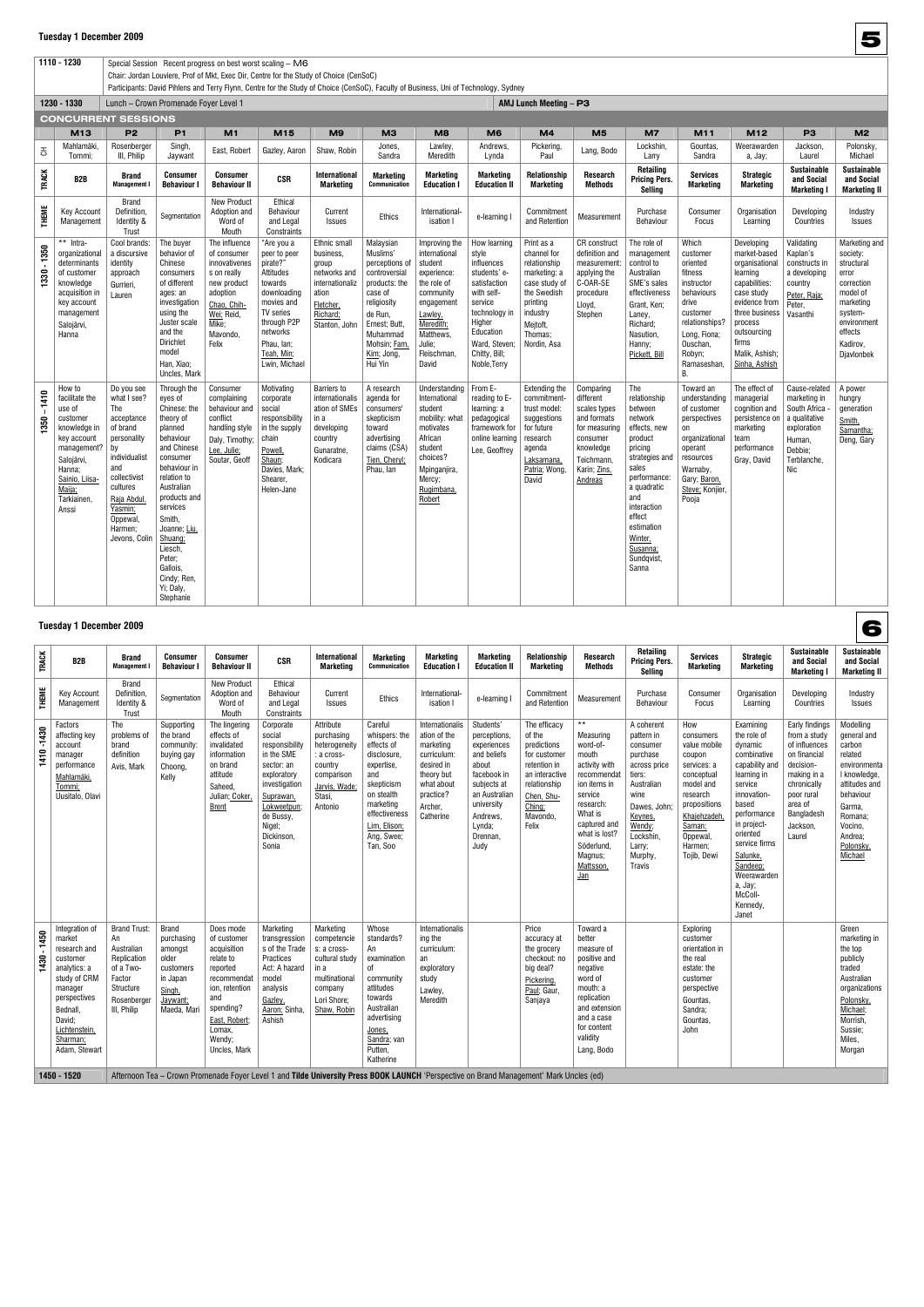1110 - 1230 **Special Session Recent progress on best worst scaling – M6** Chair: Jordan Louviere, Prof of Mkt, Exec Dir, Centre for the Study of Choice (CenSoC)  $\vert$  Participants: David Pihlens and Terry Flynn, Centre for the Study of Choice (CenSoC), Faculty of Business, Uni of Technology, Sydney

|                                | 1230 - 1330                                                                                                                                                              | Lunch - Crown Promenade Foyer Level 1                                                                                                                                                                 |                                                                                                                                                                                                                                                                                                |                                                                                                                                                    |                                                                                                                                                                                  |                                                                                                                          |                                                                                                                                                                                      |                                                                                                                                                                           |                                                                                                                                                                                        | AMJ Lunch Meeting - P3                                                                                                                                  |                                                                                                                                          |                                                                                                                                                                                                                                       |                                                                                                                                                                               |                                                                                                                                                                                                  |                                                                                                                          |                                                                                                                                                        |
|--------------------------------|--------------------------------------------------------------------------------------------------------------------------------------------------------------------------|-------------------------------------------------------------------------------------------------------------------------------------------------------------------------------------------------------|------------------------------------------------------------------------------------------------------------------------------------------------------------------------------------------------------------------------------------------------------------------------------------------------|----------------------------------------------------------------------------------------------------------------------------------------------------|----------------------------------------------------------------------------------------------------------------------------------------------------------------------------------|--------------------------------------------------------------------------------------------------------------------------|--------------------------------------------------------------------------------------------------------------------------------------------------------------------------------------|---------------------------------------------------------------------------------------------------------------------------------------------------------------------------|----------------------------------------------------------------------------------------------------------------------------------------------------------------------------------------|---------------------------------------------------------------------------------------------------------------------------------------------------------|------------------------------------------------------------------------------------------------------------------------------------------|---------------------------------------------------------------------------------------------------------------------------------------------------------------------------------------------------------------------------------------|-------------------------------------------------------------------------------------------------------------------------------------------------------------------------------|--------------------------------------------------------------------------------------------------------------------------------------------------------------------------------------------------|--------------------------------------------------------------------------------------------------------------------------|--------------------------------------------------------------------------------------------------------------------------------------------------------|
|                                | <b>CONCURRENT SESSIONS</b>                                                                                                                                               |                                                                                                                                                                                                       |                                                                                                                                                                                                                                                                                                |                                                                                                                                                    |                                                                                                                                                                                  |                                                                                                                          |                                                                                                                                                                                      |                                                                                                                                                                           |                                                                                                                                                                                        |                                                                                                                                                         |                                                                                                                                          |                                                                                                                                                                                                                                       |                                                                                                                                                                               |                                                                                                                                                                                                  |                                                                                                                          |                                                                                                                                                        |
|                                | M13                                                                                                                                                                      | P <sub>2</sub>                                                                                                                                                                                        | <b>P1</b>                                                                                                                                                                                                                                                                                      | M1                                                                                                                                                 | M15                                                                                                                                                                              | M9                                                                                                                       | МЗ                                                                                                                                                                                   | M <sub>8</sub>                                                                                                                                                            | M <sub>6</sub>                                                                                                                                                                         | M4                                                                                                                                                      | M <sub>5</sub>                                                                                                                           | M7                                                                                                                                                                                                                                    | M11                                                                                                                                                                           | M12                                                                                                                                                                                              | P <sub>3</sub>                                                                                                           | M <sub>2</sub>                                                                                                                                         |
| 공                              | Mahlamäki,<br>Tommi:                                                                                                                                                     | Rosenberger<br>III, Philip                                                                                                                                                                            | Singh,<br>Jaywant                                                                                                                                                                                                                                                                              | East. Robert                                                                                                                                       | Gazley, Aaron                                                                                                                                                                    | Shaw, Robin                                                                                                              | Jones,<br>Sandra                                                                                                                                                                     | Lawley,<br>Meredith                                                                                                                                                       | Andrews,<br>Lynda                                                                                                                                                                      | Pickering,<br>Paul                                                                                                                                      | Lang, Bodo                                                                                                                               | Lockshin,<br>Larry                                                                                                                                                                                                                    | Gountas.<br>Sandra                                                                                                                                                            | Weerawarden<br>a, Jay;                                                                                                                                                                           | Jackson,<br>Laurel                                                                                                       | Polonsky,<br>Michael                                                                                                                                   |
| <b>TRACK</b>                   | B2B                                                                                                                                                                      | Brand<br><b>Management I</b>                                                                                                                                                                          | Consumer<br><b>Behaviour I</b>                                                                                                                                                                                                                                                                 | <b>Consumer</b><br><b>Behaviour II</b>                                                                                                             | <b>CSR</b>                                                                                                                                                                       | <b>International</b><br>Marketing                                                                                        | <b>Marketing</b><br><b>Communication</b>                                                                                                                                             | <b>Marketing</b><br><b>Education I</b>                                                                                                                                    | <b>Marketing</b><br><b>Education II</b>                                                                                                                                                | Relationship<br><b>Marketing</b>                                                                                                                        | <b>Research</b><br>Methods                                                                                                               | Retailing<br><b>Pricing Pers.</b><br>Selling                                                                                                                                                                                          | <b>Services</b><br><b>Marketing</b>                                                                                                                                           | <b>Strategic</b><br><b>Marketing</b>                                                                                                                                                             | <b>Sustainable</b><br>and Social<br><b>Marketing I</b>                                                                   | <b>Sustainable</b><br>and Social<br><b>Marketing II</b>                                                                                                |
| <b>THEME</b>                   | <b>Key Account</b><br>Management                                                                                                                                         | <b>Brand</b><br>Definition,<br>Identity &<br>Trust                                                                                                                                                    | Segmentation                                                                                                                                                                                                                                                                                   | <b>New Product</b><br>Adoption and<br>Word of<br>Mouth                                                                                             | Ethical<br>Behaviour<br>and Legal<br>Constraints                                                                                                                                 | Current<br>Issues                                                                                                        | Ethics                                                                                                                                                                               | International-<br>isation I                                                                                                                                               | e-learning                                                                                                                                                                             | Commitment<br>and Retention                                                                                                                             | Measurement                                                                                                                              | Purchase<br><b>Behaviour</b>                                                                                                                                                                                                          | Consumer<br>Focus                                                                                                                                                             | Organisation<br>Learning                                                                                                                                                                         | Developing<br>Countries                                                                                                  | Industry<br><b>Issues</b>                                                                                                                              |
| $-1350$<br>1330                | ** Intra-<br>organizational<br>determinants<br>of customer<br>knowledge<br>acquisition in<br>key account<br>management<br>Salojärvi,<br>Hanna                            | Cool brands:<br>a discursive<br>identity<br>approach<br>Gurrieri,<br>Lauren                                                                                                                           | The buyer<br>behavior of<br>Chinese<br>consumers<br>of different<br>ages: an<br>investigation<br>using the<br>Juster scale<br>and the<br><b>Dirichlet</b><br>model<br>Han, Xiao;<br>Uncles, Mark                                                                                               | The influence<br>of consumer<br>innovativenes<br>s on really<br>new product<br>adoption<br>Chao, Chih-<br>Wei; Reid,<br>Mike:<br>Mavondo.<br>Felix | "Are you a<br>peer to peer<br>pirate?"<br>Attitudes<br>towards<br>downloading<br>movies and<br>TV series<br>through P2P<br>networks<br>Phau, Ian;<br>Teah, Min;<br>Lwin, Michael | Ethnic small<br>business,<br>group<br>networks and<br>internationaliz<br>ation<br>Fletcher,<br>Richard;<br>Stanton, John | Malaysian<br>Muslims'<br>perceptions of<br>controversial<br>products: the<br>case of<br>religiosity<br>de Run,<br>Ernest; Butt,<br>Muhammad<br>Mohsin; Fam,<br>Kim; Jong,<br>Hui Yin | Improving the<br>international<br>student<br>experience:<br>the role of<br>community<br>engagement<br>Lawley,<br>Meredith;<br>Matthews,<br>Julie;<br>Fleischman,<br>David | How learning<br>style<br>influences<br>students' e-<br>satisfaction<br>with self-<br>service<br>technology in<br>Higher<br>Education<br>Ward. Steven:<br>Chitty, Bill;<br>Noble, Terry | Print as a<br>channel for<br>relationship<br>marketing: a<br>case study of<br>the Swedish<br>printing<br>industry<br>Meitoft.<br>Thomas;<br>Nordin, Asa | <b>CR</b> construct<br>definition and<br>measurement:<br>applying the<br>C-OAR-SE<br>procedure<br>Lloyd,<br>Stephen                      | The role of<br>management<br>control to<br>Australian<br>SME's sales<br>effectiveness<br>Grant, Ken:<br>Laney,<br>Richard;<br>Nasution,<br>Hanny;<br>Pickett. Bill                                                                    | Which<br>customer<br>oriented<br>fitness<br>instructor<br>behaviours<br>drive<br>customer<br>relationships?<br>Long, Fiona;<br>Ouschan.<br>Robyn;<br>Ramaseshan,<br><b>B.</b> | Developing<br>market-based<br>organisational<br>learning<br>capabilities:<br>case study<br>evidence from<br>three business<br>process<br>outsourcing<br>firms<br>Malik, Ashish;<br>Sinha, Ashish | Validating<br>Kaplan's<br>constructs in<br>a developing<br>country<br>Peter, Raja;<br>Peter.<br>Vasanthi                 | Marketing and<br>society:<br>structural<br>error<br>correction<br>model of<br>marketing<br>system-<br>environment<br>effects<br>Kadirov.<br>Djavlonbek |
| 1410<br>$\blacksquare$<br>1350 | How to<br>facilitate the<br>use of<br>customer<br>knowledge in<br>key account<br>management?<br>Salojärvi,<br>Hanna;<br>Sainio, Liisa-<br>Maija;<br>Tarkiainen,<br>Anssi | Do you see<br>what I see?<br>The<br>acceptance<br>of brand<br>personality<br>by<br>individualist<br>and<br>collectivist<br>cultures<br>Raja Abdul,<br>Yasmin;<br>Oppewal.<br>Harmen;<br>Jevons, Colin | Through the<br>eves of<br>Chinese: the<br>theory of<br>planned<br>behaviour<br>and Chinese<br>consumer<br>behaviour in<br>relation to<br>Australian<br>products and<br>services<br>Smith,<br>Joanne; Liu.<br>Shuang:<br>Liesch.<br>Peter;<br>Gallois.<br>Cindy; Ren,<br>Yi; Daly,<br>Stephanie | Consumer<br>complaining<br>behaviour and<br>conflict<br>handling style<br>Dalv. Timothy:<br>Lee, Julie;<br>Soutar, Geoff                           | Motivating<br>corporate<br>social<br>responsibility<br>in the supply<br>chain<br>Powell,<br>Shaun;<br>Davies, Mark;<br>Shearer,<br>Helen-Jane                                    | <b>Barriers to</b><br>internationalis<br>ation of SMEs<br>in a<br>developing<br>country<br>Gunaratne,<br>Kodicara        | A research<br>agenda for<br>consumers'<br>skepticism<br>toward<br>advertising<br>claims (CSA)<br>Tien, Cheryl;<br>Phau, Ian                                                          | Understanding<br>International<br>student<br>mobility: what<br>motivates<br>African<br>student<br>choices?<br>Mpinganjira,<br>Mercy;<br>Rugimbana,<br>Robert              | From E-<br>reading to E-<br>learning: a<br>pedagogical<br>framework for<br>online learning<br>Lee, Geoffrey                                                                            | <b>Extending the</b><br>commitment-<br>trust model:<br>suggestions<br>for future<br>research<br>agenda<br>Laksamana,<br>Patria; Wong,<br>David          | Comparing<br>different<br>scales types<br>and formats<br>for measuring<br>consumer<br>knowledge<br>Teichmann,<br>Karin; Zins,<br>Andreas | The<br>relationship<br>between<br>network<br>effects, new<br>product<br>pricing<br>strategies and<br>sales<br>performance:<br>a quadratic<br>and<br>interaction<br>effect<br>estimation<br>Winter,<br>Susanna;<br>Sundqvist,<br>Sanna | Toward an<br>understanding<br>of customer<br>perspectives<br>on<br>organizational<br>operant<br>resources<br>Warnaby,<br>Gary; Baron,<br>Steve; Konjier,<br>Pooja             | The effect of<br>managerial<br>cognition and<br>persistence on<br>marketing<br>team<br>performance<br>Gray, David                                                                                | Cause-related<br>marketing in<br>South Africa<br>a qualitative<br>exploration<br>Human.<br>Debbie:<br>Terblanche,<br>Nic | A power<br>hungry<br>generation<br>Smith.<br>Samantha;<br>Deng, Gary                                                                                   |

### **Tuesday 1 December 2009**

|              | <b>Tuesday 1 December 2009</b>                                                                                                                                                      |                                                                                                                          |                                                                                                              |                                                                                                                                                                            |                                                                                                                                                                             |                                                                                                                                         |                                                                                                                                                                                |                                                                                                                                            |                                                                                                                                                                         |                                                                                                                                                      |                                                                                                                                                                                                            |                                                                                                                                                                                          |                                                                                                                                                                                        |                                                                                                                                                                                                                                                                     |                                                                                                                                                                         | 6                                                                                                                                                                              |
|--------------|-------------------------------------------------------------------------------------------------------------------------------------------------------------------------------------|--------------------------------------------------------------------------------------------------------------------------|--------------------------------------------------------------------------------------------------------------|----------------------------------------------------------------------------------------------------------------------------------------------------------------------------|-----------------------------------------------------------------------------------------------------------------------------------------------------------------------------|-----------------------------------------------------------------------------------------------------------------------------------------|--------------------------------------------------------------------------------------------------------------------------------------------------------------------------------|--------------------------------------------------------------------------------------------------------------------------------------------|-------------------------------------------------------------------------------------------------------------------------------------------------------------------------|------------------------------------------------------------------------------------------------------------------------------------------------------|------------------------------------------------------------------------------------------------------------------------------------------------------------------------------------------------------------|------------------------------------------------------------------------------------------------------------------------------------------------------------------------------------------|----------------------------------------------------------------------------------------------------------------------------------------------------------------------------------------|---------------------------------------------------------------------------------------------------------------------------------------------------------------------------------------------------------------------------------------------------------------------|-------------------------------------------------------------------------------------------------------------------------------------------------------------------------|--------------------------------------------------------------------------------------------------------------------------------------------------------------------------------|
| <b>TRACK</b> | B <sub>2</sub> B                                                                                                                                                                    | <b>Brand</b><br><b>Management</b>                                                                                        | Consumer<br><b>Behaviour I</b>                                                                               | <b>Consumer</b><br><b>Behaviour II</b>                                                                                                                                     | <b>CSR</b>                                                                                                                                                                  | <b>International</b><br>Marketing                                                                                                       | <b>Marketing</b><br>Communication                                                                                                                                              | <b>Marketing</b><br><b>Education I</b>                                                                                                     | <b>Marketing</b><br><b>Education II</b>                                                                                                                                 | Relationship<br>Marketing                                                                                                                            | Research<br>Methods                                                                                                                                                                                        | <b>Retailing</b><br><b>Pricing Pers.</b><br>Sellina                                                                                                                                      | <b>Services</b><br><b>Marketing</b>                                                                                                                                                    | <b>Strategic</b><br><b>Marketing</b>                                                                                                                                                                                                                                | <b>Sustainable</b><br>and Social<br><b>Marketing I</b>                                                                                                                  | <b>Sustainable</b><br>and Social<br><b>Marketing II</b>                                                                                                                        |
| THEME        | Key Account<br>Management                                                                                                                                                           | <b>Brand</b><br>Definition,<br>Identity &<br>Trust                                                                       | Segmentation                                                                                                 | <b>New Product</b><br>Adoption and<br>Word of<br>Mouth                                                                                                                     | Ethical<br><b>Behaviour</b><br>and Legal<br>Constraints                                                                                                                     | Current<br>Issues                                                                                                                       | Ethics                                                                                                                                                                         | International-<br>isation I                                                                                                                | e-learning I                                                                                                                                                            | Commitment<br>and Retention                                                                                                                          | Measurement                                                                                                                                                                                                | Purchase<br><b>Behaviour</b>                                                                                                                                                             | Consumer<br>Focus                                                                                                                                                                      | Organisation<br>Learning                                                                                                                                                                                                                                            | Developing<br>Countries                                                                                                                                                 | Industry<br><b>Issues</b>                                                                                                                                                      |
| 1410-1430    | Factors<br>affecting key<br>account<br>manager<br>performance<br>Mahlamäki,<br>Tommi:<br>Uusitalo, Olavi                                                                            | The<br>problems of<br>brand<br>definition<br>Avis, Mark                                                                  | Supporting<br>the brand<br>community:<br>buying gay<br>Choong,<br>Kelly                                      | The lingering<br>effects of<br>invalidated<br>information<br>on brand<br>attitude<br>Saheed,<br>Julian; Coker,<br><b>Brent</b>                                             | Corporate<br>social<br>responsibility<br>in the SME<br>sector: an<br>exploratory<br>investigation<br>Suprawan,<br>Lokweetpun;<br>de Bussy,<br>Nigel;<br>Dickinson,<br>Sonia | Attribute<br>purchasing<br>heterogeneity<br>: a cross-<br>country<br>comparison<br>Jarvis, Wade;<br>Stasi.<br>Antonio                   | Careful<br>whispers: the<br>effects of<br>disclosure,<br>expertise,<br>and<br>skepticism<br>on stealth<br>marketing<br>effectiveness<br>Lim, Elison;<br>Ang, Swee;<br>Tan, Soo | Internationalis<br>ation of the<br>marketing<br>curriculum:<br>desired in<br>theory but<br>what about<br>practice?<br>Archer,<br>Catherine | Students'<br>perceptions,<br>experiences<br>and beliefs<br>about<br>facebook in<br>subjects at<br>an Australian<br>university<br>Andrews,<br>Lynda;<br>Drennan,<br>Judy | The efficacy<br>of the<br>predictions<br>for customer<br>retention in<br>an interactive<br>relationship<br>Chen, Shu-<br>Ching;<br>Mavondo,<br>Felix | $***$<br>Measuring<br>word-of-<br>mouth<br>activity with<br>recommendat<br>ion items in<br>service<br>research:<br>What is<br>captured and<br>what is lost?<br>Söderlund,<br>Magnus;<br>Mattsson,<br>$lan$ | A coherent<br>pattern in<br>consumer<br>purchase<br>across price<br>tiers:<br>Australian<br>wine<br>Dawes, John;<br>Keynes,<br>Wendy;<br>Lockshin,<br>Larry;<br>Murphy,<br><b>Travis</b> | How<br>consumers<br>value mobile<br>coupon<br>services: a<br>conceptual<br>model and<br>research<br>propositions<br>Khajehzadeh,<br>Saman;<br><b>Oppewal</b><br>Harmen;<br>Tojib, Dewi | Examining<br>the role of<br>dynamic<br>combinative<br>capability and<br>learning in<br>service<br>innovation-<br>based<br>performance<br>in project-<br>oriented<br>service firms<br>Salunke,<br>Sandeep;<br>Weerawarden<br>a, Jay;<br>McColl-<br>Kennedy,<br>Janet | Early findings<br>from a study<br>of influences<br>on financial<br>decision-<br>making in a<br>chronically<br>poor rural<br>area of<br>Bangladesh<br>Jackson,<br>Laurel | Modelling<br>general and<br>carbon<br>related<br>environmenta<br>I knowledge,<br>attitudes and<br>behaviour<br>Garma,<br>Romana;<br>Vocino,<br>Andrea:<br>Polonsky,<br>Michael |
| 1450<br>1430 | Integration of<br>market<br>research and<br>customer<br>analytics: a<br>study of CRM<br>manager<br>perspectives<br>Bednall,<br>David;<br>Lichtenstein,<br>Sharman:<br>Adam, Stewart | <b>Brand Trust:</b><br>An<br>Australian<br>Replication<br>of a Two-<br>Factor<br>Structure<br>Rosenberger<br>III, Philip | <b>Brand</b><br>purchasing<br>amongst<br>older<br>customers<br>in Japan<br>Singh,<br>Jaywant;<br>Maeda, Mari | Does mode<br>of customer<br>acquisition<br>relate to<br>reported<br>recommendat<br>ion, retention<br>and<br>spending?<br>East, Robert;<br>Lomax,<br>Wendy;<br>Uncles, Mark | Marketing<br>transgression<br>s of the Trade<br>Practices<br>Act: A hazard<br>model<br>analysis<br>Gazlev.<br>Aaron; Sinha,<br>Ashish                                       | Marketing<br>competencie<br>s: a cross-<br>cultural study<br>in a<br>multinational<br>company<br>Lori Shore:<br>Shaw, Robin             | Whose<br>standards?<br>An<br>examination<br>0f<br>community<br>attitudes<br>towards<br>Australian<br>advertising<br>Jones,<br>Sandra; van<br>Putten,<br>Katherine              | Internationalis<br>ing the<br>curriculum:<br>an<br>exploratory<br>study<br>Lawley,<br>Meredith                                             |                                                                                                                                                                         | Price<br>accuracy at<br>the grocery<br>checkout: no<br>big deal?<br>Pickering,<br>Paul; Gaur.<br>Sanjaya                                             | Toward a<br>better<br>measure of<br>positive and<br>negative<br>word of<br>mouth: a<br>replication<br>and extension<br>and a case<br>for content<br>validity<br>Lang, Bodo                                 |                                                                                                                                                                                          | Exploring<br>customer<br>orientation in<br>the real<br>estate: the<br>customer<br>perspective<br>Gountas.<br>Sandra;<br>Gountas,<br>John                                               |                                                                                                                                                                                                                                                                     |                                                                                                                                                                         | Green<br>marketing in<br>the top<br>publicly<br>traded<br>Australian<br>organizations<br>Polonsky.<br>Michael;<br>Morrish,<br>Sussie;<br>Miles.<br>Morgan                      |
|              | 1450 - 1520                                                                                                                                                                         |                                                                                                                          |                                                                                                              |                                                                                                                                                                            |                                                                                                                                                                             | Afternoon Tea - Crown Promenade Foyer Level 1 and Tilde University Press BOOK LAUNCH 'Perspective on Brand Management' Mark Uncles (ed) |                                                                                                                                                                                |                                                                                                                                            |                                                                                                                                                                         |                                                                                                                                                      |                                                                                                                                                                                                            |                                                                                                                                                                                          |                                                                                                                                                                                        |                                                                                                                                                                                                                                                                     |                                                                                                                                                                         |                                                                                                                                                                                |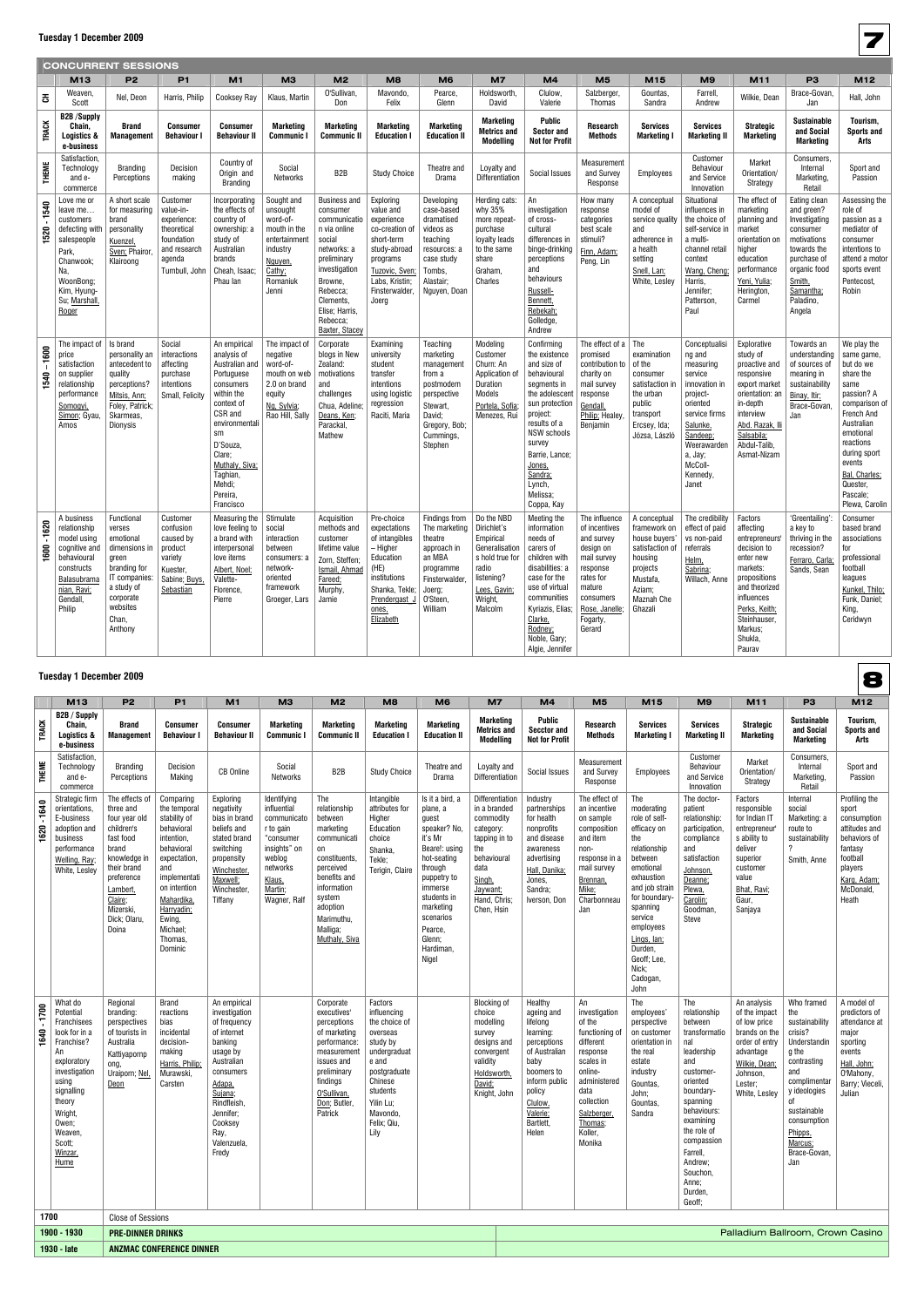|                  |                                                                                                                                                        | <b>CONCURRENT SESSIONS</b>                                                                                                                              |                                                                                                              |                                                                                                                                                                                                                                |                                                                                                                           |                                                                                                                                                                                                              |                                                                                                                                                                 |                                                                                                                                           |                                                                                                                                          |                                                                                                                                                                                                                                                            |                                                                                                                                                                  |                                                                                                                                        |                                                                                                                                                                                             |                                                                                                                                                                                               |                                                                                                                                                                    |                                                                                                                                                                                                                                       |
|------------------|--------------------------------------------------------------------------------------------------------------------------------------------------------|---------------------------------------------------------------------------------------------------------------------------------------------------------|--------------------------------------------------------------------------------------------------------------|--------------------------------------------------------------------------------------------------------------------------------------------------------------------------------------------------------------------------------|---------------------------------------------------------------------------------------------------------------------------|--------------------------------------------------------------------------------------------------------------------------------------------------------------------------------------------------------------|-----------------------------------------------------------------------------------------------------------------------------------------------------------------|-------------------------------------------------------------------------------------------------------------------------------------------|------------------------------------------------------------------------------------------------------------------------------------------|------------------------------------------------------------------------------------------------------------------------------------------------------------------------------------------------------------------------------------------------------------|------------------------------------------------------------------------------------------------------------------------------------------------------------------|----------------------------------------------------------------------------------------------------------------------------------------|---------------------------------------------------------------------------------------------------------------------------------------------------------------------------------------------|-----------------------------------------------------------------------------------------------------------------------------------------------------------------------------------------------|--------------------------------------------------------------------------------------------------------------------------------------------------------------------|---------------------------------------------------------------------------------------------------------------------------------------------------------------------------------------------------------------------------------------|
|                  | M13                                                                                                                                                    | P <sub>2</sub>                                                                                                                                          | <b>P1</b>                                                                                                    | M1                                                                                                                                                                                                                             | M <sub>3</sub>                                                                                                            | M <sub>2</sub>                                                                                                                                                                                               | M <sub>8</sub>                                                                                                                                                  | M <sub>6</sub>                                                                                                                            | M <sub>7</sub>                                                                                                                           | M <sub>4</sub>                                                                                                                                                                                                                                             | M <sub>5</sub>                                                                                                                                                   | M15                                                                                                                                    | M <sub>9</sub>                                                                                                                                                                              | M11                                                                                                                                                                                           | P <sub>3</sub>                                                                                                                                                     | M12                                                                                                                                                                                                                                   |
| 공                | Weaven,<br>Scott                                                                                                                                       | Nel, Deon                                                                                                                                               | Harris, Philip                                                                                               | <b>Cooksey Ray</b>                                                                                                                                                                                                             | Klaus, Martin                                                                                                             | O'Sullivan<br>Don                                                                                                                                                                                            | Mavondo,<br>Felix                                                                                                                                               | Pearce,<br>Glenn                                                                                                                          | Holdsworth,<br>David                                                                                                                     | Clulow<br>Valerie                                                                                                                                                                                                                                          | Salzberger,<br>Thomas                                                                                                                                            | Gountas,<br>Sandra                                                                                                                     | Farrell,<br>Andrew                                                                                                                                                                          | Wilkie, Dean                                                                                                                                                                                  | Brace-Govan,<br>Jan                                                                                                                                                | Hall, John                                                                                                                                                                                                                            |
| <b>TRACK</b>     | <b>B2B/Supply</b><br>Chain,<br>Logistics &<br>e-business                                                                                               | Brand<br><b>Management</b>                                                                                                                              | <b>Consumer</b><br><b>Behaviour I</b>                                                                        | <b>Consumer</b><br><b>Behaviour II</b>                                                                                                                                                                                         | Marketing<br><b>Communic I</b>                                                                                            | Marketing<br><b>Communic II</b>                                                                                                                                                                              | <b>Marketing</b><br><b>Education I</b>                                                                                                                          | <b>Marketing</b><br><b>Education II</b>                                                                                                   | <b>Marketing</b><br><b>Metrics and</b><br><b>Modelling</b>                                                                               | Public<br><b>Sector and</b><br><b>Not for Profit</b>                                                                                                                                                                                                       | <b>Research</b><br><b>Methods</b>                                                                                                                                | <b>Services</b><br><b>Marketing I</b>                                                                                                  | <b>Services</b><br><b>Marketing II</b>                                                                                                                                                      | <b>Strategic</b><br><b>Marketing</b>                                                                                                                                                          | <b>Sustainable</b><br>and Social<br><b>Marketing</b>                                                                                                               | Tourism,<br><b>Sports and</b><br>Arts                                                                                                                                                                                                 |
| <b>THEME</b>     | Satisfaction,<br>Technology<br>and e-<br>commerce                                                                                                      | Branding<br>Perceptions                                                                                                                                 | Decision<br>making                                                                                           | Country of<br>Origin and<br><b>Branding</b>                                                                                                                                                                                    | Social<br>Networks                                                                                                        | B2B                                                                                                                                                                                                          | <b>Study Choice</b>                                                                                                                                             | Theatre and<br>Drama                                                                                                                      | Loyalty and<br><b>Differentiation</b>                                                                                                    | Social Issues                                                                                                                                                                                                                                              | Measurement<br>and Survey<br>Response                                                                                                                            | <b>Employees</b>                                                                                                                       | Customer<br>Behaviour<br>and Service<br>Innovation                                                                                                                                          | Market<br>Orientation/<br>Strategy                                                                                                                                                            | Consumers,<br>Internal<br>Marketing,<br>Retail                                                                                                                     | Sport and<br>Passion                                                                                                                                                                                                                  |
| 1520 - 1540      | Love me or<br>leave me<br>customers<br>defecting with<br>salespeople<br>Park,<br>Chanwook;<br>Na,<br>WoonBong;<br>Kim, Hyung-<br>Su; Marshall<br>Roger | A short scale<br>for measuring<br>brand<br>personality<br>Kuenzel<br>Sven: Phairor,<br>Klairoong                                                        | Customer<br>value-in-<br>experience<br>theoretical<br>foundation<br>and research<br>agenda<br>Turnbull, John | Incorporating<br>the effects of<br>country of<br>ownership: a<br>study of<br>Australian<br>brands<br>Cheah, Isaac;<br>Phau Ian                                                                                                 | Sought and<br>unsought<br>word-of-<br>mouth in the<br>entertainment<br>industry<br>Nguyen,<br>Cathy;<br>Romaniuk<br>Jenni | <b>Business and</b><br>consumer<br>communicatio<br>n via online<br>social<br>networks: a<br>preliminary<br>investigation<br>Browne,<br>Rebecca;<br>Clements,<br>Elise; Harris,<br>Rebecca;<br>Baxter, Stacey | Exploring<br>value and<br>experience<br>co-creation of<br>short-term<br>study-abroad<br>programs<br>Tuzovic, Sven;<br>Labs, Kristin;<br>Finsterwalder,<br>Joerg | Developing<br>case-based<br>dramatised<br>videos as<br>teaching<br>resources: a<br>case study<br>Tombs,<br>Alastair;<br>Nguyen, Doan      | Herding cats:<br>why 35%<br>more repeat-<br>purchase<br>loyalty leads<br>to the same<br>share<br>Graham,<br>Charles                      | An<br>investigation<br>of cross-<br>cultural<br>differences in<br>binge-drinking<br>perceptions<br>and<br>behaviours<br>Russell-<br>Bennett,<br>Rebekah;<br>Golledge,<br>Andrew                                                                            | How many<br>response<br>categories<br>best scale<br>stimuli?<br>Finn, Adam<br>Peng, Lin                                                                          | A conceptual<br>model of<br>service quality<br>and<br>adherence in<br>a health<br>setting<br>Snell, Lan:<br>White, Lesley              | Situational<br>influences in<br>the choice of<br>self-service in<br>a multi-<br>channel retail<br>context<br>Wang, Cheng:<br>Harris,<br>Jennifer;<br>Patterson,<br>Paul                     | The effect of<br>marketing<br>planning and<br>market<br>orientation on<br>higher<br>education<br>performance<br>Yeni, Yulia;<br>Herington,<br>Carmel                                          | Eating clean<br>and green?<br>Investigating<br>consumer<br>motivations<br>towards the<br>purchase of<br>organic food<br>Smith,<br>Samantha;<br>Paladino,<br>Angela | Assessing the<br>role of<br>passion as a<br>mediator of<br>consumer<br>intentions to<br>attend a motor<br>sports event<br>Pentecost,<br>Robin                                                                                         |
| 1600<br>$1540 -$ | The impact of<br>price<br>satisfaction<br>on supplier<br>relationship<br>performance<br>Somogyi,<br>Simon; Gyau,<br>Amos                               | Is brand<br>personality an<br>antecedent to<br>quality<br>perceptions?<br>Mitsis, Ann;<br>Foley, Patrick;<br>Skarmeas,<br>Dionysis                      | Social<br>interactions<br>affecting<br>purchase<br>intentions<br>Small, Felicity                             | An empirical<br>analysis of<br>Australian and<br>Portuguese<br>consumers<br>within the<br>context of<br>CSR and<br>environmentali<br>sm<br>D'Souza,<br>Clare;<br>Muthaly, Siva;<br>Taghian,<br>Mehdi;<br>Pereira,<br>Francisco | The impact of<br>negative<br>word-of-<br>mouth on web<br>2.0 on brand<br>equity<br>Ng, Sylvia;<br>Rao Hill, Sally         | Corporate<br>blogs in New<br>Zealand:<br>motivations<br>and<br>challenges<br>Chua, Adeline;<br>Deans, Ken;<br>Parackal,<br>Mathew                                                                            | Examining<br>university<br>student<br>transfer<br>intentions<br>using logistic<br>regression<br>Raciti, Maria                                                   | Teaching<br>marketing<br>management<br>from a<br>postmodern<br>perspective<br>Stewart,<br>David;<br>Gregory, Bob;<br>Cummings,<br>Stephen | Modeling<br>Customer<br>Churn: An<br>Application of<br>Duration<br>Models<br>Portela, Sofia;<br>Menezes, Rui                             | Confirming<br>the existence<br>and size of<br>behavioural<br>segments in<br>the adolescent<br>sun protection<br>project:<br>results of a<br><b>NSW schools</b><br>survey<br>Barrie, Lance;<br><u>Jones,</u><br>Sandra;<br>Lynch,<br>Melissa;<br>Coppa, Kay | The effect of a<br>promised<br>contribution to<br>charity on<br>mail survey<br>response<br>Gendall,<br>Philip; Healey,<br>Benjamin                               | $ $ The<br>examination<br>of the<br>consumer<br>satisfaction in<br>the urban<br>public<br>transport<br>Ercsey, Ida;<br>Józsa, László   | Conceptualisi<br>ng and<br>measuring<br>service<br>innovation in<br>project-<br>oriented<br>service firms<br>Salunke,<br>Sandeep;<br>Weerawarden<br>a, Jay;<br>McColl-<br>Kennedy,<br>Janet | Explorative<br>study of<br>proactive and<br>responsive<br>export market<br>orientation: an<br>in-depth<br>interview<br>Abd. Razak, Ili<br>Salsabila;<br>Abdul-Talib,<br>Asmat-Nizam           | Towards an<br>understanding<br>of sources of<br>meaning in<br>sustainability<br>Binay, Itir;<br>Brace-Govan,<br>Jan                                                | We play the<br>same game,<br>but do we<br>share the<br>same<br>passion? A<br>comparison of<br>French And<br>Australian<br>emotional<br>reactions<br>during sport<br>events<br>Bal, Charles;<br>Quester,<br>Pascale;<br>Plewa, Carolin |
| 1620<br>ទ្ធ      | A business<br>relationship<br>model using<br>cognitive and<br>behavioural<br>constructs<br>Balasubrama<br>nian, Ravi;<br>Gendall,<br>Philip            | Functional<br>verses<br>emotional<br>dimensions in<br>green<br>branding for<br>IT companies:<br>a study of<br>corporate<br>websites<br>Chan,<br>Anthony | Customer<br>confusion<br>caused by<br>product<br>variety<br>Kuester,<br>Sabine; Buys,<br>Sebastian           | Measuring the<br>love feeling to<br>a brand with<br>interpersonal<br>love items<br>Albert, Noel;<br>Valette-<br>Florence,<br>Pierre                                                                                            | Stimulate<br>social<br>interaction<br>between<br>consumers: a<br>network-<br>oriented<br>framework<br>Groeger, Lars       | Acquisition<br>methods and<br>customer<br>lifetime value<br>Zorn, Steffen;<br>Ismail, Ahmad<br>Fareed;<br>Murphy,<br>Jamie                                                                                   | Pre-choice<br>expectations<br>of intangibles<br>– Higher<br>Education<br>(HE)<br>institutions<br>Shanka, Tekle;<br>Prendergast J<br>ones,<br>Elizabeth          | Findings from<br>The marketing<br>theatre<br>approach in<br>an MBA<br>programme<br>Finsterwalder.<br>Joerg;<br>O'Steen,<br>William        | Do the NBD<br>Dirichlet's<br>Empirical<br>Generalisation<br>s hold true for<br>radio<br>listening?<br>Lees, Gavin;<br>Wright,<br>Malcolm | Meeting the<br>information<br>needs of<br>carers of<br>children with<br>disabilities: a<br>case for the<br>use of virtual<br>communities<br>Kyriazis, Elias;<br>Clarke,<br>Rodney;<br>Noble, Gary;<br>Algie, Jennifer                                      | The influence<br>of incentives<br>and survey<br>design on<br>mail survey<br>response<br>rates for<br>mature<br>consumers<br>Rose, Janelle;<br>Fogarty,<br>Gerard | A conceptual<br>framework on<br>house buyers'<br>satisfaction of<br>housing<br>projects<br>Mustafa,<br>Aziam;<br>Maznah Che<br>Ghazali | The credibility<br>effect of paid<br>vs non-paid<br>referrals<br>Helm,<br>Sabrina;<br>Willach, Anne                                                                                         | Factors<br>affecting<br>entrepreneurs<br>decision to<br>enter new<br>markets:<br>propositions<br>and theorized<br>influences<br>Perks, Keith;<br>Steinhauser,<br>Markus;<br>Shukla,<br>Paurav | 'Greentailing':<br>a key to<br>thriving in the<br>recession?<br>Ferraro, Carla;<br>Sands, Sean                                                                     | Consumer<br>based brand<br>associations<br>for<br>professional<br>football<br>leagues<br>Kunkel, Thilo;<br>Funk. Daniel:<br>King,<br>Ceridwyn                                                                                         |

### **Tuesday 1 December 2009**

|                 | M13                                                                                                                                                                                                          | P <sub>2</sub>                                                                                                                                                                             | P <sub>1</sub>                                                                                                                                                                                                     | M <sub>1</sub>                                                                                                                                                                                             | M <sub>3</sub>                                                                                                                                 | M <sub>2</sub>                                                                                                                                                                                 | M <sub>8</sub>                                                                                                                                                                  | <b>M6</b>                                                                                                                                                                                                                | M7                                                                                                                                                           | M <sub>4</sub>                                                                                                                                                               | M <sub>5</sub>                                                                                                                                                                        | M15                                                                                                                                                                                                                                                         | M9                                                                                                                                                                                                                                                      | M11                                                                                                                                                    | P <sub>3</sub>                                                                                                                                                                                                 | M12                                                                                                                                           |
|-----------------|--------------------------------------------------------------------------------------------------------------------------------------------------------------------------------------------------------------|--------------------------------------------------------------------------------------------------------------------------------------------------------------------------------------------|--------------------------------------------------------------------------------------------------------------------------------------------------------------------------------------------------------------------|------------------------------------------------------------------------------------------------------------------------------------------------------------------------------------------------------------|------------------------------------------------------------------------------------------------------------------------------------------------|------------------------------------------------------------------------------------------------------------------------------------------------------------------------------------------------|---------------------------------------------------------------------------------------------------------------------------------------------------------------------------------|--------------------------------------------------------------------------------------------------------------------------------------------------------------------------------------------------------------------------|--------------------------------------------------------------------------------------------------------------------------------------------------------------|------------------------------------------------------------------------------------------------------------------------------------------------------------------------------|---------------------------------------------------------------------------------------------------------------------------------------------------------------------------------------|-------------------------------------------------------------------------------------------------------------------------------------------------------------------------------------------------------------------------------------------------------------|---------------------------------------------------------------------------------------------------------------------------------------------------------------------------------------------------------------------------------------------------------|--------------------------------------------------------------------------------------------------------------------------------------------------------|----------------------------------------------------------------------------------------------------------------------------------------------------------------------------------------------------------------|-----------------------------------------------------------------------------------------------------------------------------------------------|
| <b>TRACK</b>    | <b>B2B / Supply</b><br>Chain.<br>Logistics &<br>e-business                                                                                                                                                   | <b>Brand</b><br><b>Management</b>                                                                                                                                                          | <b>Consumer</b><br><b>Behaviour I</b>                                                                                                                                                                              | <b>Consumer</b><br><b>Behaviour II</b>                                                                                                                                                                     | <b>Marketing</b><br><b>Communic I</b>                                                                                                          | <b>Marketing</b><br><b>Communic II</b>                                                                                                                                                         | <b>Marketing</b><br><b>Education I</b>                                                                                                                                          | <b>Marketing</b><br><b>Education II</b>                                                                                                                                                                                  | <b>Marketing</b><br><b>Metrics and</b><br><b>Modelling</b>                                                                                                   | <b>Public</b><br><b>Secctor and</b><br><b>Not for Profit</b>                                                                                                                 | Research<br><b>Methods</b>                                                                                                                                                            | <b>Services</b><br><b>Marketing I</b>                                                                                                                                                                                                                       | <b>Services</b><br><b>Marketing II</b>                                                                                                                                                                                                                  | <b>Strategic</b><br><b>Marketing</b>                                                                                                                   | <b>Sustainable</b><br>and Social<br><b>Marketing</b>                                                                                                                                                           | Tourism,<br><b>Sports and</b><br>Arts                                                                                                         |
| <b>THEME</b>    | Satisfaction,<br>Technology<br>and e-<br>commerce                                                                                                                                                            | <b>Branding</b><br>Perceptions                                                                                                                                                             | Decision<br>Making                                                                                                                                                                                                 | <b>CB Online</b>                                                                                                                                                                                           | Social<br>Networks                                                                                                                             | B <sub>2</sub> B                                                                                                                                                                               | <b>Study Choice</b>                                                                                                                                                             | Theatre and<br>Drama                                                                                                                                                                                                     | Loyalty and<br>Differentiation                                                                                                                               | Social Issues                                                                                                                                                                | Measurement<br>and Survey<br>Response                                                                                                                                                 | Employees                                                                                                                                                                                                                                                   | Customer<br>Behaviour<br>and Service<br>Innovation                                                                                                                                                                                                      | Market<br>Orientation/<br>Strategy                                                                                                                     | Consumers,<br>Internal<br>Marketing.<br>Retail                                                                                                                                                                 | Sport and<br>Passion                                                                                                                          |
| $-1640$<br>1620 | Strategic firm<br>orientations,<br>E-business<br>adoption and<br>business<br>performance<br>Welling, Ray:<br>White, Lesley                                                                                   | The effects of<br>three and<br>four year old<br>children's<br>fast food<br>brand<br>knowledge in<br>their brand<br>preference<br>Lambert,<br>Claire;<br>Mizerski,<br>Dick; Olaru,<br>Doina | Comparing<br>the temporal<br>stability of<br>behavioral<br>intention,<br>behavioral<br>expectation,<br>and<br>implementati<br>on intention<br>Mahardika.<br>Harryadin;<br>Ewing,<br>Michael;<br>Thomas,<br>Dominic | Exploring<br>negativity<br>bias in brand<br>beliefs and<br>stated brand<br>switching<br>propensity<br>Winchester<br>Maxwell;<br>Winchester.<br>Tiffany                                                     | Identifying<br>influential<br>communicato<br>r to gain<br>"consumer<br>insights" on<br>weblog<br>networks<br>Klaus,<br>Martin;<br>Wagner, Ralf | The<br>relationship<br>between<br>marketing<br>communicati<br>on<br>constituents,<br>perceived<br>benefits and<br>information<br>system<br>adoption<br>Marimuthu,<br>Malliga;<br>Muthaly, Siva | Intangible<br>attributes for<br>Higher<br>Education<br>choice<br>Shanka.<br>Tekle;<br>Terigin, Claire                                                                           | Is it a bird, a<br>plane, a<br>quest<br>speaker? No,<br>it's Mr<br>Beare!: using<br>hot-seating<br>through<br>puppetry to<br>immerse<br>students in<br>marketing<br>scenarios<br>Pearce,<br>Glenn;<br>Hardiman,<br>Nigel | Differentiation<br>in a branded<br>commodity<br>category:<br>tapping in to<br>the<br>behavioural<br>data<br>Singh,<br>Jaywant;<br>Hand, Chris;<br>Chen, Hsin | Industry<br>partnerships<br>for health<br>nonprofits<br>and disease<br>awareness<br>advertising<br>Hall, Danika;<br>Jones,<br>Sandra;<br>Iverson, Don                        | The effect of<br>an incentive<br>on sample<br>composition<br>and item<br>non-<br>response in a<br>mail survey<br>Brennan,<br>Mike;<br>Charbonneau<br>Jan                              | The<br>moderating<br>role of self-<br>efficacy on<br>the<br>relationship<br>between<br>emotional<br>exhaustion<br>and job strain<br>for boundary-<br>spanning<br>service<br>employees<br>Lings, lan;<br>Durden,<br>Geoff; Lee,<br>Nick;<br>Cadogan,<br>John | The doctor-<br>patient<br>relationship:<br>participation,<br>compliance<br>and<br>satisfaction<br>Johnson.<br>Deanne;<br>Plewa,<br>Carolin;<br>Goodman,<br><b>Steve</b>                                                                                 | Factors<br>responsible<br>for Indian IT<br>entrepreneur<br>s ability to<br>deliver<br>superior<br>customer<br>value<br>Bhat, Ravi;<br>Gaur,<br>Sanjaya | Internal<br>social<br>Marketing: a<br>route to<br>sustainability<br>Smith, Anne                                                                                                                                | Profiling the<br>sport<br>consumption<br>attitudes and<br>behaviors of<br>fantasy<br>football<br>players<br>Karg, Adam;<br>McDonald.<br>Heath |
| $-1700$<br>1640 | What do<br>Potential<br><b>Franchisees</b><br>look for in a<br>Franchise?<br>An<br>exploratory<br>investigation<br>using<br>signalling<br>theory<br>Wright,<br>Owen;<br>Weaven,<br>Scott;<br>Winzar,<br>Hume | Regional<br>branding:<br>perspectives<br>of tourists in<br>Australia<br>Kattiyapornp<br>ong,<br>Uraiporn; Nel.<br>Deon                                                                     | <b>Brand</b><br>reactions<br>bias<br>incidental<br>decision-<br>making<br>Harris, Philip;<br>Murawski,<br>Carsten                                                                                                  | An empirical<br>investigation<br>of frequency<br>of internet<br>banking<br>usage by<br>Australian<br>consumers<br>Adapa,<br>Sujana;<br>Rindfleish,<br>Jennifer;<br>Cooksey<br>Ray,<br>Valenzuela,<br>Fredy |                                                                                                                                                | Corporate<br>executives'<br>perceptions<br>of marketing<br>performance:<br>measurement<br>issues and<br>preliminary<br>findings<br>O'Sullivan.<br>Don; Butler<br>Patrick                       | Factors<br>influencing<br>the choice of<br>overseas<br>study by<br>undergraduat<br>e and<br>postgraduate<br>Chinese<br>students<br>Yilin Lu:<br>Mavondo.<br>Felix; Qiu.<br>Lily |                                                                                                                                                                                                                          | <b>Blocking of</b><br>choice<br>modelling<br>survey<br>designs and<br>convergent<br>validity<br>Holdsworth,<br>David:<br>Knight, John                        | Healthy<br>ageing and<br>lifelong<br>learning:<br>perceptions<br>of Australian<br>baby<br>boomers to<br>inform public<br>policy<br>Clulow.<br>Valerie;<br>Bartlett,<br>Helen | An<br>investigation<br>of the<br>functioning of<br>different<br>response<br>scales in<br>online-<br>administered<br>data<br>collection<br>Salzberger.<br>Thomas;<br>Koller,<br>Monika | The<br>employees'<br>perspective<br>on customer<br>orientation in<br>the real<br>estate<br>industry<br>Gountas,<br>John:<br>Gountas,<br>Sandra                                                                                                              | The<br>relationship<br>between<br>transformatio<br>nal<br>leadership<br>and<br>customer-<br>oriented<br>boundary-<br>spanning<br>behaviours:<br>examining<br>the role of<br>compassion<br>Farrell.<br>Andrew;<br>Souchon,<br>Anne;<br>Durden,<br>Geoff; | An analysis<br>of the impact<br>of low price<br>brands on the<br>order of entry<br>advantage<br>Wilkie, Dean;<br>Johnson,<br>Lester;<br>White, Lesley  | Who framed<br>the<br>sustainability<br>crisis?<br>Understandin<br>g the<br>contrasting<br>and<br>complimentar<br>y ideologies<br>οf<br>sustainable<br>consumption<br>Phipps,<br>Marcus;<br>Brace-Govan,<br>Jan | A model of<br>predictors of<br>attendance at<br>major<br>sporting<br>events<br>Hall, John;<br>O'Mahony,<br>Barry; Vieceli,<br>Julian          |
|                 | 1700                                                                                                                                                                                                         | <b>Close of Sessions</b>                                                                                                                                                                   |                                                                                                                                                                                                                    |                                                                                                                                                                                                            |                                                                                                                                                |                                                                                                                                                                                                |                                                                                                                                                                                 |                                                                                                                                                                                                                          |                                                                                                                                                              |                                                                                                                                                                              |                                                                                                                                                                                       |                                                                                                                                                                                                                                                             |                                                                                                                                                                                                                                                         |                                                                                                                                                        |                                                                                                                                                                                                                |                                                                                                                                               |
|                 | 1900 - 1930                                                                                                                                                                                                  | <b>PRE-DINNER DRINKS</b>                                                                                                                                                                   |                                                                                                                                                                                                                    |                                                                                                                                                                                                            |                                                                                                                                                |                                                                                                                                                                                                |                                                                                                                                                                                 |                                                                                                                                                                                                                          |                                                                                                                                                              |                                                                                                                                                                              |                                                                                                                                                                                       |                                                                                                                                                                                                                                                             |                                                                                                                                                                                                                                                         | Palladium Ballroom, Crown Casino                                                                                                                       |                                                                                                                                                                                                                |                                                                                                                                               |
|                 | 1930 - late                                                                                                                                                                                                  |                                                                                                                                                                                            | <b>ANZMAC CONFERENCE DINNER</b>                                                                                                                                                                                    |                                                                                                                                                                                                            |                                                                                                                                                |                                                                                                                                                                                                |                                                                                                                                                                                 |                                                                                                                                                                                                                          |                                                                                                                                                              |                                                                                                                                                                              |                                                                                                                                                                                       |                                                                                                                                                                                                                                                             |                                                                                                                                                                                                                                                         |                                                                                                                                                        |                                                                                                                                                                                                                |                                                                                                                                               |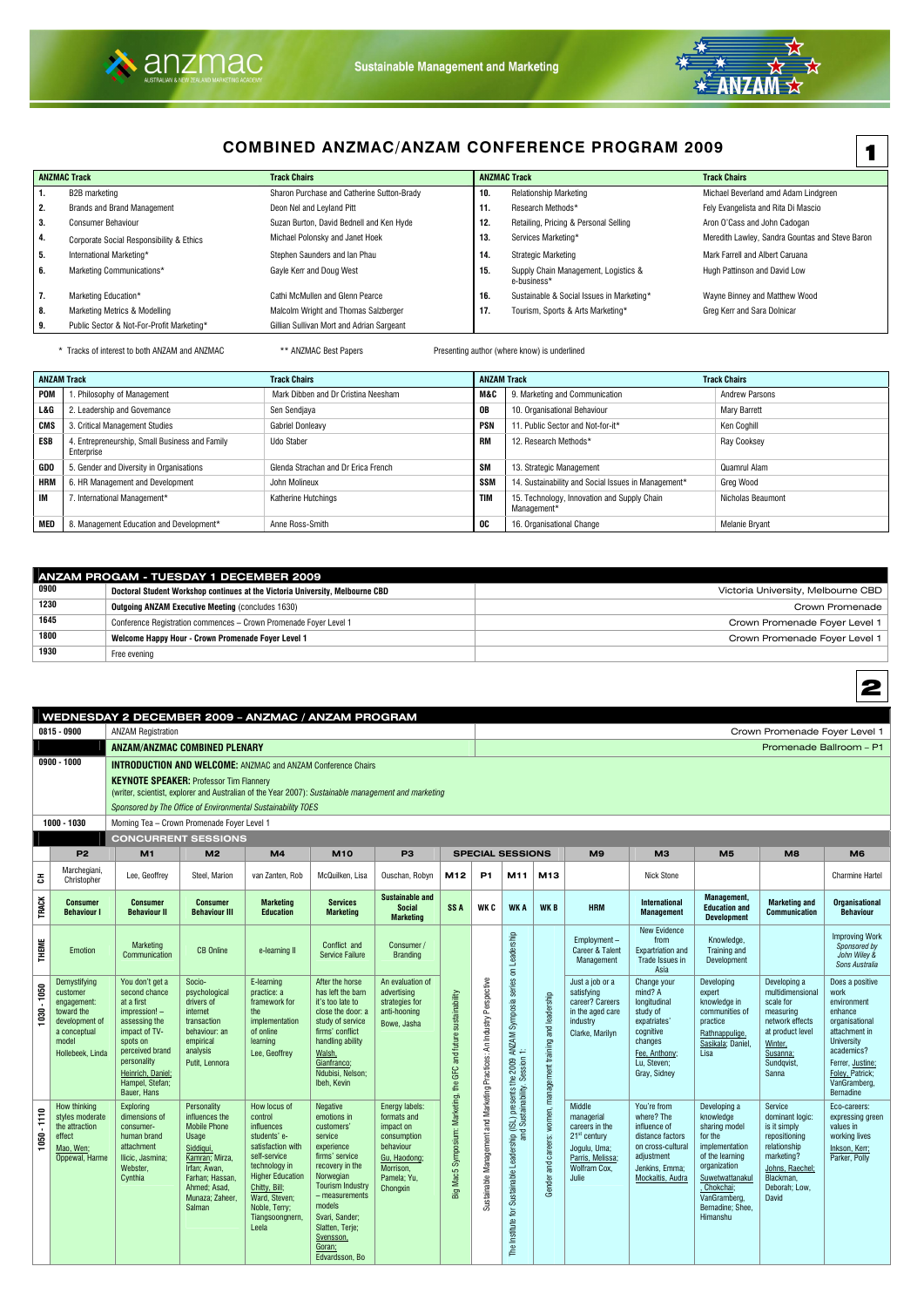



# **COMBINED ANZMAC/ANZAM CONFERENCE PROGRAM 2009**

|                             | <b>ANZMAC Track</b>                       | <b>Track Chairs</b>                        |     | <b>ANZMAC Track</b>                                 | <b>Track Chairs</b>                             |
|-----------------------------|-------------------------------------------|--------------------------------------------|-----|-----------------------------------------------------|-------------------------------------------------|
| $\blacksquare$ 1.           | B2B marketing                             | Sharon Purchase and Catherine Sutton-Brady | 10. | <b>Relationship Marketing</b>                       | Michael Beverland amd Adam Lindgreen            |
| $\overline{\phantom{a}}$ 2. | <b>Brands and Brand Management</b>        | Deon Nel and Leyland Pitt                  | 11. | Research Methods*                                   | Fely Evangelista and Rita Di Mascio             |
| 3.                          | <b>Consumer Behaviour</b>                 | Suzan Burton, David Bednell and Ken Hyde   | 12. | Retailing, Pricing & Personal Selling               | Aron O'Cass and John Cadogan                    |
| $\vert$ 4.                  | Corporate Social Responsibility & Ethics  | Michael Polonsky and Janet Hoek            | 13. | Services Marketing*                                 | Meredith Lawley, Sandra Gountas and Steve Baron |
| I 5.                        | International Marketing*                  | Stephen Saunders and Ian Phau              | 14. | Strategic Marketing                                 | Mark Farrell and Albert Caruana                 |
| 6.                          | Marketing Communications*                 | Gayle Kerr and Doug West                   | 15. | Supply Chain Management, Logistics &<br>e-business* | Hugh Pattinson and David Low                    |
| $\overline{7}$ .            | Marketing Education*                      | Cathi McMullen and Glenn Pearce            | 16. | Sustainable & Social Issues in Marketing*           | Wayne Binney and Matthew Wood                   |
| 8.                          | Marketing Metrics & Modelling             | Malcolm Wright and Thomas Salzberger       | 17. | Tourism, Sports & Arts Marketing*                   | Greg Kerr and Sara Dolnicar                     |
| I 9.                        | Public Sector & Not-For-Profit Marketing* | Gillian Sullivan Mort and Adrian Sargeant  |     |                                                     |                                                 |

\* Tracks of interest to both ANZAM and ANZMAC **\*\*** ANZMAC Best Papers Presenting author (where know) is underlined

|            | <b>ANZAM Track</b>                                           | <b>Track Chairs</b>                 | <b>ANZAM Track</b> |                                                            | <b>Track Chairs</b>   |
|------------|--------------------------------------------------------------|-------------------------------------|--------------------|------------------------------------------------------------|-----------------------|
| POM        | 1. Philosophy of Management                                  | Mark Dibben and Dr Cristina Neesham | M&C                | 9. Marketing and Communication                             | <b>Andrew Parsons</b> |
| L&G        | 2. Leadership and Governance                                 | Sen Sendjaya                        | 0B                 | 10. Organisational Behaviour                               | <b>Mary Barrett</b>   |
| CMS        | 3. Critical Management Studies                               | <b>Gabriel Donleavy</b>             | <b>PSN</b>         | . Public Sector and Not-for-it*                            | Ken Coghill           |
| ESB        | 4. Entrepreneurship, Small Business and Family<br>Enterprise | Udo Staber                          | RM                 | 12. Research Methods*                                      | Ray Cooksey           |
| <b>GDO</b> | 5. Gender and Diversity in Organisations                     | Glenda Strachan and Dr Erica French | SM                 | 13. Strategic Management                                   | Quamrul Alam          |
| <b>HRM</b> | 6. HR Management and Development                             | John Molineux                       | SSN                | 14. Sustainability and Social Issues in Management*        | Greg Wood             |
| 1M         | 7. International Management*                                 | Katherine Hutchings                 | <b>TIM</b>         | 15. Technology, Innovation and Supply Chain<br>Management* | Nicholas Beaumont     |
| MED        | 8. Management Education and Development*                     | Anne Ross-Smith                     | OC.                | 16. Organisational Change                                  | <b>Melanie Bryant</b> |

|      | ANZAM PROGAM - TUESDAY 1 DECEMBER 2009                                        |                                    |
|------|-------------------------------------------------------------------------------|------------------------------------|
| 0900 | Doctoral Student Workshop continues at the Victoria University, Melbourne CBD | Victoria University, Melbourne CBD |
| 1230 | <b>Outgoing ANZAM Executive Meeting (concludes 1630)</b>                      | Crown Promenade                    |
| 1645 | Conference Registration commences - Crown Promenade Foyer Level 1             | Crown Promenade Foyer Level 1      |
| 1800 | Welcome Happy Hour - Crown Promenade Foyer Level 1                            | Crown Promenade Foyer Level 1      |
| 1930 | Free evening                                                                  |                                    |

|              |                                                                                                                      | WEDNESDAY 2 DECEMBER 2009 - ANZMAC / ANZAM PROGRAM                                                                                                                                                     |                                                                                                                                                                                     |                                                                                                                                                                                                                       |                                                                                                                                                                                                                                                              |                                                                                                                                |                                                                  |                                                                         |                                                                                                                                        |                                                      |                                                                                                                                     |                                                                                                                                            |                                                                                                                                                                                            |                                                                                                                                                            |                                                                                                                                                                                                    |
|--------------|----------------------------------------------------------------------------------------------------------------------|--------------------------------------------------------------------------------------------------------------------------------------------------------------------------------------------------------|-------------------------------------------------------------------------------------------------------------------------------------------------------------------------------------|-----------------------------------------------------------------------------------------------------------------------------------------------------------------------------------------------------------------------|--------------------------------------------------------------------------------------------------------------------------------------------------------------------------------------------------------------------------------------------------------------|--------------------------------------------------------------------------------------------------------------------------------|------------------------------------------------------------------|-------------------------------------------------------------------------|----------------------------------------------------------------------------------------------------------------------------------------|------------------------------------------------------|-------------------------------------------------------------------------------------------------------------------------------------|--------------------------------------------------------------------------------------------------------------------------------------------|--------------------------------------------------------------------------------------------------------------------------------------------------------------------------------------------|------------------------------------------------------------------------------------------------------------------------------------------------------------|----------------------------------------------------------------------------------------------------------------------------------------------------------------------------------------------------|
|              | $0815 - 0900$                                                                                                        | <b>ANZAM Registration</b>                                                                                                                                                                              |                                                                                                                                                                                     |                                                                                                                                                                                                                       |                                                                                                                                                                                                                                                              |                                                                                                                                |                                                                  |                                                                         |                                                                                                                                        |                                                      |                                                                                                                                     |                                                                                                                                            |                                                                                                                                                                                            | Crown Promenade Foyer Level 1                                                                                                                              |                                                                                                                                                                                                    |
|              |                                                                                                                      | <b>ANZAM/ANZMAC COMBINED PLENARY</b>                                                                                                                                                                   |                                                                                                                                                                                     |                                                                                                                                                                                                                       |                                                                                                                                                                                                                                                              |                                                                                                                                |                                                                  |                                                                         |                                                                                                                                        |                                                      |                                                                                                                                     |                                                                                                                                            |                                                                                                                                                                                            | Promenade Ballroom - P1                                                                                                                                    |                                                                                                                                                                                                    |
|              | $0900 - 1000$                                                                                                        | <b>INTRODUCTION AND WELCOME:</b> ANZMAC and ANZAM Conference Chairs                                                                                                                                    |                                                                                                                                                                                     |                                                                                                                                                                                                                       |                                                                                                                                                                                                                                                              |                                                                                                                                |                                                                  |                                                                         |                                                                                                                                        |                                                      |                                                                                                                                     |                                                                                                                                            |                                                                                                                                                                                            |                                                                                                                                                            |                                                                                                                                                                                                    |
|              |                                                                                                                      | <b>KEYNOTE SPEAKER: Professor Tim Flannery</b><br>(writer, scientist, explorer and Australian of the Year 2007): Sustainable management and marketing                                                  |                                                                                                                                                                                     |                                                                                                                                                                                                                       |                                                                                                                                                                                                                                                              |                                                                                                                                |                                                                  |                                                                         |                                                                                                                                        |                                                      |                                                                                                                                     |                                                                                                                                            |                                                                                                                                                                                            |                                                                                                                                                            |                                                                                                                                                                                                    |
|              |                                                                                                                      | Sponsored by The Office of Environmental Sustainability TOES                                                                                                                                           |                                                                                                                                                                                     |                                                                                                                                                                                                                       |                                                                                                                                                                                                                                                              |                                                                                                                                |                                                                  |                                                                         |                                                                                                                                        |                                                      |                                                                                                                                     |                                                                                                                                            |                                                                                                                                                                                            |                                                                                                                                                            |                                                                                                                                                                                                    |
|              | 1000 - 1030                                                                                                          | Morning Tea - Crown Promenade Foyer Level 1                                                                                                                                                            |                                                                                                                                                                                     |                                                                                                                                                                                                                       |                                                                                                                                                                                                                                                              |                                                                                                                                |                                                                  |                                                                         |                                                                                                                                        |                                                      |                                                                                                                                     |                                                                                                                                            |                                                                                                                                                                                            |                                                                                                                                                            |                                                                                                                                                                                                    |
|              |                                                                                                                      | <b>CONCURRENT SESSIONS</b>                                                                                                                                                                             |                                                                                                                                                                                     |                                                                                                                                                                                                                       |                                                                                                                                                                                                                                                              |                                                                                                                                |                                                                  |                                                                         |                                                                                                                                        |                                                      |                                                                                                                                     |                                                                                                                                            |                                                                                                                                                                                            |                                                                                                                                                            |                                                                                                                                                                                                    |
|              | <b>P2</b>                                                                                                            | M1                                                                                                                                                                                                     | M <sub>2</sub>                                                                                                                                                                      | M <sub>4</sub>                                                                                                                                                                                                        | <b>M10</b>                                                                                                                                                                                                                                                   | P <sub>3</sub>                                                                                                                 |                                                                  | <b>SPECIAL SESSIONS</b>                                                 |                                                                                                                                        |                                                      | M9                                                                                                                                  | M <sub>3</sub>                                                                                                                             | M <sub>5</sub>                                                                                                                                                                             | M <sub>8</sub>                                                                                                                                             | M <sub>6</sub>                                                                                                                                                                                     |
| 공            | Marchegiani,<br>Christopher                                                                                          | Lee, Geoffrey                                                                                                                                                                                          | Steel, Marion                                                                                                                                                                       | van Zanten, Rob                                                                                                                                                                                                       | McQuilken, Lisa                                                                                                                                                                                                                                              | Ouschan, Robyn                                                                                                                 | M12                                                              | <b>P1</b>                                                               | M11                                                                                                                                    | M13                                                  |                                                                                                                                     | <b>Nick Stone</b>                                                                                                                          |                                                                                                                                                                                            |                                                                                                                                                            | <b>Charmine Hartel</b>                                                                                                                                                                             |
| <b>TRACK</b> | <b>Consumer</b><br><b>Behaviour I</b>                                                                                | <b>Consumer</b><br><b>Behaviour II</b>                                                                                                                                                                 | <b>Consumer</b><br><b>Behaviour III</b>                                                                                                                                             | <b>Marketing</b><br><b>Education</b>                                                                                                                                                                                  | <b>Services</b><br><b>Marketing</b>                                                                                                                                                                                                                          | <b>Sustainable and</b><br><b>Social</b><br><b>Marketing</b>                                                                    | SS <sub>A</sub>                                                  | WK C                                                                    | <b>WKA</b>                                                                                                                             | <b>WKB</b>                                           | <b>HRM</b>                                                                                                                          | <b>International</b><br><b>Management</b>                                                                                                  | <b>Management,</b><br><b>Education and</b><br><b>Development</b>                                                                                                                           | <b>Marketing and</b><br><b>Communication</b>                                                                                                               | <b>Organisational</b><br><b>Behaviour</b>                                                                                                                                                          |
| <b>THEME</b> | Emotion                                                                                                              | Marketing<br>Communication                                                                                                                                                                             | <b>CB Online</b>                                                                                                                                                                    | e-learning II                                                                                                                                                                                                         | Conflict and<br><b>Service Failure</b>                                                                                                                                                                                                                       | Consumer /<br><b>Branding</b>                                                                                                  |                                                                  |                                                                         |                                                                                                                                        |                                                      | Employment-<br><b>Career &amp; Talent</b><br>Management                                                                             | <b>New Evidence</b><br>from<br><b>Expartriation and</b><br>Trade Issues in<br>Asia                                                         | Knowledge,<br>Training and<br>Development                                                                                                                                                  |                                                                                                                                                            | <b>Improving Work</b><br>Sponsored by<br>John Wiley &<br>Sons Australia                                                                                                                            |
| 1030 - 1050  | Demystifying<br>customer<br>engagement:<br>toward the<br>development of<br>a conceptual<br>model<br>Hollebeek, Linda | You don't get a<br>second chance<br>at a first<br>impression! -<br>assessing the<br>impact of TV-<br>spots on<br>perceived brand<br>personality<br>Heinrich, Daniel;<br>Hampel, Stefan;<br>Bauer, Hans | Socio-<br>psychological<br>drivers of<br>internet<br>transaction<br>behaviour: an<br>empirical<br>analysis<br>Putit, Lennora                                                        | E-learning<br>practice: a<br>framework for<br>the<br>implementation<br>of online<br>learning<br>Lee, Geoffrey                                                                                                         | After the horse<br>has left the barn<br>it's too late to<br>close the door: a<br>study of service<br>firms' conflict<br>handling ability<br>Walsh,<br>Gianfranco;<br>Ndubisi, Nelson:<br>Ibeh, Kevin                                                         | An evaluation of<br>advertising<br>strategies for<br>anti-hooning<br>Bowe, Jasha                                               | Big Mac5 Symposium: Marketing, the GFC and future sustainability | Sustainable Management and Marketing Practices: An Industry Perspective |                                                                                                                                        | and leadership                                       | Just a job or a<br>satisfying<br>career? Careers<br>in the aged care<br>industry<br>Clarke, Marilyn                                 | Change your<br>mind? A<br>longitudinal<br>study of<br>expatriates'<br>cognitive<br>changes<br>Fee, Anthony;<br>Lu, Steven;<br>Gray, Sidney | Developing<br>expert<br>knowledge in<br>communities of<br>practice<br>Rathnappulige,<br>Sasikala; Daniel,<br>Lisa                                                                          | Developing a<br>multidimensional<br>scale for<br>measuring<br>network effects<br>at product level<br>Winter,<br>Susanna;<br>Sundqvist,<br><b>Sanna</b>     | Does a positive<br>work<br>environment<br>enhance<br>organisational<br>attachment in<br><b>University</b><br>academics?<br>Ferrer, Justine;<br>Foley, Patrick;<br>VanGramberg,<br><b>Bernadine</b> |
| 1050 - 1110  | How thinking<br>styles moderate<br>the attraction<br>effect<br>Mao, Wen;<br>Oppewal, Harme                           | Exploring<br>dimensions of<br>consumer-<br>human brand<br>attachment<br>Ilicic, Jasmina;<br>Webster,<br>Cynthia                                                                                        | <b>Personality</b><br>influences the<br><b>Mobile Phone</b><br>Usage<br>Siddiqui,<br>Kamran; Mirza,<br>Irfan; Awan,<br>Farhan; Hassan,<br>Ahmed; Asad,<br>Munaza; Zaheer,<br>Salman | How locus of<br>control<br>influences<br>students' e-<br>satisfaction with<br>self-service<br>technology in<br><b>Higher Education</b><br>Chitty, Bill;<br>Ward, Steven;<br>Noble, Terry;<br>Tiangsoongnern,<br>Leela | <b>Negative</b><br>emotions in<br>customers'<br>service<br>experience<br>firms' service<br>recovery in the<br>Norwegian<br><b>Tourism Industry</b><br>- measurements<br>models<br>Svari, Sander;<br>Slatten, Terje;<br>Svensson,<br>Goran;<br>Edvardsson, Bo | Energy labels:<br>formats and<br>impact on<br>consumption<br>behaviour<br>Gu, Haodong;<br>Morrison.<br>Pamela; Yu,<br>Chongxin |                                                                  |                                                                         | The Institute for Sustainable Leadership (ISL) presents the 2009 ANZAM Symposia series on Leadership<br>and Sustainability, Session 1: | careers: women, management training<br>and<br>Gender | <b>Middle</b><br>managerial<br>careers in the<br>$21st$ century<br>Jogulu, Uma;<br>Parris, Melissa;<br><b>Wolfram Cox.</b><br>Julie | You're from<br>where? The<br>influence of<br>distance factors<br>on cross-cultural<br>adjustment<br>Jenkins, Emma:<br>Mockaitis, Audra     | Developing a<br>knowledge<br>sharing model<br>for the<br>implementation<br>of the learning<br>organization<br>Suwetwattanakul<br>Chokchai;<br>VanGramberg,<br>Bernadine; Shee,<br>Himanshu | Service<br>dominant logic:<br>is it simply<br>repositioning<br>relationship<br>marketing?<br>Johns, Raechel;<br>Blackman,<br>Deborah; Low,<br><b>David</b> | Eco-careers:<br>expressing green<br>values in<br>working lives<br>Inkson, Kerr;<br>Parker, Polly                                                                                                   |

1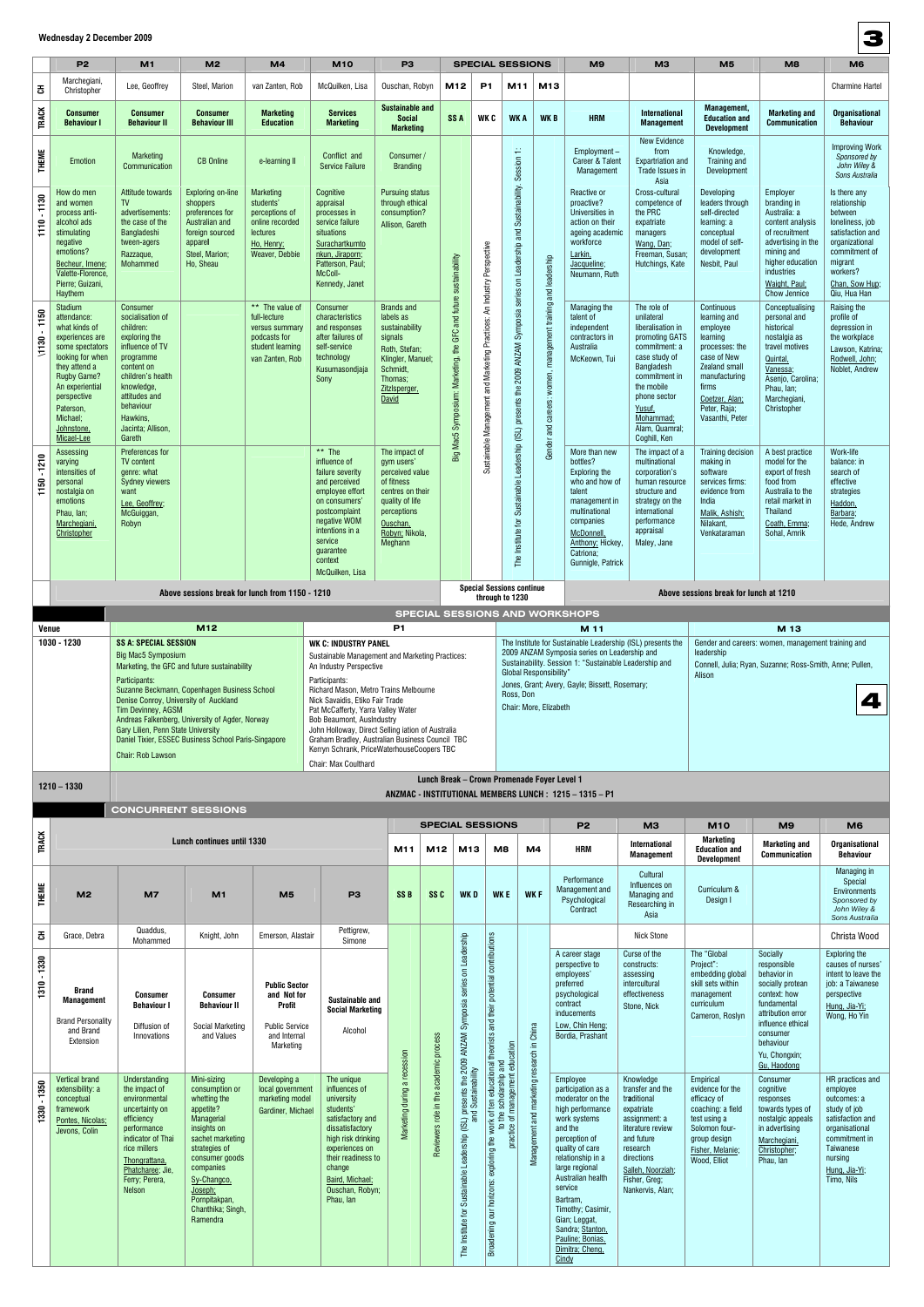|                          | <b>P2</b>                                                                                                                                                                                                                              | M1                                                                                                                                                                                                                   | M <sub>2</sub>                                                                                                                                                                                          | M <sub>4</sub>                                                                                                 | <b>M10</b>                                                                                                                                                                                                                                                                                                                                                                          | P <sub>3</sub>                                                                                                                                              |                                                                  |                                                                                                                                                                     |                                                                                                                                                                                | <b>SPECIAL SESSIONS</b>                                              |                                                               | M <sub>9</sub>                                                                                                                                                                                  | M <sub>3</sub>                                                                                                                                                                                                           | M <sub>5</sub>                                                                                                                                                                      | M <sub>8</sub>                                                                                                                                                                              | M <sub>6</sub>                                                                                                                                                             |
|--------------------------|----------------------------------------------------------------------------------------------------------------------------------------------------------------------------------------------------------------------------------------|----------------------------------------------------------------------------------------------------------------------------------------------------------------------------------------------------------------------|---------------------------------------------------------------------------------------------------------------------------------------------------------------------------------------------------------|----------------------------------------------------------------------------------------------------------------|-------------------------------------------------------------------------------------------------------------------------------------------------------------------------------------------------------------------------------------------------------------------------------------------------------------------------------------------------------------------------------------|-------------------------------------------------------------------------------------------------------------------------------------------------------------|------------------------------------------------------------------|---------------------------------------------------------------------------------------------------------------------------------------------------------------------|--------------------------------------------------------------------------------------------------------------------------------------------------------------------------------|----------------------------------------------------------------------|---------------------------------------------------------------|-------------------------------------------------------------------------------------------------------------------------------------------------------------------------------------------------|--------------------------------------------------------------------------------------------------------------------------------------------------------------------------------------------------------------------------|-------------------------------------------------------------------------------------------------------------------------------------------------------------------------------------|---------------------------------------------------------------------------------------------------------------------------------------------------------------------------------------------|----------------------------------------------------------------------------------------------------------------------------------------------------------------------------|
| 풍                        | Marchegiani,<br>Christopher                                                                                                                                                                                                            | Lee, Geoffrey                                                                                                                                                                                                        | Steel, Marion                                                                                                                                                                                           | van Zanten, Rob                                                                                                | McQuilken, Lisa                                                                                                                                                                                                                                                                                                                                                                     | Ouschan, Robyn                                                                                                                                              | M12                                                              |                                                                                                                                                                     | <b>P1</b>                                                                                                                                                                      | M11                                                                  | M13                                                           |                                                                                                                                                                                                 |                                                                                                                                                                                                                          |                                                                                                                                                                                     |                                                                                                                                                                                             | <b>Charmine Hartel</b>                                                                                                                                                     |
| <b>TRACK</b>             | <b>Consumer</b><br><b>Behaviour I</b>                                                                                                                                                                                                  | <b>Consumer</b><br><b>Behaviour II</b>                                                                                                                                                                               | Consumer<br><b>Behaviour III</b>                                                                                                                                                                        | <b>Marketing</b><br><b>Education</b>                                                                           | <b>Services</b><br><b>Marketing</b>                                                                                                                                                                                                                                                                                                                                                 | <b>Sustainable and</b><br><b>Social</b><br><b>Marketing</b>                                                                                                 | SS <sub>A</sub>                                                  |                                                                                                                                                                     | WK C                                                                                                                                                                           | <b>WKA</b>                                                           | <b>WKB</b>                                                    | <b>HRM</b>                                                                                                                                                                                      | <b>International</b><br><b>Management</b>                                                                                                                                                                                | Management,<br><b>Education and</b><br><b>Development</b>                                                                                                                           | <b>Marketing and</b><br>Communication                                                                                                                                                       | <b>Organisational</b><br><b>Behaviour</b>                                                                                                                                  |
| THEME                    | Emotion                                                                                                                                                                                                                                | <b>Marketing</b><br>Communication                                                                                                                                                                                    | <b>CB Online</b>                                                                                                                                                                                        | e-learning II                                                                                                  | Conflict and<br><b>Service Failure</b>                                                                                                                                                                                                                                                                                                                                              | Consumer /<br><b>Branding</b>                                                                                                                               |                                                                  |                                                                                                                                                                     |                                                                                                                                                                                | $\div$                                                               |                                                               | Employment -<br>Career & Talent<br>Management                                                                                                                                                   | <b>New Evidence</b><br>from<br><b>Expartriation and</b><br>Trade Issues in<br>Asia                                                                                                                                       | Knowledge,<br>Training and<br>Development                                                                                                                                           |                                                                                                                                                                                             | <b>Improving Work</b><br>Sponsored by<br>John Wiley &<br>Sons Australia                                                                                                    |
| 1130<br>1110             | How do men<br>and women<br>process anti-<br>alcohol ads<br>stimulating<br>negative<br>emotions?<br>Becheur, Imene;<br>Valette-Florence,<br>Pierre; Guizani,<br>Haythem                                                                 | Attitude towards<br><b>TV</b><br>advertisements:<br>the case of the<br>Bangladeshi<br>tween-agers<br>Razzaque,<br>Mohammed                                                                                           | Exploring on-line<br>shoppers<br>preferences for<br>Australian and<br>foreign sourced<br>apparel<br>Steel, Marion;<br>Ho, Sheau                                                                         | <b>Marketing</b><br>students'<br>perceptions of<br>online recorded<br>lectures<br>Ho, Henry;<br>Weaver, Debbie | Cognitive<br>appraisal<br>processes in<br>service failure<br>situations<br>Surachartkumto<br>nkun, Jiraporn;<br>Patterson, Paul;<br>McColl-<br>Kennedy, Janet                                                                                                                                                                                                                       | <b>Pursuing status</b><br>through ethical<br>consumption?<br>Allison, Gareth                                                                                |                                                                  |                                                                                                                                                                     |                                                                                                                                                                                | on Leadership and Sustainability. Session<br>series                  |                                                               | Reactive or<br>proactive?<br>Universities in<br>action on their<br>ageing academic<br>workforce<br>Larkin,<br>Jacqueline;<br>Neumann, Ruth                                                      | Cross-cultural<br>competence of<br>the PRC<br>expatriate<br>managers<br>Wang, Dan;<br>Freeman, Susan;<br>Hutchings, Kate                                                                                                 | Developing<br>leaders through<br>self-directed<br>learning: a<br>conceptual<br>model of self-<br>development<br>Nesbit, Paul                                                        | Employer<br>branding in<br>Australia: a<br>content analysis<br>of recruitment<br>advertising in the<br>mining and<br>higher education<br>industries<br>Waight, Paul;<br><b>Chow Jennice</b> | Is there any<br>relationship<br>between<br>loneliness, job<br>satisfaction and<br>organizational<br>commitment of<br>migrant<br>workers?<br>Chan, Sow Hup;<br>Qiu, Hua Han |
| 1150<br>$\frac{1}{1130}$ | <b>Stadium</b><br>attendance:<br>what kinds of<br>experiences are<br>some spectators<br>looking for when<br>they attend a<br><b>Rugby Game?</b><br>An experiential<br>perspective<br>Paterson,<br>Michael;<br>Johnstone,<br>Micael-Lee | Consumer<br>socialisation of<br>children:<br>exploring the<br>influence of TV<br>programme<br>content on<br>children's health<br>knowledge,<br>attitudes and<br>behaviour<br>Hawkins,<br>Jacinta; Allison,<br>Gareth |                                                                                                                                                                                                         | ** The value of<br>full-lecture<br>versus summary<br>podcasts for<br>student learning<br>van Zanten, Rob       | Consumer<br>characteristics<br>and responses<br>after failures of<br>self-service<br>technology<br>Kusumasondjaja<br>Sony                                                                                                                                                                                                                                                           | <b>Brands and</b><br>labels as<br>sustainability<br>signals<br>Roth, Stefan;<br>Klingler, Manuel;<br>Schmidt,<br>Thomas;<br>ZitzIsperger,<br>David          | Big Mac5 Symposium: Marketing, the GFC and future sustainability |                                                                                                                                                                     | Sustainable Management and Marketing Practices: An Industry Perspective                                                                                                        | presents the 2009 ANZAM Symposia                                     | Gender and careers: women, management training and leadership | Managing the<br>talent of<br>independent<br>contractors in<br>Australia<br>McKeown, Tui                                                                                                         | The role of<br>unilateral<br>liberalisation in<br>promoting GATS<br>commitment: a<br>case study of<br>Bangladesh<br>commitment in<br>the mobile<br>phone sector<br>Yusuf,<br>Mohammad;<br>Alam, Quamral;<br>Coghill, Ken | Continuous<br>learning and<br>employee<br>learning<br>processes: the<br>case of New<br>Zealand small<br>manufacturing<br>firms<br>Coetzer, Alan;<br>Peter, Raja;<br>Vasanthi, Peter | Conceptualising<br>personal and<br>historical<br>nostalgia as<br>travel motives<br>Quintal,<br>Vanessa:<br>Asenjo, Carolina;<br>Phau, Ian:<br>Marchegiani,<br>Christopher                   | Raising the<br>profile of<br>depression in<br>the workplace<br>Lawson, Katrina;<br>Rodwell, John;<br>Noblet, Andrew                                                        |
| 1210<br>50<br>F          | Assessing<br>varying<br>intensities of<br>personal<br>nostalgia on<br>emotions<br>Phau, Ian;<br>Marchegiani<br>Christopher                                                                                                             | Preferences for<br><b>TV content</b><br>genre: what<br><b>Sydney viewers</b><br>want<br>Lee, Geoffrey;<br>McGuiggan,<br>Robyn                                                                                        |                                                                                                                                                                                                         |                                                                                                                | ** The<br>influence of<br>failure severity<br>and perceived<br>employee effort<br>on consumers<br>postcomplaint<br>negative WOM<br>intentions in a<br>service<br>guarantee<br>context<br>McQuilken, Lisa                                                                                                                                                                            | The impact of<br>gym users'<br>perceived value<br>of fitness<br>centres on their<br>quality of life<br>perceptions<br>Ouschan,<br>Robyn; Nikola,<br>Meghann |                                                                  |                                                                                                                                                                     |                                                                                                                                                                                | Sustainable Leadership (ISL)<br>istitute for<br>The li               |                                                               | More than new<br>bottles?<br>Exploring the<br>who and how of<br>talent<br>management in<br>multinational<br>companies<br><b>McDonnell</b><br>Anthony; Hickey,<br>Gatriona;<br>Gunnigle, Patrick | The impact of a<br>multinational<br>corporation's<br>human resource<br>structure and<br>strategy on the<br>international<br>performance<br>appraisal<br>Maley, Jane                                                      | Training decision<br>making in<br>software<br>services firms:<br>evidence from<br>India<br>Malik, Ashish;<br>Nilakant.<br>Venkataraman                                              | A best practice<br>model for the<br>export of fresh<br>food from<br>Australia to the<br>retail market in<br>Thailand<br>Coath, Emma:<br>Sohal, Amrik                                        | Work-life<br>balance: in<br>search of<br>effective<br>strategies<br>Haddon,<br>Barbara;<br>Hede, Andrew                                                                    |
|                          |                                                                                                                                                                                                                                        |                                                                                                                                                                                                                      | Above sessions break for lunch from 1150 - 1210                                                                                                                                                         |                                                                                                                |                                                                                                                                                                                                                                                                                                                                                                                     |                                                                                                                                                             |                                                                  |                                                                                                                                                                     | through to 1230                                                                                                                                                                | <b>Special Sessions continue</b>                                     |                                                               |                                                                                                                                                                                                 |                                                                                                                                                                                                                          | Above sessions break for lunch at 1210                                                                                                                                              |                                                                                                                                                                                             |                                                                                                                                                                            |
| Venue                    |                                                                                                                                                                                                                                        |                                                                                                                                                                                                                      |                                                                                                                                                                                                         |                                                                                                                | P <sub>1</sub>                                                                                                                                                                                                                                                                                                                                                                      |                                                                                                                                                             |                                                                  |                                                                                                                                                                     |                                                                                                                                                                                |                                                                      | <b>SPECIAL SESSIONS AND WORKSHOPS</b><br>M 11                 |                                                                                                                                                                                                 |                                                                                                                                                                                                                          | M 13                                                                                                                                                                                |                                                                                                                                                                                             |                                                                                                                                                                            |
|                          |                                                                                                                                                                                                                                        | Participants:<br>Denise Conroy, University of Auckland<br>Tim Devinney, AGSM<br>Gary Lilien, Penn State University<br><b>Chair: Rob Lawson</b>                                                                       | Marketing, the GFC and future sustainability<br>Suzanne Beckmann, Copenhagen Business School<br>Andreas Falkenberg, University of Agder, Norway<br>Daniel Tixier, ESSEC Business School Paris-Singapore |                                                                                                                | An Industry Perspective<br>Participants:<br>Richard Mason, Metro Trains Melbourne<br>Nick Savaidis, Etiko Fair Trade<br>Pat McCafferty, Yarra Valley Water<br><b>Bob Beaumont, Auslndustry</b><br>John Holloway, Direct Selling iation of Australia<br>Graham Bradley, Australian Business Council TBC<br>Kerryn Schrank, PriceWaterhouseCoopers TBC<br><b>Chair: Max Coulthard</b> |                                                                                                                                                             |                                                                  |                                                                                                                                                                     |                                                                                                                                                                                | <b>Global Responsibility"</b><br>Ross, Don<br>Chair: More, Elizabeth |                                                               | Sustainability. Session 1: "Sustainable Leadership and<br>Jones, Grant; Avery, Gayle; Bissett, Rosemary;                                                                                        |                                                                                                                                                                                                                          | Alison                                                                                                                                                                              | Connell, Julia; Ryan, Suzanne; Ross-Smith, Anne; Pullen,                                                                                                                                    | 4                                                                                                                                                                          |
|                          | $1210 - 1330$                                                                                                                                                                                                                          |                                                                                                                                                                                                                      |                                                                                                                                                                                                         |                                                                                                                |                                                                                                                                                                                                                                                                                                                                                                                     |                                                                                                                                                             | Lunch Break - Crown Promenade Foyer Level 1                      |                                                                                                                                                                     |                                                                                                                                                                                |                                                                      |                                                               | ANZMAC - INSTITUTIONAL MEMBERS LUNCH: 1215 - 1315 - P1                                                                                                                                          |                                                                                                                                                                                                                          |                                                                                                                                                                                     |                                                                                                                                                                                             |                                                                                                                                                                            |
|                          |                                                                                                                                                                                                                                        |                                                                                                                                                                                                                      | <b>CONCURRENT SESSIONS</b>                                                                                                                                                                              |                                                                                                                |                                                                                                                                                                                                                                                                                                                                                                                     |                                                                                                                                                             |                                                                  |                                                                                                                                                                     |                                                                                                                                                                                |                                                                      |                                                               |                                                                                                                                                                                                 |                                                                                                                                                                                                                          |                                                                                                                                                                                     |                                                                                                                                                                                             |                                                                                                                                                                            |
| <b>TRACK</b>             |                                                                                                                                                                                                                                        |                                                                                                                                                                                                                      | <b>Lunch continues until 1330</b>                                                                                                                                                                       |                                                                                                                |                                                                                                                                                                                                                                                                                                                                                                                     | M <sub>11</sub>                                                                                                                                             | <b>SPECIAL SESSIONS</b><br>M12                                   | M13                                                                                                                                                                 | M8                                                                                                                                                                             | M <sub>4</sub>                                                       |                                                               | P <sub>2</sub><br><b>HRM</b>                                                                                                                                                                    | <b>M3</b><br><b>International</b>                                                                                                                                                                                        | <b>M10</b><br><b>Marketing</b><br><b>Education and</b>                                                                                                                              | M <sub>9</sub><br><b>Marketing and</b>                                                                                                                                                      | M <sub>6</sub><br><b>Organisational</b>                                                                                                                                    |
|                          |                                                                                                                                                                                                                                        |                                                                                                                                                                                                                      |                                                                                                                                                                                                         |                                                                                                                |                                                                                                                                                                                                                                                                                                                                                                                     |                                                                                                                                                             |                                                                  |                                                                                                                                                                     |                                                                                                                                                                                |                                                                      |                                                               |                                                                                                                                                                                                 | <b>Management</b><br>Cultural                                                                                                                                                                                            | <b>Development</b>                                                                                                                                                                  | <b>Communication</b>                                                                                                                                                                        | <b>Behaviour</b><br>Managing in                                                                                                                                            |
| <b>THEME</b>             | M <sub>2</sub>                                                                                                                                                                                                                         | M <sub>7</sub>                                                                                                                                                                                                       | M1                                                                                                                                                                                                      | M <sub>5</sub>                                                                                                 | P <sub>3</sub>                                                                                                                                                                                                                                                                                                                                                                      | <b>SSB</b>                                                                                                                                                  | <b>SSC</b>                                                       | <b>WKD</b>                                                                                                                                                          | <b>WKE</b>                                                                                                                                                                     | <b>WKF</b>                                                           |                                                               | Performance<br>Management and<br>Psychological<br>Contract                                                                                                                                      | Influences on<br>Managing and<br>Researching in<br>Asia                                                                                                                                                                  | Curriculum &<br>Design I                                                                                                                                                            |                                                                                                                                                                                             | Special<br>Environments<br>Sponsored by<br>John Wiley &<br>Sons Australia                                                                                                  |
| 공                        | Grace, Debra                                                                                                                                                                                                                           | Quaddus,<br>Mohammed                                                                                                                                                                                                 | Knight, John                                                                                                                                                                                            | Emerson, Alastair                                                                                              | Pettigrew,<br>Simone                                                                                                                                                                                                                                                                                                                                                                |                                                                                                                                                             |                                                                  |                                                                                                                                                                     |                                                                                                                                                                                |                                                                      |                                                               |                                                                                                                                                                                                 | <b>Nick Stone</b>                                                                                                                                                                                                        |                                                                                                                                                                                     |                                                                                                                                                                                             | Christa Wood                                                                                                                                                               |
| $-1330$                  |                                                                                                                                                                                                                                        |                                                                                                                                                                                                                      |                                                                                                                                                                                                         |                                                                                                                |                                                                                                                                                                                                                                                                                                                                                                                     |                                                                                                                                                             |                                                                  |                                                                                                                                                                     |                                                                                                                                                                                |                                                                      |                                                               |                                                                                                                                                                                                 | Curse of the                                                                                                                                                                                                             | The "Global                                                                                                                                                                         | Socially<br>responsible                                                                                                                                                                     | <b>Exploring the</b><br>causes of nurses'                                                                                                                                  |
| 1310                     | Brand<br>Management                                                                                                                                                                                                                    | Consumer<br><b>Behaviour I</b>                                                                                                                                                                                       | <b>Consumer</b><br><b>Behaviour II</b>                                                                                                                                                                  | <b>Public Sector</b><br>and Not for<br>Profit                                                                  | <b>Sustainable and</b><br><b>Social Marketing</b>                                                                                                                                                                                                                                                                                                                                   |                                                                                                                                                             |                                                                  |                                                                                                                                                                     |                                                                                                                                                                                |                                                                      |                                                               | A career stage<br>perspective to<br>employees'<br>preferred<br>psychological<br>contract<br>inducements                                                                                         | constructs:<br>assessing<br>intercultural<br>effectiveness<br>Stone, Nick                                                                                                                                                | Project":<br>embedding global<br>skill sets within<br>management<br>curriculum                                                                                                      | behavior in<br>socially protean<br>context: how<br>fundamental<br>attribution error                                                                                                         | intent to leave the<br>job: a Taiwanese<br>perspective<br>Hung, Jia-Yi;                                                                                                    |
| 1350                     | <b>Brand Personality</b><br>and Brand<br>Extension<br><b>Vertical brand</b>                                                                                                                                                            | Diffusion of<br>Innovations<br>Understanding                                                                                                                                                                         | <b>Social Marketing</b><br>and Values<br>Mini-sizing                                                                                                                                                    | <b>Public Service</b><br>and Internal<br>Marketing<br>Developing a                                             | Alcohol<br>The unique                                                                                                                                                                                                                                                                                                                                                               | Marketing during a recession                                                                                                                                | cess<br>academic proc                                            | The Institute for Sustainable Leadership (ISL) presents the 2009 ANZAM Symposia series on Leadership<br>The Institute for Sustainable Leadership and Sustainability | ists and their potential contributions<br>Broadening our horizons: exploring the work of ten educational theoris<br>to the scholarship and<br>practice of management education | China<br>Management and marketing research in                        |                                                               | Low, Chin Heng;<br>Bordia, Prashant<br>Employee                                                                                                                                                 | Knowledge                                                                                                                                                                                                                | Cameron, Roslyn<br>Empirical                                                                                                                                                        | influence ethical<br>consumer<br>behaviour<br>Yu, Chongxin;<br>Gu, Haodong<br>Consumer                                                                                                      | Wong, Ho Yin<br>HR practices and                                                                                                                                           |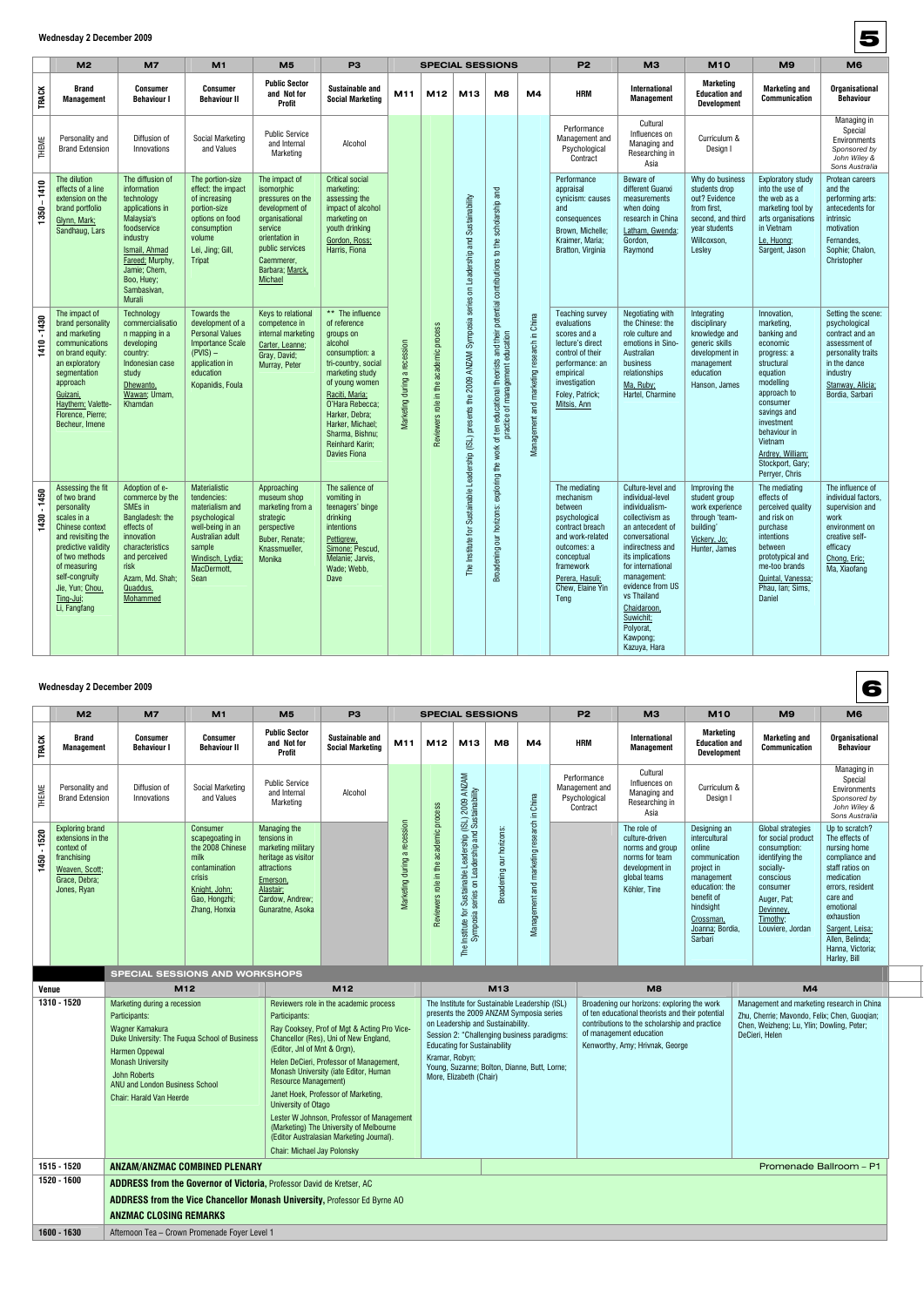### **Wednesday 2 December 2009**

|                              | M <sub>2</sub>                                                                                                                                                                                                                             | <b>M7</b>                                                                                                                                                                                                    | M <sub>1</sub>                                                                                                                                                | M <sub>5</sub>                                                                                                                                                                         | P <sub>3</sub>                                                                                                                                                                                                                                                                        | <b>SPECIAL SESSIONS</b>      |                                        |                                                                                                           | P <sub>2</sub>                                                                                            | M <sub>3</sub>                             | <b>M10</b>                                                                                                                                                                             | M <sub>9</sub>                                                                                                                                                                                                                                                                                       | M <sub>6</sub>                                                                                                                  |                                                                                                                                                                                                                                                         |                                                                                                                                                                  |
|------------------------------|--------------------------------------------------------------------------------------------------------------------------------------------------------------------------------------------------------------------------------------------|--------------------------------------------------------------------------------------------------------------------------------------------------------------------------------------------------------------|---------------------------------------------------------------------------------------------------------------------------------------------------------------|----------------------------------------------------------------------------------------------------------------------------------------------------------------------------------------|---------------------------------------------------------------------------------------------------------------------------------------------------------------------------------------------------------------------------------------------------------------------------------------|------------------------------|----------------------------------------|-----------------------------------------------------------------------------------------------------------|-----------------------------------------------------------------------------------------------------------|--------------------------------------------|----------------------------------------------------------------------------------------------------------------------------------------------------------------------------------------|------------------------------------------------------------------------------------------------------------------------------------------------------------------------------------------------------------------------------------------------------------------------------------------------------|---------------------------------------------------------------------------------------------------------------------------------|---------------------------------------------------------------------------------------------------------------------------------------------------------------------------------------------------------------------------------------------------------|------------------------------------------------------------------------------------------------------------------------------------------------------------------|
| <b>TRACK</b>                 | <b>Brand</b><br><b>Management</b>                                                                                                                                                                                                          | <b>Consumer</b><br><b>Behaviour I</b>                                                                                                                                                                        | <b>Consumer</b><br><b>Behaviour II</b>                                                                                                                        | <b>Public Sector</b><br>and Not for<br><b>Profit</b>                                                                                                                                   | <b>Sustainable and</b><br><b>Social Marketing</b>                                                                                                                                                                                                                                     | M11                          | M <sub>12</sub>                        | M <sub>13</sub>                                                                                           | M <sub>8</sub>                                                                                            | M4                                         | <b>HRM</b>                                                                                                                                                                             | <b>International</b><br><b>Management</b>                                                                                                                                                                                                                                                            | Marketing<br><b>Education and</b><br><b>Development</b>                                                                         | <b>Marketing and</b><br><b>Communication</b>                                                                                                                                                                                                            | <b>Organisational</b><br><b>Behaviour</b>                                                                                                                        |
| THEME                        | Personality and<br><b>Brand Extension</b>                                                                                                                                                                                                  | Diffusion of<br>Innovations                                                                                                                                                                                  | Social Marketing<br>and Values                                                                                                                                | <b>Public Service</b><br>and Internal<br>Marketing                                                                                                                                     | Alcohol                                                                                                                                                                                                                                                                               |                              | Reviewers role in the academic process | for Sustainable Leadership (ISL) presents the 2009 ANZAM Symposia series on Leadership and Sustainability | scholarship and<br>potential contributions to the                                                         |                                            | Performance<br>Management and<br>Psychological<br>Contract                                                                                                                             | Cultural<br>Influences on<br>Managing and<br>Researching in<br>Asia                                                                                                                                                                                                                                  | Curriculum &<br>Design I                                                                                                        |                                                                                                                                                                                                                                                         | Managing in<br>Special<br>Environments<br>Sponsored by<br>John Wiley &<br>Sons Australia                                                                         |
| 1410<br>$\mathbf{I}$<br>1350 | The dilution<br>effects of a line<br>extension on the<br>brand portfolio<br>Glynn, Mark;<br>Sandhaug, Lars                                                                                                                                 | The diffusion of<br>information<br>technology<br>applications in<br>Malaysia's<br>foodservice<br>industry<br>Ismail, Ahmad<br>Fareed: Murphy,<br>Jamie; Chern,<br>Boo, Huey;<br>Sambasivan,<br><b>Murali</b> | The portion-size<br>effect: the impact<br>of increasing<br>portion-size<br>options on food<br>consumption<br>volume<br>Lei, Jing; Gill,<br><b>Tripat</b>      | The impact of<br>isomorphic<br>pressures on the<br>development of<br>organisational<br>service<br>orientation in<br>public services<br>Caemmerer,<br>Barbara; Marck,<br><b>Michael</b> | <b>Critical social</b><br>marketing:<br>assessing the<br>impact of alcohol<br>marketing on<br>youth drinking<br>Gordon, Ross;<br>Harris, Fiona                                                                                                                                        | Marketing during a recession |                                        |                                                                                                           |                                                                                                           |                                            | Performance<br>appraisal<br>cynicism: causes<br>and<br>consequences<br>Brown, Michelle;<br>Kraimer, Maria;<br>Bratton, Virginia                                                        | Beware of<br>different Guanxi<br>measurements<br>when doing<br>research in China<br>Latham, Gwenda;<br>Gordon,<br>Raymond                                                                                                                                                                            | Why do business<br>students drop<br>out? Evidence<br>from first,<br>second, and third<br>year students<br>Willcoxson,<br>Lesley | <b>Exploratory study</b><br>into the use of<br>the web as a<br>marketing tool by<br>arts organisations<br>in Vietnam<br>Le. Huona:<br>Sargent, Jason                                                                                                    | Protean careers<br>and the<br>performing arts:<br>antecedents for<br>intrinsic<br>motivation<br>Fernandes.<br>Sophie; Chalon,<br>Christopher                     |
| $-1430$<br>1410              | The impact of<br>brand personality<br>and marketing<br>communications<br>on brand equity:<br>an exploratory<br>segmentation<br>approach<br>Guizani,<br>Haythem; Valette-<br>Florence, Pierre;<br>Becheur, Imene                            | Technology<br>commercialisatio<br>n mapping in a<br>developing<br>country:<br>Indonesian case<br>study<br>Dhewanto,<br>Wawan; Umam,<br>Khamdan                                                               | Towards the<br>development of a<br><b>Personal Values</b><br><b>Importance Scale</b><br>$(PVIS)$ –<br>application in<br>education<br>Kopanidis, Foula         | Keys to relational<br>competence in<br>internal marketing<br>Carter, Leanne;<br>Gray, David;<br>Murray, Peter                                                                          | ** The influence<br>of reference<br>groups on<br>alcohol<br>consumption: a<br>tri-country, social<br>marketing study<br>of young women<br>Raciti, Maria;<br>O'Hara Rebecca:<br>Harker, Debra;<br>Harker, Michael;<br>Sharma, Bishnu;<br><b>Reinhard Karin;</b><br><b>Davies Fiona</b> |                              |                                        |                                                                                                           | theorists and their<br>management education<br>educational<br>practice of<br>of ten<br>exploring the work | Management and marketing research in China | <b>Teaching survey</b><br>evaluations<br>scores and a<br>lecture's direct<br>control of their<br>performance: an<br>empirical<br>investigation<br>Foley, Patrick;<br>Mitsis, Ann       | Negotiating with<br>the Chinese: the<br>role culture and<br>emotions in Sino-<br>Australian<br>business<br>relationships<br>Ma, Ruby;<br>Hartel, Charmine                                                                                                                                            | Integrating<br>disciplinary<br>knowledge and<br>generic skills<br>development in<br>management<br>education<br>Hanson, James    | Innovation,<br>marketing,<br>banking and<br>economic<br>progress: a<br>structural<br>equation<br>modelling<br>approach to<br>consumer<br>savings and<br>investment<br>behaviour in<br>Vietnam<br>Ardrey, William;<br>Stockport, Gary;<br>Perryer, Chris | Setting the scene:<br>psychological<br>contract and an<br>assessment of<br>personality traits<br>in the dance<br>industry<br>Stanway, Alicia;<br>Bordia, Sarbari |
| $-1450$<br>1430              | Assessing the fit<br>of two brand<br>personality<br>scales in a<br><b>Chinese context</b><br>and revisiting the<br>predictive validity<br>of two methods<br>of measuring<br>self-congruity<br>Jie. Yun: Chou.<br>Ting-Jui;<br>Li, Fangfang | Adoption of e-<br>commerce by the<br>SMEs in<br>Bangladesh: the<br>effects of<br>innovation<br>characteristics<br>and perceived<br>risk<br>Azam, Md. Shah;<br>Quaddus,<br>Mohammed                           | Materialistic<br>tendencies:<br>materialism and<br>psychological<br>well-being in an<br>Australian adult<br>sample<br>Windisch, Lydia:<br>MacDermott.<br>Sean | Approaching<br>museum shop<br>marketing from a<br>strategic<br>perspective<br>Buber, Renate;<br>Knassmueller,<br>Monika                                                                | The salience of<br>vomiting in<br>teenagers' binge<br>drinking<br>intentions<br>Pettigrew.<br>Simone: Pescud,<br>Melanie; Jarvis,<br>Wade; Webb,<br>Dave                                                                                                                              |                              |                                        | 은<br>The Institu                                                                                          | our horizons:<br>Broadening                                                                               |                                            | The mediating<br>mechanism<br>between<br>psychological<br>contract breach<br>and work-related<br>outcomes: a<br>conceptual<br>framework<br>Perera, Hasuli;<br>Chew, Elaine Yin<br>Teng | Culture-level and<br>individual-level<br>individualism-<br>collectivism as<br>an antecedent of<br>conversational<br>indirectness and<br>its implications<br>for international<br>management:<br>evidence from US<br>vs Thailand<br>Chaidaroon,<br>Suwichit;<br>Polyorat,<br>Kawpong;<br>Kazuya, Hara | Improving the<br>student group<br>work experience<br>through 'team-<br>building'<br>Vickerv, Jo:<br>Hunter, James               | The mediating<br>effects of<br>perceived quality<br>and risk on<br>purchase<br>intentions<br>between<br>prototypical and<br>me-too brands<br>Quintal, Vanessa;<br>Phau, Ian; Sims,<br>Daniel                                                            | The influence of<br>individual factors.<br>supervision and<br>work<br>environment on<br>creative self-<br>efficacy<br>Chong, Eric:<br>Ma, Xiaofang               |

### **Wednesday 2 December 2009**

|              | M <sub>2</sub>                                                                                                             | M <sub>7</sub>                      | M1                                                                                                                                    | M <sub>5</sub>                                                                                                                                          | P <sub>3</sub>                             | <b>SPECIAL SESSIONS</b>         |                                            |                                                                                                                                 | P <sub>2</sub>                 | M3                                         | <b>M10</b>                                                 | M9                                                                                                                   | M <sub>6</sub>                                                                                                                                                               |                                                                                                                                                                                     |                                                                                                                                                                                                                                          |
|--------------|----------------------------------------------------------------------------------------------------------------------------|-------------------------------------|---------------------------------------------------------------------------------------------------------------------------------------|---------------------------------------------------------------------------------------------------------------------------------------------------------|--------------------------------------------|---------------------------------|--------------------------------------------|---------------------------------------------------------------------------------------------------------------------------------|--------------------------------|--------------------------------------------|------------------------------------------------------------|----------------------------------------------------------------------------------------------------------------------|------------------------------------------------------------------------------------------------------------------------------------------------------------------------------|-------------------------------------------------------------------------------------------------------------------------------------------------------------------------------------|------------------------------------------------------------------------------------------------------------------------------------------------------------------------------------------------------------------------------------------|
| <b>TRACK</b> | <b>Brand</b><br>Management                                                                                                 | <b>Consumer</b><br><b>Behaviour</b> | <b>Consumer</b><br><b>Behaviour II</b>                                                                                                | <b>Public Sector</b><br>and Not for<br>Profit                                                                                                           | Sustainable and<br><b>Social Marketing</b> | M11                             | M12                                        | M <sub>13</sub>                                                                                                                 | M8                             | M4                                         | <b>HRM</b>                                                 | <b>International</b><br><b>Management</b>                                                                            | <b>Marketing</b><br><b>Education and</b><br><b>Development</b>                                                                                                               | <b>Marketing and</b><br><b>Communication</b>                                                                                                                                        | <b>Organisational</b><br><b>Behaviour</b>                                                                                                                                                                                                |
| THEME        | Personality and<br><b>Brand Extension</b>                                                                                  | Diffusion of<br>Innovations         | <b>Social Marketing</b><br>and Values                                                                                                 | <b>Public Service</b><br>and Internal<br>Marketing                                                                                                      | Alcohol                                    |                                 | process                                    | <b>ANZAM</b><br>(ISL) 2009 ANZ<br>d Sustainability                                                                              |                                | China<br>Ξ.                                | Performance<br>Management and<br>Psychological<br>Contract | Cultural<br>Influences on<br>Managing and<br>Researching in<br>Asia                                                  | Curriculum &<br>Design I                                                                                                                                                     |                                                                                                                                                                                     | Managing in<br>Special<br>Environments<br>Sponsored by<br>John Wiley &<br>Sons Australia                                                                                                                                                 |
| 1520<br>450  | <b>Exploring brand</b><br>extensions in the<br>context of<br>franchising<br>Weaven, Scott;<br>Grace. Debra:<br>Jones, Ryan |                                     | Consumer<br>scapegoating in<br>the 2008 Chinese<br>milk<br>contamination<br>crisis<br>Knight, John;<br>Gao, Hongzhi;<br>Zhang, Honxia | Managing the<br>tensions in<br>marketing military<br>heritage as visitor<br>attractions<br>Emerson,<br>Alastair;<br>Cardow, Andrew;<br>Gunaratne, Asoka |                                            | a recession<br>Marketing during | academic<br>the<br>Ξ.<br>role<br>Reviewers | and<br>or Sustainable Leadership (<br>a series on Leadership and<br>$\overline{\mathsf{a}}$<br>Institute for<br>Symposia<br>The | horizons:<br>bur<br>Broadening | research<br>marketing<br>and<br>Management |                                                            | The role of<br>culture-driven<br>norms and group<br>norms for team<br>development in<br>global teams<br>Köhler, Tine | Designing an<br>intercultural<br>online<br>communication<br>project in<br>management<br>education: the<br>benefit of<br>hindsight<br>Crossman,<br>Joanna; Bordia,<br>Sarbari | <b>Global strategies</b><br>for social product<br>consumption:<br>identifying the<br>socially-<br>conscious<br>consumer<br>Auger, Pat;<br>Devinney,<br>Timothy;<br>Louviere, Jordan | Up to scratch?<br>The effects of<br>nursing home<br>compliance and<br>staff ratios on<br>medication<br>errors, resident<br>care and<br>emotional<br>exhaustion<br>Sargent, Leisa;<br>Allen, Belinda;<br>Hanna, Victoria;<br>Harley, Bill |

#### **SPECIAL SESSIONS AND WORKSHOPS**

| Venue       | M <sub>12</sub>                                                                                                                                                                                                                                      | M <sub>12</sub>                                                                                                                                                                                                                                                                                                                                                                                                                                                                                                                            |                                                                                                                                                                                                                                                                                                                   | M <sub>13</sub> | M <sub>8</sub>                                                                                                                                                                                                 | M <sub>4</sub>                                                                                                                                            |  |  |  |  |
|-------------|------------------------------------------------------------------------------------------------------------------------------------------------------------------------------------------------------------------------------------------------------|--------------------------------------------------------------------------------------------------------------------------------------------------------------------------------------------------------------------------------------------------------------------------------------------------------------------------------------------------------------------------------------------------------------------------------------------------------------------------------------------------------------------------------------------|-------------------------------------------------------------------------------------------------------------------------------------------------------------------------------------------------------------------------------------------------------------------------------------------------------------------|-----------------|----------------------------------------------------------------------------------------------------------------------------------------------------------------------------------------------------------------|-----------------------------------------------------------------------------------------------------------------------------------------------------------|--|--|--|--|
| 1310 - 1520 | Marketing during a recession<br>Participants:<br>Wagner Kamakura<br>Duke University: The Fugua School of Business<br>Harmen Oppewal<br><b>Monash University</b><br>John Roberts<br>ANU and London Business School<br><b>Chair: Harald Van Heerde</b> | Reviewers role in the academic process<br>Participants:<br>Ray Cooksey, Prof of Mgt & Acting Pro Vice-<br>Chancellor (Res), Uni of New England,<br>(Editor, Jnl of Mnt & Orgn),<br>Helen DeCieri, Professor of Management,<br>Monash University (iate Editor, Human<br><b>Resource Management)</b><br>Janet Hoek, Professor of Marketing,<br>University of Otago<br>Lester W Johnson, Professor of Management<br>(Marketing) The University of Melbourne<br>(Editor Australasian Marketing Journal).<br><b>Chair: Michael Jay Polonsky</b> | The Institute for Sustainable Leadership (ISL)<br>presents the 2009 ANZAM Symposia series<br>on Leadership and Sustainability.<br>Session 2: "Challenging business paradigms:<br><b>Educating for Sustainability</b><br>Kramar, Robyn;<br>Young, Suzanne; Bolton, Dianne, Butt, Lorne;<br>More, Elizabeth (Chair) |                 | Broadening our horizons: exploring the work<br>of ten educational theorists and their potential<br>contributions to the scholarship and practice<br>of management education<br>Kenworthy, Amy; Hrivnak, George | Management and marketing research in China<br>Zhu, Cherrie; Mavondo, Felix; Chen, Guogian;<br>Chen, Weizheng; Lu, Ylin; Dowling, Peter;<br>DeCieri, Helen |  |  |  |  |
| 1515 - 1520 | <b>ANZAM/ANZMAC COMBINED PLENARY</b><br>Promenade Ballroom - P1                                                                                                                                                                                      |                                                                                                                                                                                                                                                                                                                                                                                                                                                                                                                                            |                                                                                                                                                                                                                                                                                                                   |                 |                                                                                                                                                                                                                |                                                                                                                                                           |  |  |  |  |
| 1520 - 1600 | <b>ADDRESS from the Governor of Victoria, Professor David de Kretser, AC</b>                                                                                                                                                                         |                                                                                                                                                                                                                                                                                                                                                                                                                                                                                                                                            |                                                                                                                                                                                                                                                                                                                   |                 |                                                                                                                                                                                                                |                                                                                                                                                           |  |  |  |  |
|             | <b>ADDRESS from the Vice Chancellor Monash University, Professor Ed Byrne AO</b><br><b>ANZMAC CLOSING REMARKS</b>                                                                                                                                    |                                                                                                                                                                                                                                                                                                                                                                                                                                                                                                                                            |                                                                                                                                                                                                                                                                                                                   |                 |                                                                                                                                                                                                                |                                                                                                                                                           |  |  |  |  |
|             |                                                                                                                                                                                                                                                      |                                                                                                                                                                                                                                                                                                                                                                                                                                                                                                                                            |                                                                                                                                                                                                                                                                                                                   |                 |                                                                                                                                                                                                                |                                                                                                                                                           |  |  |  |  |
| 1600 - 1630 | Afternoon Tea - Crown Promenade Foyer Level 1                                                                                                                                                                                                        |                                                                                                                                                                                                                                                                                                                                                                                                                                                                                                                                            |                                                                                                                                                                                                                                                                                                                   |                 |                                                                                                                                                                                                                |                                                                                                                                                           |  |  |  |  |

5